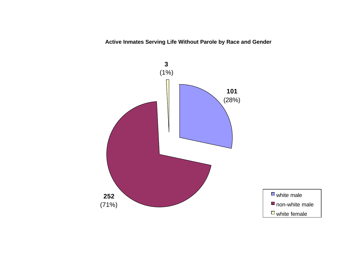**Active Inmates Serving Life Without Parole by Race and Gender**

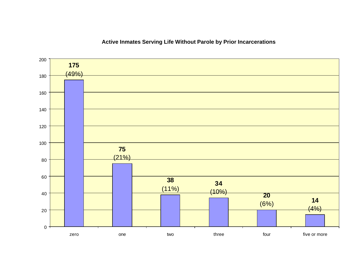### $(4%)$  (6%)  $(10%)$   $(11%)$   $(21%)$   $(49%)$  $0 -$  zero one two three four five or more

### **Active Inmates Serving Life Without Parole by Prior Incarcerations**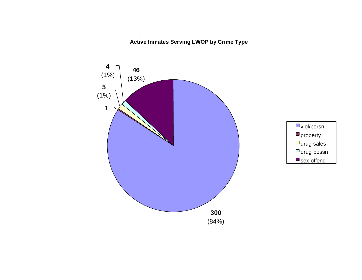## **Active Inmates Serving LWOP by Crime Type**

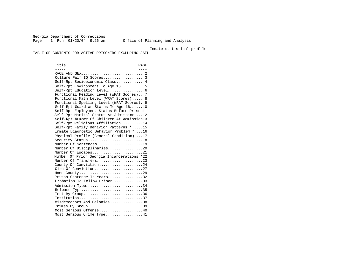Georgia Department of Corrections<br>Page 1 Run 01/20/04 9:26 am Page 1 Run 01/20/04 9:26 am Office of Planning and Analysis

Inmate statistical profile

TABLE OF CONTENTS FOR ACTIVE PRISONERS EXCLUDING JAIL

Title PAGE ----- ---- RACE AND SEX............................ 2 Culture Fair IQ Scores.................. 3 Self-Rpt Socioeconomic Class............ 4 Self-Rpt Environment To Age 16.......... 5 Self-Rpt Education Level................ 6 Functional Reading Level (WRAT Scores).. 7 Functional Math Level (WRAT Scores)..... 8 Functional Spelling Level (WRAT Scores). 9 Self-Rpt Guardian Status To Age 16......10 Self-Rpt Employment Status Before Prison11 Self-Rpt Marital Status At Admission....12 Self-Rpt Number Of Children At Admission13 Self-Rpt Religious Affiliation..........14 Self-Rpt Family Behavior Patterns \*.....15 Inmate Diagnostic Behavior Problem \*....16 Physical Profile (General Condition)....17 Security Status...........................18 Number Of Sentences.....................19 Number Of Disciplinaries................20 Number Of Escapes.........................21 Number Of Prior Georgia Incarcerations \*22 Number Of Transfers.....................23 County Of Conviction....................24 Circ Of Conviction........................27 Home County.............................29 Prison Sentence In Years................32 Probation To Follow Prison...............33 Admission Type.............................34 Release Type...............................35 Inst By Group..................................36 Institution.............................37 Misdemeanors And Felonies...............38 Crimes By Group..............................39 Most Serious Offense....................40 Most Serious Crime Type.................41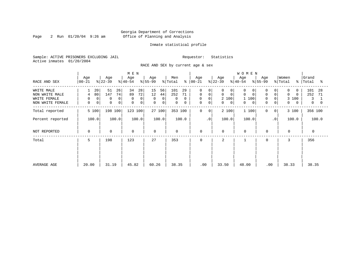Page 2 Run  $01/20/04$  9:26 am

#### Inmate statistical profile

Sample: ACTIVE PRISONERS EXCLUDING JAIL Requestor: Statistics Active inmates 01/20/2004

RACE AND SEX by current age & sex

|                                                                  |                                   |                                                      | M E N                                                     |                                                                  |                                                             |                                                                                      |                                                                       | <b>WOMEN</b>                                                                    |                                                                            |                                                                                 |                                               |
|------------------------------------------------------------------|-----------------------------------|------------------------------------------------------|-----------------------------------------------------------|------------------------------------------------------------------|-------------------------------------------------------------|--------------------------------------------------------------------------------------|-----------------------------------------------------------------------|---------------------------------------------------------------------------------|----------------------------------------------------------------------------|---------------------------------------------------------------------------------|-----------------------------------------------|
| RACE AND SEX                                                     | Age<br>  00-21                    | Age<br>$ 22-39 $                                     | Age<br>$ 40-54 $                                          | Age<br>$\frac{1}{6}$   55-99                                     | Men<br>ိ<br>% Total                                         | Age<br>00-21                                                                         | Age<br>$ 22-39 $                                                      | Age<br>$ 40-54 $                                                                | Age<br>$ 55-99 $                                                           | Women<br>% Total<br>ႜႜႜ                                                         | Grand<br>Total<br>°≈                          |
| WHITE MALE<br>NON WHITE MALE<br>WHITE FEMALE<br>NON WHITE FEMALE | 20<br>80<br>4<br>0<br>0<br>0<br>0 | 51<br>26<br>147<br>74<br>0<br>0<br>0<br>$\mathbf{0}$ | 34<br>28<br>72<br>89<br>0<br>$\Omega$<br>0<br>$\mathbf 0$ | 15<br>56<br>12<br>44<br>0<br>0 <sup>1</sup><br>$\mathbf{0}$<br>0 | 101<br>29<br>252<br>71<br>$\Omega$<br>0<br>$\mathbf 0$<br>0 | $\Omega$<br>0<br>$\mathbf 0$<br>$\mathbf 0$<br>$\mathsf{O}$<br>0<br>$\mathbf 0$<br>0 | 0<br>$\Omega$<br>$\Omega$<br>$\Omega$<br>2 100<br>$\overline{0}$<br>0 | $\Omega$<br>$\Omega$<br>$\Omega$<br>$\mathbf 0$<br>1 100<br>$\overline{0}$<br>0 | 0<br>0<br>$\mathbf 0$<br>$\overline{0}$<br>0<br>$\Omega$<br>$\overline{0}$ | $\Omega$<br>$\Omega$<br>$\Omega$<br>$\Omega$<br>100<br>3<br>0<br>$\overline{0}$ | 101<br>28<br>252<br>71<br>3<br>$\overline{0}$ |
| Total reported                                                   | 5 100                             | 198 100                                              | 123 100                                                   | 27 100                                                           | 353 100                                                     | 0<br>0                                                                               | 2 100                                                                 | 1 100                                                                           | $\Omega$<br>0 <sup>1</sup>                                                 | 3 100                                                                           | 356 100                                       |
| Percent reported                                                 | 100.0                             | 100.0                                                | 100.0                                                     | 100.0                                                            | 100.0                                                       | .0 <sup>′</sup>                                                                      | 100.0                                                                 | 100.0                                                                           | $\cdot$ 0                                                                  | 100.0                                                                           | 100.0                                         |
| NOT REPORTED                                                     | 0                                 | $\mathbf 0$                                          | $\mathbf 0$                                               | $\Omega$                                                         | 0                                                           | 0                                                                                    | $\mathbf 0$                                                           | $\mathbf 0$                                                                     | $\mathbf 0$                                                                | $\mathbf{0}$                                                                    | $\Omega$                                      |
| Total                                                            | 5                                 | 198                                                  | 123                                                       | 27                                                               | 353                                                         | 0                                                                                    | 2                                                                     |                                                                                 | 0                                                                          | 3                                                                               | 356                                           |
| AVERAGE AGE                                                      | 20.00                             | 31.19                                                | 45.82                                                     | 60.26                                                            | 38.35                                                       | .00                                                                                  | 33.50                                                                 | 48.00                                                                           | .00                                                                        | 38.33                                                                           | 38.35                                         |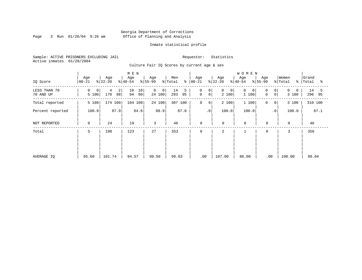Page 3 Run  $01/20/04$  9:26 am

#### Inmate statistical profile

Sample: ACTIVE PRISONERS EXCLUDING JAIL Requestor: Statistics Active inmates 01/20/2004

Culture Fair IQ Scores by current age & sex

|                           |                  |                                  | M E N                |                                            |                      |                                                                |                  | <b>WOMEN</b>           |                                     |                               |                      |
|---------------------------|------------------|----------------------------------|----------------------|--------------------------------------------|----------------------|----------------------------------------------------------------|------------------|------------------------|-------------------------------------|-------------------------------|----------------------|
| IQ Score                  | Age<br>$00 - 21$ | Age<br>$ 22-39 $                 | Age<br>$ 40-54 $     | Age<br>$ 55-99$                            | Men<br>% Total       | Age<br>$8   00 - 21$                                           | Age<br>$ 22-39 $ | Age<br>$ 40-54 $       | Age<br>$ 55-99 $                    | Women<br>% Total<br>$\approx$ | Grand<br>Total<br>ႜ  |
| LESS THAN 70<br>70 AND UP | 0<br>0<br>5 100  | $\overline{a}$<br>4<br>98<br>170 | 10<br>10<br>94<br>90 | $\overline{0}$<br>0 <sup>1</sup><br>24 100 | 14<br>5<br>95<br>293 | $\mathbf 0$<br>0 <sup>1</sup><br>$\mathbf 0$<br>0 <sup>1</sup> | 0<br>0<br>2 100  | $\Omega$<br>0<br>1 100 | 0 <sup>1</sup><br>0<br>0<br>$\circ$ | $\Omega$<br>0<br>3 100        | 14<br>5<br>296<br>95 |
| Total reported            | 5 100            | 174 100                          | 104 100              | 24 100                                     | 307 100              | $\mathbf 0$<br>0                                               | 2 100            | 1 100                  | $\mathbf 0$<br>$\mathbf{0}$         | 3 100                         | 310 100              |
| Percent reported          | 100.0            | 87.9                             | 84.6                 | 88.9                                       | 87.0                 | $\boldsymbol{\cdot}$ 0                                         | 100.0            | 100.0                  | $\cdot$ 0                           | 100.0                         | 87.1                 |
| NOT REPORTED              | 0                | 24                               | 19                   | 3                                          | 46                   | 0                                                              | $\mathbf 0$      | $\mathbf 0$            | $\mathbf 0$                         | $\mathbf 0$                   | 46                   |
| Total                     | 5                | 198                              | 123                  | 27                                         | 353                  | 0                                                              | 2                |                        | $\mathbf 0$                         | 3                             | 356                  |
|                           |                  |                                  |                      |                                            |                      |                                                                |                  |                        |                                     |                               |                      |
|                           |                  |                                  |                      |                                            |                      |                                                                |                  |                        |                                     |                               |                      |
| AVERAGE IQ                | 95.60            | 101.74                           | 94.57                | 99.50                                      | 99.03                | .00                                                            | 107.00           | 86.00                  | .00                                 | 100.00                        | 99.04                |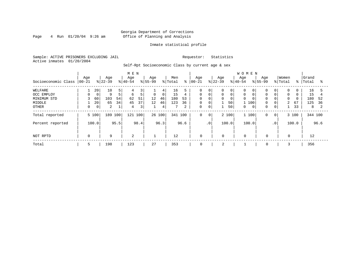Page  $4$  Run  $01/20/04$  9:26 am

#### Inmate statistical profile

Sample: ACTIVE PRISONERS EXCLUDING JAIL Requestor: Statistics Active inmates 01/20/2004

Self-Rpt Socioeconomic Class by current age & sex

| M E N               |                    |                 |                  |      |                  |                         |                    |                |                |      |                   |                 |                  |       | WOMEN            |       |                    |                 |                  |               |                |      |
|---------------------|--------------------|-----------------|------------------|------|------------------|-------------------------|--------------------|----------------|----------------|------|-------------------|-----------------|------------------|-------|------------------|-------|--------------------|-----------------|------------------|---------------|----------------|------|
| Socioeconomic Class | Age<br>$ 00 - 21 $ |                 | Age<br>$ 22-39 $ |      | Age<br>$8 40-54$ |                         | Age<br>$8155 - 99$ |                | Men<br>% Total | ៖    | Age<br>$ 00 - 21$ |                 | Age<br>$8 22-39$ |       | Age<br>$8 40-54$ |       | Age<br>$8155 - 99$ |                 | Women<br>% Total | $\frac{1}{6}$ | Grand<br>Total | °    |
| WELFARE             |                    | 20 <sup>1</sup> | 10               | 5    | 4                |                         |                    | 4 <sup>1</sup> | 16             |      | $\Omega$          | 0               | 0                | 0     |                  | 0     | $\mathbf 0$        | 0 <sup>1</sup>  | 0                | $\Omega$      | 16             | 5    |
| OCC EMPLOY          | 0                  | $\mathbf 0$     | 9                | 5    | 6                | 5                       | $\overline{0}$     | $\mathbf 0$    | 15             | 4    | $\Omega$          | $\mathbf 0$     | 0                |       |                  |       | $\mathbf 0$        | $\overline{0}$  | $\Omega$         | $\Omega$      | 15             |      |
| MINIMUM STD         | 3                  | 60              | 103              | 54   | 62               | 51                      | 12                 | 46             | 180            | 53   | $\Omega$          | $\Omega$        | $\Omega$         |       | $\Omega$         |       | $\mathbf 0$        | 0               | $\Omega$         | $\Omega$      | 180            | 52   |
| MIDDLE              |                    | 20              | 65               | 34   | 45               | 37                      | 12                 | 46             | 123            | 36   | 0                 | 0               |                  | 50    |                  | 100   | $\mathbf 0$        | $\overline{0}$  | 2                | 67            | 125            | 36   |
| <b>OTHER</b>        | 0                  | $\circ$         | 2                |      | 4                | $\overline{\mathbf{3}}$ |                    | 4              |                | 2    | 0                 | 0               |                  | 50    | 0                | 0     | 0                  | 0 <sup>1</sup>  |                  | 33            | 8              |      |
| Total reported      | 5 100              |                 | 189 100          |      | 121 100          |                         |                    | 26 100         | 341 100        |      | 0                 | 0 <sup>1</sup>  |                  | 2 100 |                  | 1 100 | $\mathbf 0$        | 0 <sup>1</sup>  |                  | 3 100         | 344 100        |      |
| Percent reported    | 100.0              |                 |                  | 95.5 |                  | 98.4                    |                    | 96.3           |                | 96.6 |                   | .0 <sup>′</sup> |                  | 100.0 | 100.0            |       |                    | .0 <sup>1</sup> |                  | 100.0         |                | 96.6 |
| NOT RPTD            | 0                  |                 | 9                |      | 2                |                         |                    |                | 12             |      | $\mathbf 0$       |                 | $\mathbf 0$      |       | $\mathbf 0$      |       | $\mathbf 0$        |                 | $\mathbf 0$      |               | 12             |      |
| Total               | 5                  |                 | 198              |      | 123              |                         | 27                 |                | 353            |      | $\mathbf 0$       |                 | 2                |       |                  |       | 0                  |                 |                  |               | 356            |      |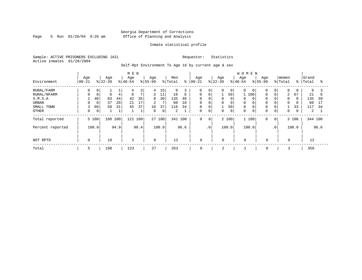Page 5 Run  $01/20/04$  9:26 am

#### Inmate statistical profile

Sample: ACTIVE PRISONERS EXCLUDING JAIL Requestor: Statistics Active inmates 01/20/2004

Self-Rpt Environment To Age 16 by current age & sex

|                  |           |             |                  |      | M E N          |                |                    |        |         |      |                   |             |                  |                | WOMEN            |             |             |                 |             |               |         |      |
|------------------|-----------|-------------|------------------|------|----------------|----------------|--------------------|--------|---------|------|-------------------|-------------|------------------|----------------|------------------|-------------|-------------|-----------------|-------------|---------------|---------|------|
| Environment      | Age       |             | Age<br>$ 22-39 $ |      | Age            |                | Age<br>$8155 - 99$ |        | Men     | ి    | Age<br>$ 00 - 21$ |             | Age<br>$8 22-39$ |                | Age<br>$8 40-54$ | $8155 - 99$ | Age         |                 | Women       | $\frac{8}{6}$ | Grand   |      |
|                  | $ 00-21 $ |             |                  |      | $8 40-54$      |                |                    |        | % Total |      |                   |             |                  |                |                  |             |             |                 | % Total     |               | Total   | ႜ    |
| RURAL/FARM       | 0         | 0           |                  |      | 4              | 3              | 4                  | 15     | 9       |      | $\Omega$          | 0           | 0                | $\overline{0}$ | $\Omega$         | 0           | $\mathbf 0$ | 0               | 0           | 0             | 9       |      |
| RURAL/NFARM      |           | $\mathbf 0$ | 8                | 4    | 8              | $\overline{7}$ | 3                  | 11     | 19      | 6    | $\mathbf 0$       | $\mathbf 0$ |                  | 50             |                  | 100         | 0           | $\Omega$        | 2           | 67            | 21      | 6    |
| S.M.S.A          | 2         | 40          | 83               | 44   | 42             | 35             | 8                  | 30     | 135     | 40   | $\mathbf 0$       | $\mathbf 0$ | 0                | 0              | $\Omega$         |             | $\mathbf 0$ | 0               | $\Omega$    | $\Omega$      | 135     | 39   |
| URBAN            |           | $\mathbf 0$ | 37               | 20   | 21             | 17             | 2                  | 7      | 60      | 18   | $\mathbf 0$       | $\mathbf 0$ | 0                | 0              | $\Omega$         |             | $\mathbf 0$ | 0               | $\mathbf 0$ | 0             | 60      | 17   |
| SMALL TOWN       | 3         | 60          | 58               | 31   | 45             | 37             | 10                 | 37     | 116     | 34   | $\mathbf 0$       | $\mathbf 0$ | 1                | 50             | $\mathbf 0$      |             | 0           | 0               |             | 33            | 117     | 34   |
| <b>OTHER</b>     | 0         | 0           |                  |      |                | $\mathbf{a}$   | $\Omega$           | 0      | 2       |      | $\Omega$          | $\mathbf 0$ | $\Omega$         | 0              | $\Omega$         | 0           | $\mathbf 0$ | 0               | 0           | 0             | 2       |      |
| Total reported   |           | 5 100       | 188 100          |      | 121            | 100            |                    | 27 100 | 341 100 |      | 0                 | $\mathbf 0$ |                  | 2 100          | 1 100            |             | $\mathbf 0$ | $\circ$         |             | 3 100         | 344 100 |      |
| Percent reported |           | 100.0       |                  | 94.9 |                | 98.4           |                    | 100.0  |         | 96.6 |                   | $\cdot$ 0   |                  | 100.0          | 100.0            |             |             | .0 <sup>1</sup> |             | 100.0         |         | 96.6 |
| NOT RPTD         | 0         |             | 10               |      | $\overline{2}$ |                | $\Omega$           |        | 12      |      | $\mathbf 0$       |             | $\Omega$         |                | $\Omega$         |             | $\Omega$    |                 | $\Omega$    |               | 12      |      |
| Total            | 5         |             | 198              |      | 123            |                | 27                 |        | 353     |      | $\mathbf 0$       |             | 2                |                |                  |             | $\mathbf 0$ |                 |             |               | 356     |      |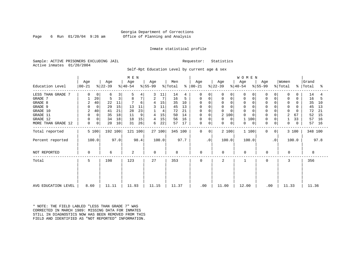#### Georgia Department of Corrections Page 6 Run 01/20/04 9:26 am Office of Planning and Analysis

#### Inmate statistical profile

Sample: ACTIVE PRISONERS EXCLUDING JAIL **Requestor:** Statistics Active inmates 01/20/2004

Self-Rpt Education Level by current age & sex

|                     |          |             |           |      | M E N     |      |          |        |                     |      |               |           |                |             | WOMEN       |             |             |                |                     |       |           |      |
|---------------------|----------|-------------|-----------|------|-----------|------|----------|--------|---------------------|------|---------------|-----------|----------------|-------------|-------------|-------------|-------------|----------------|---------------------|-------|-----------|------|
|                     | Age      |             | Age       |      | Age       |      | Age      |        | Men                 |      | Age           |           | Age            |             | Age         |             | Age         |                | Women               |       | Grand     |      |
| Education Level     | $ 00-21$ |             | $ 22-39 $ |      | $ 40-54 $ |      | $ 55-99$ |        | $\frac{1}{2}$ Total |      | $8   00 - 21$ |           | $ 22-39 $      |             | $ 40-54 $   |             | $ 55-99 $   |                | $\frac{1}{2}$ Total |       | %   Total | ႜ    |
| LESS THAN GRADE 7   | 0        | 0           | 6         | 3    |           | 4    |          | 11     | 14                  | 4    | 0             |           | 0              | 0           |             | 0           | 0           | 0              | 0                   | O     | 14        | 4    |
| GRADE 7             |          | 20          | 5         | 3    | 8         | 7    | 2        | 7      | 16                  | 5    | 0             |           | 0              | $\mathbf 0$ | $\Omega$    | 0           | 0           | 0              | $\mathbf 0$         | 0     | 16        | 5    |
| GRADE 8             | 2        | 40          | 22        | 11   |           | 6    |          | 15     | 35                  | 10   | 0             |           | $\Omega$       |             |             |             | $\Omega$    | $\Omega$       | $\Omega$            | O     | 35        | 10   |
| GRADE 9             | $\Omega$ | $\mathbf 0$ | 29        | 15   | 13        | 11   |          | 11     | 45                  | 13   | 0             |           | 0              |             | 0           |             | $\Omega$    | 0              | $\Omega$            |       | 45        | 13   |
| GRADE 10            | 2        | 40          | 41        | 21   | 28        | 23   |          | 4      | 72                  | 21   | 0             |           | 0              |             | $\mathbf 0$ | 0           | $\Omega$    | 0              | 0                   | 0     | 72        | 21   |
| GRADE 11            | 0        | 0           | 35        | 18   | 11        | 9    | 4        | 15     | 50                  | 14   | 0             |           | 2 100          |             | $\Omega$    |             | $\Omega$    |                | 2                   | 67    | 52        | 15   |
| GRADE 12            | 0        | 0           | 34        | 18   | 18        | 15   | 4        | 15     | 56                  | 16   | 0             | $\Omega$  | 0              | $\Omega$    | 100         |             | $\Omega$    | 0              |                     | 33    | 57        | 16   |
| MORE THAN GRADE 12  | 0        | 0           | 20        | 10   | 31        | 26   | 6        | 22     | 57                  | 17   | 0             | 0         | 0              | 0           | 0           | $\mathbf 0$ | $\mathbf 0$ | 0              | 0                   | 0     | 57        | 16   |
| Total reported      |          | 5 100       | 192 100   |      | 121 100   |      |          | 27 100 | 345 100             |      | 0             | 0         | 2 100          |             | 1 100       |             | $\mathbf 0$ | 0 <sup>1</sup> |                     | 3 100 | 348 100   |      |
| Percent reported    |          | 100.0       |           | 97.0 |           | 98.4 |          | 100.0  |                     | 97.7 |               | $\cdot$ 0 | 100.0          |             | 100.0       |             |             | $\cdot$ 0      |                     | 100.0 |           | 97.8 |
| NOT REPORTED        | 0        |             | 6         |      | 2         |      | 0        |        | 8                   |      | $\mathbf 0$   |           | 0              |             | $\Omega$    |             | 0           |                | $\Omega$            |       | 8         |      |
| Total               | 5        |             | 198       |      | 123       |      | 27       |        | 353                 |      | $\Omega$      |           | $\overline{a}$ |             |             |             | $\Omega$    |                | 3                   |       | 356       |      |
|                     |          |             |           |      |           |      |          |        |                     |      |               |           |                |             |             |             |             |                |                     |       |           |      |
|                     |          |             |           |      |           |      |          |        |                     |      |               |           |                |             |             |             |             |                |                     |       |           |      |
| AVG EDUCATION LEVEL | 8.60     |             | 11.11     |      | 11.93     |      | 11.15    |        | 11.37               |      | .00           |           | 11.00          |             | 12.00       |             | .00         |                | 11.33               |       | 11.36     |      |

\* NOTE: THE FIELD LABLED "LESS THAN GRADE 7" WAS CORRECTED IN MARCH 1989: MISSING DATA FOR INMATES STILL IN DIAGNOSTICS NOW HAS BEEN REMOVED FROM THIS FIELD AND IDENTIFIED AS "NOT REPORTED" INFORMATION.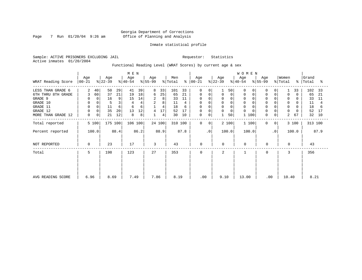Page 7 Run  $01/20/04$  9:26 am

#### Inmate statistical profile

Sample: ACTIVE PRISONERS EXCLUDING JAIL Requestor: Statistics Active inmates 01/20/2004

Functional Reading Level (WRAT Scores) by current age & sex

|                    |                    |                         | M E N            |                 |                                         |                  |                  | WOMEN            |                             |                      |                         |
|--------------------|--------------------|-------------------------|------------------|-----------------|-----------------------------------------|------------------|------------------|------------------|-----------------------------|----------------------|-------------------------|
| WRAT Reading Score | Age<br>$ 00 - 21 $ | Age<br>$ 22-39 $        | Age<br>$ 40-54 $ | Age<br>$ 55-99$ | Men<br>$\frac{1}{2}$ Total<br>$\approx$ | Age<br>$ 00-21 $ | Age<br>$ 22-39 $ | Age<br>$ 40-54 $ | Age<br>$ 55-99 $            | Women<br>% Total     | Grand<br>%   Total<br>ႜ |
| LESS THAN GRADE 6  | 2<br>40            | 50<br>29                | 39<br>41         | 8<br>33         | 101<br>33                               | $\Omega$<br>0    | 50               | $\Omega$         | $\Omega$                    | 33                   | 102<br>- 33             |
| 6TH THRU 8TH GRADE | 60<br>3            | 37<br>21                | 19<br>18         | 25<br>6         | 65<br>21                                | 0<br>0           | 0<br>0           | $\Omega$         | 0<br>0                      | $\Omega$<br>$\Omega$ | 65<br>21                |
| GRADE 9            |                    | 16<br>0                 | 9<br>14<br>15    | 2<br>8          | 33<br>11                                | 0                | 0                | 0                | $\Omega$                    | 0                    | 33<br>-11               |
| GRADE 10           | 0                  |                         | 3                | 8<br>2          | 11                                      | 0<br>$\Omega$    | 0<br>0           | $\mathbf 0$      | $\Omega$                    | 0<br>0               | 11                      |
| GRADE 11           |                    | 11                      | 6<br>6<br>6      | 4               | 18<br>6                                 | $\Omega$         | $\Omega$         | $\Omega$         |                             | $\Omega$             | 18<br>6                 |
| GRADE 12           |                    | 35<br>20<br>$\mathbf 0$ | 13<br>12         | 17<br>4         | 52<br>17                                | 0                | 0<br>0           | $\Omega$         | $\Omega$                    | 0                    | 52<br>17                |
| MORE THAN GRADE 12 | 0                  | 21<br>12<br>0           | 8<br>8           | 4               | 30<br>10                                | 0<br>0           | 50               | 100              | 0<br>0                      | 2<br>67              | 32<br>10                |
| Total reported     | 5 100              | 175 100                 | 106 100          | 24 100          | 310 100                                 | 0<br>0           | 2 100            | 1 100            | $\mathbf 0$<br>$\mathbf{0}$ | 3 100                | 313 100                 |
| Percent reported   | 100.0              | 88.4                    | 86.2             | 88.9            | 87.8                                    | . 0              | 100.0            | 100.0            | $\cdot$ 0                   | 100.0                | 87.9                    |
| NOT REPORTED       | $\Omega$           | 23                      | 17               | 3               | 43                                      | $\mathbf 0$      | $\Omega$         | 0                | 0                           | $\Omega$             | 43                      |
| Total              | 5                  | 198                     | 123              | 27              | 353                                     | 0                | $\overline{a}$   |                  | $\mathbf 0$                 | 3                    | 356                     |
|                    |                    |                         |                  |                 |                                         |                  |                  |                  |                             |                      |                         |
| AVG READING SCORE  | 6.96               | 8.69                    | 7.49             | 7.86            | 8.19                                    | .00              | 9.10             | 13.00            | .00                         | 10.40                | 8.21                    |
|                    |                    |                         |                  |                 |                                         |                  |                  |                  |                             |                      |                         |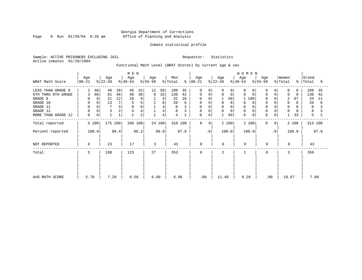Page 8 Run  $01/20/04$  9:26 am

#### Inmate statistical profile

Sample: ACTIVE PRISONERS EXCLUDING JAIL Requestor: Statistics Active inmates 01/20/2004

Functional Math Level (WRAT Scores) by current age & sex

| WRAT Math Score                                                                                              | Age<br>$00 - 21$                                   | Age<br>$ 22-39 $                                 | M E N<br>Age<br>$ 40-54 $                                             | Age<br>$ 55-99 $                                  | Men<br>% Total<br>$\frac{8}{6}$                              | Age<br>00-21                                                             | Age<br>$ 22 - 39 $                                                           | <b>WOMEN</b><br>Age<br>Age<br>% 55-99<br>$ 40-54 $                     | Women<br>% Total                                                                              | Grand<br>%   Total<br>ႜ                                                                               |
|--------------------------------------------------------------------------------------------------------------|----------------------------------------------------|--------------------------------------------------|-----------------------------------------------------------------------|---------------------------------------------------|--------------------------------------------------------------|--------------------------------------------------------------------------|------------------------------------------------------------------------------|------------------------------------------------------------------------|-----------------------------------------------------------------------------------------------|-------------------------------------------------------------------------------------------------------|
| LESS THAN GRADE 6<br>6TH THRU 8TH GRADE<br>GRADE 9<br>GRADE 10<br>GRADE 11<br>GRADE 12<br>MORE THAN GRADE 12 | 2<br>40<br>60<br>3<br>0<br>0<br>$\Omega$<br>0<br>0 | 49<br>28<br>81<br>46<br>12<br>21<br>13<br>4<br>2 | 45<br>42<br>38<br>40<br>9<br>10<br>5<br>5<br>4<br>$\overline{2}$<br>2 | 12<br>50<br>25<br>6<br>4<br>2<br>8<br>4<br>4<br>4 | 108<br>35<br>130<br>42<br>32<br>10<br>20<br>6<br>8<br>8<br>4 | $\Omega$<br>$\Omega$<br>0<br>0<br>0<br>0<br>0<br>0<br>$\Omega$<br>0<br>0 | 0<br>0<br>$\Omega$<br>0<br>50<br>$\Omega$<br>$\Omega$<br>0<br>$\Omega$<br>50 | 0<br>$\Omega$<br>0<br>100<br>0<br>0<br>$\mathbf 0$<br>$\mathbf 0$<br>0 | 0<br>$\mathbf 0$<br>0<br>0<br>2<br>0<br>$\Omega$<br>$\mathbf 0$<br>$\mathbf 0$<br>$\mathbf 0$ | 108<br>35<br>$\Omega$<br>130<br>42<br>$\Omega$<br>34<br>67<br>11<br>20<br>6<br>0<br>8<br>8<br>33<br>5 |
| Total reported<br>Percent reported<br>NOT REPORTED                                                           | 5 100<br>100.0<br>$\Omega$                         | 175 100<br>88.4<br>23                            | 106 100<br>86.2<br>17                                                 | 24 100<br>88.9<br>3                               | 310 100<br>87.8<br>43                                        | $\mathbf 0$<br>$\mathbf{0}$<br>$\cdot$ 0<br>0                            | 2 100<br>100.0<br>$\Omega$                                                   | 1 100<br>100.0<br>$\mathbf 0$                                          | $\mathbf{0}$<br>0<br>$\cdot$ 0<br>0<br>$\Omega$                                               | 313 100<br>3 100<br>87.9<br>100.0<br>43                                                               |
| Total<br>AVG MATH SCORE                                                                                      | 5<br>5.78                                          | 198<br>7.29                                      | 123<br>6.56                                                           | 27<br>6.60                                        | 353<br>6.96                                                  | $\mathbf 0$<br>.00                                                       | 2<br>11.40                                                                   | 9.20                                                                   | 3<br>0<br>.00<br>10.67                                                                        | 356<br>7.00                                                                                           |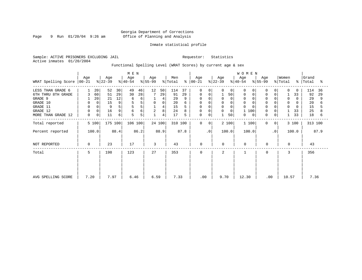Page 9 Run  $01/20/04$  9:26 am

#### Inmate statistical profile

Sample: ACTIVE PRISONERS EXCLUDING JAIL Requestor: Statistics Active inmates 01/20/2004

Functional Spelling Level (WRAT Scores) by current age & sex

|                     |                 |       |                  |      | M E N            |      |                  |             |                |      |                      |             |                  |             | W O M E N        |          |                  |                |                              |       |                    |      |
|---------------------|-----------------|-------|------------------|------|------------------|------|------------------|-------------|----------------|------|----------------------|-------------|------------------|-------------|------------------|----------|------------------|----------------|------------------------------|-------|--------------------|------|
| WRAT Spelling Score | Age<br>$ 00-21$ |       | Age<br>$ 22-39 $ |      | Age<br>$8 40-54$ |      | Age<br>$8 55-99$ |             | Men<br>% Total |      | Age<br>$8   00 - 21$ |             | Age<br>$ 22-39 $ |             | Age<br>$ 40-54 $ |          | Age<br>$ 55-99 $ |                | Women<br>$\frac{1}{2}$ Total |       | Grand<br>%   Total | ႜ    |
| LESS THAN GRADE 6   |                 | 20    | 52               | 30   | 49               | 46   | 12               | 50          | 114            | 37   | $\mathbf 0$          | 0           | $\Omega$         | $\mathbf 0$ | $\Omega$         | $\Omega$ | 0                | 0              | $\Omega$                     | 0     | 114                | 36   |
| 6TH THRU 8TH GRADE  | 3               | 60    | 51               | 29   | 30               | 28   |                  | 29          | 91             | 29   | 0                    | 0           |                  | 50          | 0                | 0        | 0                | 0              |                              | 33    | 92                 | 29   |
| GRADE 9             |                 | 20    | 21               | 12   | 6                | 6    |                  | 4           | 29             |      | 0                    |             | 0                | 0           | 0                |          |                  |                | $\Omega$                     |       | 29                 | 9    |
| GRADE 10            | 0               | 0     | 15               | 9    |                  | 5    | $\mathbf 0$      | $\mathbf 0$ | 20             | 6    | 0                    | 0           | 0                |             | $\mathbf 0$      |          | 0                | 0              | $\Omega$                     | 0     | 20                 |      |
| GRADE 11            | 0               |       | 9                | 5    | 5                | 5    |                  | 4           | 15             |      |                      |             | 0                |             | $\Omega$         |          |                  |                | $\Omega$                     | 0     | 15                 |      |
| GRADE 12            | $\mathbf 0$     | 0     | 16               | 9    | 6                | б    | $\overline{c}$   | 8           | 24             |      | 0                    | 0           | 0                | 0           | 100              |          | 0                |                |                              | 33    | 25                 |      |
| MORE THAN GRADE 12  | 0               | 0     | 11               | б    | 5                | 5    |                  | 4           | 17             | 5    | 0                    | $\mathbf 0$ |                  | 50          | 0                | 0        | 0                | 0              |                              | 33    | 18                 | 6    |
| Total reported      |                 | 5 100 | 175 100          |      | 106 100          |      |                  | 24 100      | 310 100        |      | $\mathbf 0$          | 0           |                  | 2 100       | 1 100            |          | 0                | 0 <sup>1</sup> |                              | 3 100 | 313 100            |      |
| Percent reported    |                 | 100.0 |                  | 88.4 |                  | 86.2 |                  | 88.9        |                | 87.8 |                      | $\cdot$ 0   |                  | 100.0       | 100.0            |          |                  | $\cdot$ 0      |                              | 100.0 |                    | 87.9 |
| NOT REPORTED        | 0               |       | 23               |      | 17               |      | 3                |             | 43             |      | $\mathbf 0$          |             | $\mathbf 0$      |             | $\Omega$         |          | 0                |                | $\Omega$                     |       | 43                 |      |
| Total               | 5               |       | 198              |      | 123              |      | 27               |             | 353            |      | $\mathbf 0$          |             | 2                |             |                  |          | 0                |                | 3                            |       | 356                |      |
|                     |                 |       |                  |      |                  |      |                  |             |                |      |                      |             |                  |             |                  |          |                  |                |                              |       |                    |      |
| AVG SPELLING SCORE  | 7.20            |       | 7.97             |      | 6.46             |      | 6.59             |             | 7.33           |      |                      | .00         | 9.70             |             | 12.30            |          | .00              |                | 10.57                        |       | 7.36               |      |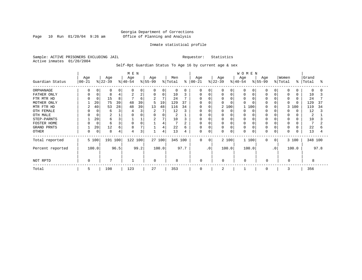Page 10 Run  $01/20/04$  9:26 am

#### Inmate statistical profile

Sample: ACTIVE PRISONERS EXCLUDING JAIL Requestor: Statistics Active inmates 01/20/2004

Self-Rpt Guardian Status To Age 16 by current age & sex

|                  |                 |             |                  |      | M E N            |                |                 |          |                |      |                 |             |                  |             |                 | WOMEN |                 |              |                  |       |                |      |
|------------------|-----------------|-------------|------------------|------|------------------|----------------|-----------------|----------|----------------|------|-----------------|-------------|------------------|-------------|-----------------|-------|-----------------|--------------|------------------|-------|----------------|------|
| Guardian Status  | Age<br>$ 00-21$ |             | Age<br>$ 22-39 $ |      | Age<br>$ 40-54 $ |                | Age<br>$ 55-99$ |          | Men<br>% Total | န္   | Age<br>$ 00-21$ |             | Age<br>$ 22-39 $ |             | Age<br>$ 40-54$ |       | Age<br>$ 55-99$ |              | Women<br>% Total | °     | Grand<br>Total | °    |
| ORPHANAGE        |                 |             | $\Omega$         | 0    |                  | 0              | $\Omega$        | 0        | $\Omega$       |      | $\Omega$        |             |                  | $\Omega$    | $\Omega$        |       |                 |              | $\Omega$         |       | $\Omega$       |      |
| FATHER ONLY      |                 | 0           | 8                | 4    |                  | 2              | 0               | $\Omega$ | 10             | 3    | $\Omega$        | 0           |                  | 0           | 0               |       |                 |              | $\Omega$         |       | 10             |      |
| FTR MTR HD       |                 | $\Omega$    | 15               | 8    |                  | 6              | 2               | 7        | 24             |      | U               |             |                  | O           | 0               |       |                 |              |                  |       | 24             |      |
| MOTHER ONLY      |                 | 20          | 75               | 39   | 48               | 39             | 5               | 19       | 129            | 37   | O               |             |                  |             | $\cap$          |       |                 |              | $\Omega$         |       | 129            | 37   |
| MTR FTR HD       | 2               | 40          | 53               | 28   | 48               | 39             | 13              | 48       | 116            | 34   | $\Omega$        |             |                  | 2 100       |                 | 100   |                 |              | 3                | 100   | 119            | 34   |
| OTH FEMALE       |                 | 0           | 6                | 3    |                  | 3              | 2               |          | 12             | 3    |                 |             |                  | $\Omega$    | O               |       |                 |              |                  |       | 12             |      |
| OTH MALE         |                 |             | $\overline{c}$   |      |                  |                | $\Omega$        |          | $\overline{2}$ |      | U               |             |                  |             | $\Omega$        |       |                 |              | $\Omega$         |       | 2              |      |
| STEP-PARNTS      |                 | 20          | 6                | 3    |                  |                | $\overline{2}$  | 7        | 10             |      | 0               |             |                  | 0           | 0               |       |                 |              | 0                |       | 10             |      |
| FOSTER HOME      |                 | $\mathbf 0$ | 6                | 3    |                  | 0              |                 | 4        |                |      | 0               |             | 0                |             | 0               |       |                 |              | 0                |       |                |      |
| GRAND PRNTS      |                 | 20          | 12               | 6    | 8                | $\overline{ }$ |                 | 4        | 22             | 6    | 0               |             |                  | 0           | 0               |       |                 |              | $\Omega$         |       | 22             |      |
| <b>OTHER</b>     |                 | $\mathbf 0$ | 8                | 4    |                  | 3              |                 | 4        | 13             | 4    | 0               | $\mathbf 0$ | 0                | $\mathbf 0$ | 0               |       | $\Omega$        |              | $\Omega$         |       | 13             |      |
| Total reported   |                 | 5 100       | 191 100          |      | 122 100          |                |                 | 27 100   | 345 100        |      | $\Omega$        | 0           |                  | 2 100       |                 | 1 100 | $\Omega$        | $\mathbf{0}$ |                  | 3 100 | 348 100        |      |
| Percent reported |                 | 100.0       |                  | 96.5 |                  | 99.2           |                 | 100.0    |                | 97.7 |                 | $\cdot$ 0   |                  | 100.0       |                 | 100.0 |                 | $\cdot$ 0    |                  | 100.0 |                | 97.8 |
| NOT RPTD         | 0               |             |                  |      |                  |                | $\Omega$        |          | 8              |      | $\Omega$        |             | $\Omega$         |             | $\Omega$        |       | $\Omega$        |              | $\Omega$         |       | 8              |      |
| Total            | 5               |             | 198              |      | 123              |                | 27              |          | 353            |      | $\Omega$        |             | 2                |             |                 |       | $\Omega$        |              | ζ                |       | 356            |      |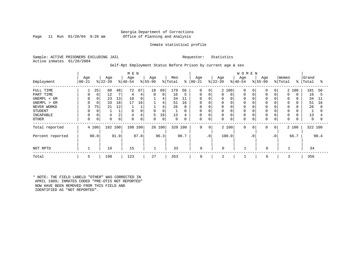#### Georgia Department of Corrections Page 11 Run 01/20/04 9:26 am Office of Planning and Analysis

#### Inmate statistical profile

Sample: ACTIVE PRISONERS EXCLUDING JAIL Requestor: Statistics Active inmates 01/20/2004

Self-Rpt Employment Status Before Prison by current age & sex

|                                                                                                    |                    |                    |                            |                           | M E N                                             |                                     |                              |                                    |                                   |                                           |                                                         |                                                          |                       |            | <b>WOMEN</b>                                      |           |                                                      |               |                                                 |                   |                                   |                          |
|----------------------------------------------------------------------------------------------------|--------------------|--------------------|----------------------------|---------------------------|---------------------------------------------------|-------------------------------------|------------------------------|------------------------------------|-----------------------------------|-------------------------------------------|---------------------------------------------------------|----------------------------------------------------------|-----------------------|------------|---------------------------------------------------|-----------|------------------------------------------------------|---------------|-------------------------------------------------|-------------------|-----------------------------------|--------------------------|
| Employment                                                                                         | Age<br>$ 00 - 21 $ |                    | Age<br>$ 22-39$            |                           | Age<br>$ 40-54 $                                  |                                     | Age<br>$ 55-99 $             |                                    | Men<br>% Total                    | ႜ                                         | Age<br>$ 00 - 21$                                       |                                                          | Age<br>$ 22-39 $      |            | Age<br>$ 40-54 $                                  |           | Age<br>$ 55-99 $                                     |               | Women<br>% Total                                | ွေ                | Grand<br>Total                    | °                        |
| FULL TIME<br>PART TIME<br>UNEMPL < 6M<br>UNEMPL > 6M<br>NEVER WORKD<br><b>STUDENT</b><br>INCAPABLE | 3                  | 25<br>0<br>75<br>0 | 88<br>12<br>23<br>33<br>21 | 48<br>13<br>18<br>12<br>2 | 72<br>4<br>10<br>17<br>$\Omega$<br>$\overline{4}$ | 67<br>4<br>9<br>16<br>$\Omega$<br>4 | 18<br>$\mathbf{0}$<br>0<br>5 | 69<br>0<br>4<br>4<br>4<br>0<br>19' | 179<br>16<br>34<br>51<br>26<br>13 | 56<br>5<br>11<br>16<br>8<br>$\Omega$<br>4 | $\mathbf 0$<br>0<br>0<br>$\Omega$<br>$\Omega$<br>0<br>0 | 0<br>0<br>$\Omega$<br>$\Omega$<br>$\mathsf{C}$<br>0<br>C | 0<br>0<br>0<br>0<br>0 | 2 100<br>0 | $\Omega$<br>0<br>$\Omega$<br>$\Omega$<br>$\Omega$ |           | $\Omega$<br>$\mathbf 0$<br>$\Omega$<br>$\Omega$<br>0 | $\Omega$<br>0 | 0<br>0<br>$\Omega$<br>$\Omega$<br>$\Omega$<br>0 | 2 100<br>$\Omega$ | 181<br>16<br>34<br>51<br>26<br>13 | 56<br>5<br>11<br>16<br>8 |
| OTHER                                                                                              | 0                  | 0                  |                            | 0                         | $\Omega$                                          | $\Omega$                            | $\Omega$                     | 0                                  | 0                                 | $\Omega$                                  | $\mathbf 0$                                             | 0                                                        | 0                     |            | $\Omega$                                          |           | $\Omega$                                             | 0             | $\Omega$                                        |                   | $\Omega$                          |                          |
| Total reported                                                                                     |                    | 4 100              | 182 100                    |                           | 108 100                                           |                                     |                              | 26 100                             | 320 100                           |                                           | 0                                                       | $\mathbf 0$                                              |                       | 2 100      | $\mathbf 0$                                       | 0         | 0                                                    | $\mathbf{0}$  |                                                 | 2 100             | 322 100                           |                          |
| Percent reported                                                                                   |                    | 80.0               |                            | 91.9                      |                                                   | 87.8                                |                              | 96.3                               |                                   | 90.7                                      |                                                         | $\cdot$ 0                                                |                       | 100.0      |                                                   | $\cdot$ 0 |                                                      | $\cdot$ 0     |                                                 | 66.7              |                                   | 90.4                     |
| NOT RPTD                                                                                           |                    |                    | 16                         |                           | 15                                                |                                     |                              |                                    | 33                                |                                           | $\mathbf 0$                                             |                                                          | $\Omega$              |            |                                                   |           | $\Omega$                                             |               |                                                 |                   | 34                                |                          |
| Total                                                                                              | 5                  |                    | 198                        |                           | 123                                               |                                     | 27                           |                                    | 353                               |                                           | 0                                                       |                                                          | $\overline{2}$        |            |                                                   |           | 0                                                    |               |                                                 |                   | 356                               |                          |

\* NOTE: THE FIELD LABELD "OTHER" WAS CORRECTED IN APRIL 1989; INMATES CODED "PRE-OTIS NOT REPORTED" NOW HAVE BEEN REMOVED FROM THIS FIELD AND IDENTIFIED AS "NOT REPORTED".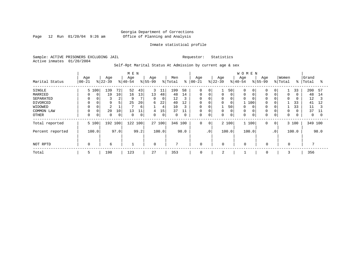Page 12 Run  $01/20/04$  9:26 am

#### Inmate statistical profile

Sample: ACTIVE PRISONERS EXCLUDING JAIL Requestor: Statistics Active inmates 01/20/2004

Self-Rpt Marital Status At Admission by current age & sex

|                                                                                     |                                         |                                                              |                                            | M E N                          |                                |                             |                                     |                                                  |                                     |                                                                                           |                       |                       |                                             | <b>WOMEN</b>                                       |     |                    |                             |                                      |                |                                                   |                           |
|-------------------------------------------------------------------------------------|-----------------------------------------|--------------------------------------------------------------|--------------------------------------------|--------------------------------|--------------------------------|-----------------------------|-------------------------------------|--------------------------------------------------|-------------------------------------|-------------------------------------------------------------------------------------------|-----------------------|-----------------------|---------------------------------------------|----------------------------------------------------|-----|--------------------|-----------------------------|--------------------------------------|----------------|---------------------------------------------------|---------------------------|
| Marital Status                                                                      | Age<br>$ 00-21 $                        | Age<br>$8 22-39$                                             |                                            | Age<br>$ 40-54 $               |                                | Age<br>$8 55-99$            |                                     | Men<br>% Total                                   | ៖                                   | Age<br>$ 00 - 21$                                                                         |                       | Age<br>$8 22-39$      |                                             | Age<br>$ 40-54$                                    |     | Age<br>$8155 - 99$ |                             | Women<br>% Total                     | $\frac{8}{6}$  | Grand<br>Total                                    | °≈                        |
| SINGLE<br>MARRIED<br>SEPARATED<br>DIVORCED<br>WIDOWED<br>COMMON LAW<br><b>OTHER</b> | 5 100<br>0<br>$\Omega$<br>$\Omega$<br>0 | 139<br>19<br>0<br>3<br>9<br>2<br>20<br>$\mathbf 0$<br>0<br>0 | 72<br>10<br>$\overline{2}$<br>5<br>10<br>0 | 52<br>16<br>9<br>25<br>13<br>0 | 43<br>13<br>20<br>6<br>11<br>0 | 3<br>13<br>0<br>6<br>4<br>0 | 11<br>48<br>0<br>22<br>4<br>15<br>0 | 199<br>48<br>12<br>40<br>10<br>37<br>$\mathbf 0$ | 58<br>14<br>3<br>12<br>3<br>11<br>0 | $\mathbf 0$<br>0<br>$\mathbf 0$<br>0<br>$\mathsf{O}\xspace$<br>$\mathbf 0$<br>$\mathbf 0$ | O<br>0<br>0<br>0<br>0 | 0<br>0<br>0<br>0<br>0 | 50<br>0<br>0<br>0<br>50<br>$\mathbf 0$<br>0 | $\Omega$<br>0<br>$\Omega$<br>0<br>$\mathbf 0$<br>0 | 100 | $\Omega$<br>0      | 0<br>0<br>0<br>0            | 0<br>$\mathbf 0$<br>$\mathbf 0$<br>0 | 33<br>33<br>33 | 200<br>48<br>12<br>41<br>11<br>37<br>$\mathbf{0}$ | 57<br>14<br>3<br>12<br>11 |
| Total reported<br>Percent reported                                                  | 5 100<br>100.0                          |                                                              | 192 100<br>97.0                            | 122 100                        | 99.2                           |                             | 27 100<br>100.0                     | 346 100                                          | 98.0                                | $\mathbf 0$                                                                               | 0<br>.0 <sup>1</sup>  |                       | 2 100<br>100.0                              | 1 100<br>100.0                                     |     | 0                  | $\overline{0}$<br>$\cdot$ 0 |                                      | 3 100<br>100.0 | 349 100                                           | 98.0                      |
| NOT RPTD                                                                            | 0                                       | 6                                                            |                                            |                                |                                | $\mathbf 0$                 |                                     | 7                                                |                                     | $\mathbf 0$                                                                               |                       | $\mathbf 0$           |                                             | $\mathbf 0$                                        |     | $\mathbf 0$        |                             | $\mathbf 0$                          |                |                                                   |                           |
| Total                                                                               | 5                                       | 198                                                          |                                            | 123                            |                                | 27                          |                                     | 353                                              |                                     | 0                                                                                         |                       | 2                     |                                             |                                                    |     | 0                  |                             | 3                                    |                | 356                                               |                           |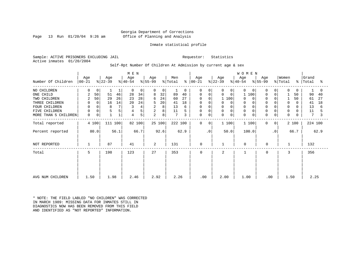#### Georgia Department of Corrections Page 13 Run 01/20/04 9:26 am Office of Planning and Analysis

#### Inmate statistical profile

Sample: ACTIVE PRISONERS EXCLUDING JAIL Requestor: Statistics Active inmates 01/20/2004

#### Self-Rpt Number Of Children At Admission by current age & sex

|                      |                    |             |                  |      | M E N            |        |                  |        |                            |               |                    |             |                  | WOMEN            |             |                  |                |                  |           |                |      |
|----------------------|--------------------|-------------|------------------|------|------------------|--------|------------------|--------|----------------------------|---------------|--------------------|-------------|------------------|------------------|-------------|------------------|----------------|------------------|-----------|----------------|------|
| Number Of Children   | Age<br>$ 00 - 21 $ |             | Age<br>$ 22-39 $ |      | Age<br>$ 40-54 $ |        | Age<br>$ 55-99 $ |        | Men<br>$\frac{1}{2}$ Total | $\frac{6}{6}$ | Age<br>$ 00 - 21 $ |             | Age<br>$ 22-39 $ | Age<br>$ 40-54 $ |             | Age<br>$ 55-99 $ |                | Women<br>% Total | $\approx$ | Grand<br>Total | °    |
| NO CHILDREN          | $\Omega$           | 0           |                  |      | $\Omega$         | 0      | $\Omega$         | 0      |                            | $\Omega$      | $\Omega$           | $\Omega$    | 0<br>$\Omega$    | $\Omega$         | $\Omega$    | $\Omega$         | $\Omega$       | $\Omega$         | $\Omega$  |                | 0    |
| ONE CHILD            | 2                  | 50          | 51               | 46   | 28               | 34     | 8                | 32     | 89                         | 40            | $\Omega$           | $\Omega$    | $\mathbf 0$<br>0 | 1                | 100         | $\Omega$         | $\Omega$       |                  | 50        | 90             | 40   |
| TWO CHILDREN         | 2                  | 50          | 29               | 26   | 23               | 28     | 6                | 24     | 60                         | 27            |                    | $\Omega$    | 1 100            | $\Omega$         |             |                  |                |                  | 50        | 61             | 27   |
| THREE CHILDREN       | 0                  | $\mathbf 0$ | 16               | 14   | 20               | 24     | 5                | 20     | 41                         | 18            | 0                  | 0           | 0<br>$\Omega$    | 0                | 0           | $\Omega$         |                | $\mathbf 0$      |           | 41             | 18   |
| FOUR CHILDREN        | 0                  |             | 8                | 7    |                  | 4      | 2                | 8      | 13                         | 6             | 0                  | 0           | 0                | 0                |             |                  |                | $\Omega$         |           | 13             | 6    |
| FIVE CHILDREN        | $\mathbf 0$        | 0           | 5                | 5    | 4                | 5      | $\overline{2}$   | 8      | 11                         |               | 0                  | $\Omega$    | 0<br>$\Omega$    | 0                |             | $\Omega$         |                | 0                |           | 11             |      |
| MORE THAN 5 CHILDREN | 0                  | 0           |                  |      | 4                | 5      | 2                | 8      | $7\phantom{.0}$            | 3             | 0                  | $\mathbf 0$ | 0<br>$\mathbf 0$ | 0                | $\mathbf 0$ | $\Omega$         | 0              | $\mathbf 0$      |           | 7              | 3    |
| Total reported       |                    | 4 100       | 111 100          |      |                  | 82 100 |                  | 25 100 | 222 100                    |               | 0                  | 0           | 1 100            |                  | 1 100       | $\Omega$         | $\overline{0}$ |                  | 2 100     | 224 100        |      |
| Percent reported     |                    | 80.0        |                  | 56.1 |                  | 66.7   |                  | 92.6   |                            | 62.9          |                    | . 0         | 50.0             |                  | 100.0       |                  | $\cdot$ 0      |                  | 66.7      |                | 62.9 |
| NOT REPORTED         |                    |             | 87               |      | 41               |        | 2                |        | 131                        |               | 0                  |             |                  | $\mathbf 0$      |             | 0                |                | -1               |           | 132            |      |
| Total                | 5                  |             | 198              |      | 123              |        | 27               |        | 353                        |               | 0                  |             | 2                | $\mathbf{1}$     |             | $\Omega$         |                | 3                |           | 356            |      |
|                      |                    |             |                  |      |                  |        |                  |        |                            |               |                    |             |                  |                  |             |                  |                |                  |           |                |      |
|                      |                    |             |                  |      |                  |        |                  |        |                            |               |                    |             |                  |                  |             |                  |                |                  |           |                |      |
| AVG NUM CHILDREN     | 1.50               |             | 1.98             |      | 2.46             |        | 2.92             |        | 2.26                       |               | .00                |             | 2.00             | 1.00             |             | .00              |                | 1.50             |           | 2.25           |      |

\* NOTE: THE FIELD LABLED "NO CHILDREN" WAS CORRECTED IN MARCH 1989: MISSING DATA FOR INMATES STILL IN DIAGNOSTICS NOW HAS BEEN REMOVED FROM THIS FIELD AND IDENTIFIED AS "NOT REPORTED" INFORMATION.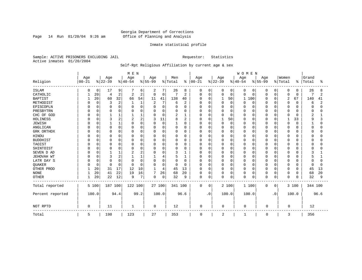Page 14 Run  $01/20/04$  9:26 am

#### Inmate statistical profile

Sample: ACTIVE PRISONERS EXCLUDING JAIL Requestor: Statistics Active inmates 01/20/2004

### Self-Rpt Religious Affiliation by current age & sex

|                  |           |          |          |                | M E N          |                |             |          |              |                |             |             |          |              | WOMEN       |             |          |           |              |          |         |      |
|------------------|-----------|----------|----------|----------------|----------------|----------------|-------------|----------|--------------|----------------|-------------|-------------|----------|--------------|-------------|-------------|----------|-----------|--------------|----------|---------|------|
|                  | Age       |          | Age      |                | Age            |                | Age         |          | Men          |                | Age         |             | Age      |              | Age         |             | Age      |           | Women        |          | Grand   |      |
| Religion         | $00 - 21$ |          | $ 22-39$ |                | $ 40-54$       |                | $ 55-99$    |          | % Total      | $\frac{8}{6}$  | $00 - 21$   |             | $ 22-39$ |              | $ 40-54 $   |             | $ 55-99$ |           | % Total      | ిక       | Total   | ႜ    |
| <b>ISLAM</b>     | O         | 0        | 17       | 9              |                | 6              | 2           | 7        | 26           | 8              | 0           | 0           | 0        | 0            | 0           | 0           | 0        | 0         | 0            | 0        | 26      | 8    |
| CATHOLIC         |           | 20       | 4        | $\overline{2}$ | $\overline{c}$ | $\overline{2}$ | $\mathbf 0$ | 0        | 7            | 2              | $\Omega$    | $\mathbf 0$ | 0        | $\mathbf 0$  | 0           | 0           | 0        | $\Omega$  | $\mathbf 0$  | 0        | 7       | 2    |
| <b>BAPTIST</b>   |           | 20       | 60       | 32             | 66             | 54             | 11          | 41       | 138          | 40             | $\Omega$    | 0           |          | 50           | 1           | 100         | O        | $\Omega$  | 2            | 67       | 140     | 41   |
| METHODIST        |           | $\Omega$ | 3        | $\overline{2}$ |                | 1              | 2           | 7        | 6            | $\overline{2}$ |             | $\Omega$    | $\Omega$ | $\Omega$     | 0           | 0           | O        | O         | $\mathbf 0$  | $\Omega$ | 6       | 2    |
| EPISCOPLN        |           | $\Omega$ | $\Omega$ | $\Omega$       |                | 0              | $\Omega$    | 0        | 0            | 0              |             | $\mathbf 0$ | 0        | $\Omega$     | Ω           | 0           | U        | $\Omega$  | $\Omega$     | O        | O       |      |
| PRESBYTRN        |           |          | $\Omega$ | $\Omega$       |                | O              | 0           | 0        | O            | 0              |             | $\Omega$    | 0        | $\Omega$     | 0           | 0           |          | $\Omega$  | 0            | U        |         |      |
| CHC OF GOD       |           | U        |          |                |                |                | $\Omega$    | 0        | 2            | 1              |             | $\Omega$    | 0        | $\Omega$     | 0           | $\Omega$    | U        | $\Omega$  | $\Omega$     | U        | 2       |      |
| HOLINESS         |           |          | 3        | 2              | 2              | 2              | 3           | 11       | 8            | 2              |             | $\Omega$    |          | 50           | O           | $\Omega$    |          | $\Omega$  | $\mathbf{1}$ | 33       | q       |      |
| <b>JEWISH</b>    |           |          |          |                | U              | 0              | $\Omega$    | $\Omega$ | $\mathbf{1}$ | 0              | U           | $\Omega$    | 0        | $\mathbf 0$  | O           | 0           | O        | O         | $\mathbf 0$  | $\Omega$ |         |      |
| ANGLICAN         |           | $\Omega$ | $\Omega$ | $\Omega$       | O              | 0              | $\Omega$    | 0        | 0            | 0              |             | $\Omega$    | 0        | $\Omega$     | N           | 0           | O        | $\Omega$  | $\Omega$     |          |         |      |
| GRK ORTHDX       |           | 0        | $\Omega$ | 0              | O              | 0              | 0           | 0        | 0            | 0              | U           | 0           | 0        | $\Omega$     | 0           | 0           |          | 0         | 0            |          |         |      |
| HINDU            |           |          | $\Omega$ |                |                | 0              | 0           | 0        | 0            | 0              | U           | 0           | 0        | $\Omega$     | Ω           | 0           |          | O         | 0            |          |         |      |
| <b>BUDDHIST</b>  |           |          | $\Omega$ | $\Omega$       |                | O              | $\Omega$    | 0        | 0            | $\Omega$       |             | $\Omega$    | 0        | $\Omega$     | Ω           | $\mathbf 0$ |          | $\Omega$  | $\Omega$     |          |         |      |
| TAOIST           |           |          | $\Omega$ | O              |                | 0              | 0           | 0        | 0            | 0              |             | $\Omega$    | 0        | $\Omega$     | 0           | $\Omega$    |          | $\Omega$  | $\Omega$     |          |         |      |
| SHINTOIST        |           |          | $\Omega$ | O              | n              | O              | U           | 0        | 0            | U              |             | $\Omega$    | 0        | <sup>n</sup> | O           | $\Omega$    |          | $\Omega$  | 0            | ∩        |         |      |
| SEVEN D AD       |           |          |          |                |                | 2              | $\Omega$    | 0        | 3            | 1              | U           | $\Omega$    | $\Omega$ | $\cap$       | O           | $\Omega$    |          | $\Omega$  | $\Omega$     |          |         |      |
| JEHOVAH WT       |           | $\Omega$ | 3        |                |                |                |             | 4        | 5            | 1              | U           | $\Omega$    | 0        | $\Omega$     | 0           | 0           | O        | $\Omega$  | 0            |          |         |      |
| LATR DAY S       |           |          | $\Omega$ | $\Omega$       |                | 0              | $\Omega$    | 0        | 0            | 0              |             | $\Omega$    | 0        | $\Omega$     | 0           | 0           | O        | n         | $\mathbf 0$  |          |         |      |
| QUAKER           |           | $\Omega$ | $\Omega$ | $\Omega$       | n              | $\Omega$       | O           | $\Omega$ | 0            | 0              | U           | $\Omega$    | 0        | $\Omega$     | 0           | 0           | O        | O         | $\mathbf 0$  | 0        |         |      |
| OTHER PROD       |           | 20       | 31       | 17             | 12             | 10             | 1           | 4        | 45           | 13             | $\Omega$    | $\Omega$    | 0        | $\Omega$     | O           | 0           | O        | $\Omega$  | 0            | $\Omega$ | 45      | 13   |
| <b>NONE</b>      |           | 20       | 41       | 22             | 19             | 16             | 7           | 26       | 68           | 20             | $\Omega$    | 0           | $\Omega$ | $\mathbf 0$  | 0           | $\mathbf 0$ | 0        | 0         | 0            | $\Omega$ | 68      | 20   |
| <b>OTHER</b>     |           | 20       | 22       | 12             | 9              | 7              | 0           | 0        | 32           | 9              | $\Omega$    | $\mathbf 0$ | $\Omega$ | 0            | 0           | $\mathbf 0$ | 0        | $\Omega$  | $\mathbf 0$  | $\Omega$ | 32      | 9    |
| Total reported   |           | 5 100    | 187 100  |                | 122 100        |                | 27 100      |          | 341 100      |                | $\mathbf 0$ | 0           |          | 2 100        |             | 1 100       | $\Omega$ | 0         |              | 3 100    | 344 100 |      |
| Percent reported |           | 100.0    |          | 94.4           |                | 99.2           |             | 100.0    |              | 96.6           |             | $\cdot$ 0   |          | 100.0        |             | 100.0       |          | $\cdot$ 0 |              | 100.0    |         | 96.6 |
| NOT RPTD         | 0         |          | 11       |                | 1              |                | 0           |          | 12           |                | $\mathbf 0$ |             | 0        |              | $\mathbf 0$ |             | $\Omega$ |           | $\Omega$     |          | 12      |      |
| Total            | 5         |          | 198      |                | 123            |                | 27          |          | 353          |                | 0           |             | 2        |              | 1           |             | 0        |           | 3            |          | 356     |      |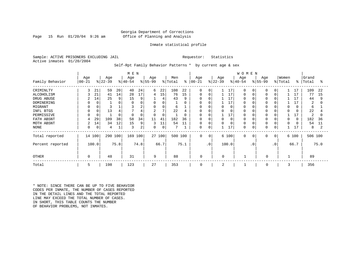#### Georgia Department of Corrections Page 15 Run 01/20/04 9:26 am Office of Planning and Analysis

#### Inmate statistical profile

Sample: ACTIVE PRISONERS EXCLUDING JAIL **Requestor:** Statistics Active inmates 01/20/2004

Self-Rpt Family Behavior Patterns \* by current age & sex

|                  |           |       |           |      | M E N        |      |                |        |         |          |             |           |           |       | <b>WOMEN</b> |             |           |                 |          |          |         |      |
|------------------|-----------|-------|-----------|------|--------------|------|----------------|--------|---------|----------|-------------|-----------|-----------|-------|--------------|-------------|-----------|-----------------|----------|----------|---------|------|
|                  | Age       |       | Age       |      | Age          |      | Age            |        | Men     |          | Age         |           | Age       |       | Age          |             | Age       |                 | Women    |          | Grand   |      |
| Family Behavior  | $00 - 21$ |       | $ 22-39 $ |      | $ 40-54 $    |      | $ 55-99$       |        | % Total | နွ       | $00 - 21$   |           | $ 22-39 $ |       | $ 40-54$     |             | $ 55-99 $ |                 | % Total  | ွေ       | Total   | ႜ    |
| CRIMINLTY        | 3         | 21    | 59        | 20   | 40           | 24   | 6              | 22     | 108     | 22       | $\Omega$    | $\Omega$  |           | 17    | $\Omega$     | $\Omega$    | $\Omega$  | $\Omega$        |          | 17       | 109     | 22   |
| ALCOHOLISM       |           | 21    | 41        | 14   | 28           | 17   | 4              | 15     | 76      | 15       | $\Omega$    | $\Omega$  |           | 17    | $\Omega$     |             | $\Omega$  | $\Omega$        |          | 17       | 77      | 15   |
| DRUG ABUSE       | 2         | 14    | 25        | 9    | 15           | 9    |                | 4      | 43      | 9        | 0           | O         |           | 17    |              |             |           |                 |          | 17       | 44      | 9    |
| DOMINERING       |           |       |           | 0    |              |      | 0              | 0      |         | 0        | 0           |           |           | 17    |              |             |           |                 |          |          | 2       | 0    |
| MIGRANT          |           |       |           |      |              | 2    | 0              | 0      | 6       |          | 0           | 0         | 0         | 0     |              |             | $\Omega$  |                 | $\Omega$ | O        | 6       |      |
| INFL BTGS        |           |       | 13        | 4    |              | 4    | $\overline{2}$ | 7      | 22      | 4        | 0           | 0         | 0         |       |              |             |           |                 | $\Omega$ |          | 22      |      |
| PERMISSIVE       |           |       |           | 0    | <sup>0</sup> | 0    | $\Omega$       | 0      |         | $\Omega$ | $\Omega$    | $\Omega$  |           | 17    | $\Omega$     |             | $\Omega$  |                 |          |          | 2       | O    |
| FATH ABSNT       |           | 29    | 109       | 38   | 58           | 34   | 11             | 41     | 182     | 36       | $\Omega$    | $\Omega$  | $\Omega$  |       |              |             | 0         |                 | $\Omega$ | $\Omega$ | 182     | 36   |
| MOTH ABSNT       | 2         | 14    | 34        | 12   | 15           | 9    | 3              | 11     | 54      | 11       | 0           | $\Omega$  | $\Omega$  |       | $\Omega$     |             |           |                 | $\Omega$ |          | 54      | 11   |
| NONE             |           | 0     | 4         |      | 3            | 2    | 0              | 0      |         |          | 0           | 0         |           | 17    | $\Omega$     |             | 0         | 0               |          | 17       | 8       |      |
| Total reported   | 14        | 100   | 290 100   |      | 169 100      |      |                | 27 100 | 500 100 |          | $\mathbf 0$ | 0         |           | 6 100 | $\mathbf 0$  | $\mathbf 0$ | 0         | 0 <sup>1</sup>  |          | 6 100    | 506 100 |      |
| Percent reported |           | 100.0 |           | 75.8 |              | 74.8 |                | 66.7   |         | 75.1     |             | $\cdot$ 0 |           | 100.0 |              | $\cdot$ 0   |           | .0 <sup>′</sup> |          | 66.7     |         | 75.0 |
| <b>OTHER</b>     | $\Omega$  |       | 48        |      | 31           |      | 9              |        | 88      |          | 0           |           | $\Omega$  |       |              |             | $\Omega$  |                 |          |          | 89      |      |
| Total            | 5         |       | 198       |      | 123          |      | 27             |        | 353     |          | 0           |           | 2         |       |              |             | 0         |                 | 3        |          | 356     |      |

\* NOTE: SINCE THERE CAN BE UP TO FIVE BEHAVIOR CODES PER INMATE, THE NUMBER OF CASES REPORTED IN THE DETAIL LINES AND THE TOTAL REPORTED LINE MAY EXCEED THE TOTAL NUMBER OF CASES. IN SHORT, THIS TABLE COUNTS THE NUMBER OF BEHAVIOR PROBLEMS, NOT INMATES.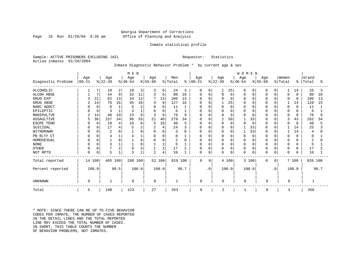#### Georgia Department of Corrections Page 16 Run 01/20/04 9:26 am Office of Planning and Analysis

#### Inmate statistical profile

Sample: ACTIVE PRISONERS EXCLUDING JAIL **Requestor:** Statistics Active inmates 01/20/2004

#### Inmate Diagnostic Behavior Problem \* by current age & sex

|                    | M E N      |          |                |      |           |        |                |                |         |      |               |           |                |             | WOMEN        |             |              |           |          |             |         |      |
|--------------------|------------|----------|----------------|------|-----------|--------|----------------|----------------|---------|------|---------------|-----------|----------------|-------------|--------------|-------------|--------------|-----------|----------|-------------|---------|------|
|                    | Age        |          | Age            |      | Age       |        | Age            |                | Men     |      | Age           |           | Age            |             | Age          |             | Age          |           | Women    |             | Grand   |      |
| Diagnostic Problem | $ 00 - 21$ |          | $ 22-39 $      |      | $ 40-54 $ |        | $ 55-99$       |                | % Total |      | $8   00 - 21$ |           | $ 22-39 $      |             | $ 40-54 $    |             | $ 55-99 $    |           | % Total  | ႜ           | Total   | °≈   |
| <b>ALCOHOLIC</b>   |            |          | 10             | 2    | 10        | 3      | 3              | 6              | 24      | 3    | 0             | 0         |                | 25          | $\Omega$     | 0           | 0            | 0         | 1        | 14          | 25      | 3    |
| <b>ALCOH ABSE</b>  |            | 7        | 44             | 9    | 32        | 11     | 3              | 6              | 80      | 10   | 0             | 0         | $\Omega$       | $\mathbf 0$ |              | $\mathbf 0$ |              | $\Omega$  | 0        | $\Omega$    | 80      | 10   |
| DRUG EXP           |            | 21       | 62             | 13   | 34        | 12     |                | 13             | 106     | 13   | O             | O         |                | 0           |              | 0           | $\Omega$     | $\Omega$  | $\Omega$ | $\mathbf 0$ | 106     | 13   |
| DRUG ABSE          |            | 14       | 76             | 16   | 45        | 16     | 4              | 8              | 127     | 16   | O             | O         |                | 25          |              | $\Omega$    |              | $\Omega$  |          | 14          | 128     | 15   |
| NARC ADDCT         |            | $\Omega$ | 6              |      |           | 2      | $\Omega$       | 0              | 11      |      | 0             | 0         |                | $\mathbf 0$ |              | $\Omega$    |              | $\Omega$  | 0        | $\Omega$    | 11      |      |
| EPILEPTIC          |            | $\Omega$ |                |      | 3         |        | $\Omega$       | $\Omega$       | 6       |      | O             | $\Omega$  |                | $\Omega$    |              | $\Omega$    |              | $\Omega$  | 0        | O           | 6       |      |
| MANIPULTVE         |            | 14       | 48             | 10   | 23        | 8      | 3              | 6              | 76      | 9    | $\Omega$      | O         |                | $\Omega$    |              | $\Omega$    |              | $\Omega$  | 0        | $\Omega$    | 76      |      |
| ASSAULTIVE         | 5          | 36       | 157            | 34   | 96        | 33     | 21             | 40             | 279     | 34   | $\Omega$      | O         | $\overline{2}$ | 50          |              | 33          | $\Omega$     | $\Omega$  | 3        | 43          | 282     | 34   |
| ESCPE TEND         |            | $\Omega$ | 19             |      | 16        | 6      | 5              | 10             | 40      | 5    | 0             | $\Omega$  |                | $\mathbf 0$ |              | $\Omega$    | 0            | $\Omega$  | 0        | $\Omega$    | 40      |      |
| SUICIDAL           |            |          | 17             |      |           | 2      | $\overline{2}$ | 4              | 24      | 3    | <sup>0</sup>  | O         |                | 0           |              | 33          |              | $\Omega$  |          | 14          | 25      |      |
| WITHDRAWN          |            |          | $\overline{2}$ |      |           | O      | $\Omega$       | $\Omega$       | 3       | O    | <sup>0</sup>  | U         |                | $\Omega$    |              | 33          |              | $\Omega$  |          | 14          | 4       |      |
| PR RLTY CT         |            |          |                |      |           |        | 0              | $\Omega$       | 8       |      | 0             | 0         |                | 0           |              | $\Omega$    | $\Omega$     | $\Omega$  | O        | O           | 8       |      |
| HOMOSEXUAL         |            |          |                |      |           | $\cap$ | $\Omega$       | 0              |         | O    | 0             | $\Omega$  |                | $\Omega$    |              | $\Omega$    | $\Omega$     | $\cap$    | 0        | ∩           |         |      |
| <b>NONE</b>        |            |          | 3              |      |           |        |                | 2              | 5       |      | 0             | 0         |                | $\Omega$    |              | $\Omega$    | 0            | $\Omega$  | $\Omega$ | O           | 5       |      |
| <b>OTHER</b>       |            |          |                | 2    | 9         |        |                | $\overline{2}$ | 17      | 2    | 0             | 0         |                | 0           |              | $\mathbf 0$ | 0            | $\Omega$  | 0        | $\Omega$    | 17      |      |
| NOT RPTD           |            | 0        | 5              |      | 3         |        | $\overline{2}$ | 4              | 10      |      | 0             | 0         |                | 0           | <sup>0</sup> | $\mathbf 0$ |              | 0         | 0        | 0           | 10      |      |
| Total reported     | 14 100     |          | 465 100        |      | 288 100   |        |                | 52 100         | 819 100 |      | $\Omega$      | 0         |                | 4 100       |              | 3 100       | $\Omega$     | 0         |          | 7 100       | 826 100 |      |
| Percent reported   |            | 100.0    |                | 99.5 |           | 100.0  |                | 100.0          |         | 99.7 |               | $\cdot$ 0 |                | 100.0       |              | 100.0       |              | $\cdot$ 0 |          | 100.0       |         | 99.7 |
| UNKNOWN            | $\Omega$   |          |                |      | 0         |        | $\mathbf 0$    |                | 1       |      | $\Omega$      |           | 0              |             | 0            |             | O            |           | 0        |             |         |      |
| Total              | 5          |          | 198            |      | 123       |        | 27             |                | 353     |      | $\mathbf 0$   |           | 2              |             |              |             | <sup>0</sup> |           | 3        |             | 356     |      |

\* NOTE: SINCE THERE CAN BE UP TO FIVE BEHAVIOR CODES PER INMATE, THE NUMBER OF CASES REPORTED IN THE DETAIL LINES AND THE TOTAL REPORTED LINE MAY EXCEED THE TOTAL NUMBER OF CASES. IN SHORT, THIS TABLE COUNTS THE NUMBER OF BEHAVIOR PROBLEMS, NOT INMATES.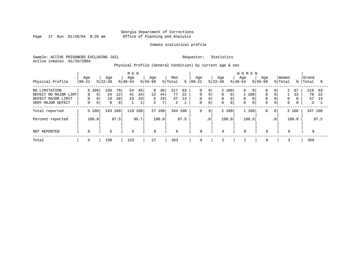Page 17 Run  $01/20/04$  9:26 am

#### Inmate statistical profile

Sample: ACTIVE PRISONERS EXCLUDING JAIL Requestor: Statistics Active inmates 01/20/2004

Physical Profile (General Condition) by current age & sex

|                                                                                  |                                    |                                                             | M E N                              |                  |                     |                                |                     |                      |                |                                                          |                                                    | <b>WOMEN</b>       |                                       |                       |                                         |                                       |                                                   |                              |          |                      |                 |
|----------------------------------------------------------------------------------|------------------------------------|-------------------------------------------------------------|------------------------------------|------------------|---------------------|--------------------------------|---------------------|----------------------|----------------|----------------------------------------------------------|----------------------------------------------------|--------------------|---------------------------------------|-----------------------|-----------------------------------------|---------------------------------------|---------------------------------------------------|------------------------------|----------|----------------------|-----------------|
| Physical Profile                                                                 | Age<br>$00 - 21$                   | Age<br>$ 22-39 $                                            |                                    | Age<br>$8 40-54$ |                     | Age<br>$ 55-99$                |                     | Men<br>% Total       | ៖              | Age<br>$ 00-21$                                          |                                                    | Age<br>$ 22-39 $   |                                       | Age<br>$8 40-54$      | $8155 - 99$                             | Aqe                                   |                                                   | Women<br>% Total             | ႜႜ       | Grand<br>Total       | °≈              |
| NO LIMITATION<br>DEFECT NO MAJOR LIMT<br>DEFECT MAJOR LIMIT<br>VERY MAJOR DEFECT | 5 100<br>$\Omega$<br>0<br>$\Omega$ | 150<br>24<br>$\Omega$<br>19<br>0<br>$\mathbf 0$<br>$\Omega$ | 78 l<br>12<br>10<br>$\overline{0}$ | 54<br>41<br>23   | 45<br>34<br>19<br>1 | 8<br>12<br>5<br>$\overline{a}$ | 30<br>44<br>19<br>7 | 217<br>77<br>47<br>3 | 63<br>22<br>14 | $\mathbf 0$<br>$\mathbf 0$<br>$\mathbf 0$<br>$\mathbf 0$ | $\overline{0}$<br>$\mathbf 0$<br>0<br>$\mathbf{0}$ | $\Omega$<br>0<br>0 | 2 100<br>$\Omega$<br>0<br>$\mathbf 0$ | 0<br>0<br>$\mathbf 0$ | $\overline{0}$<br>100<br>$\overline{0}$ | $\Omega$<br>$\Omega$<br>0<br>$\Omega$ | 0 <sup>1</sup><br>$\Omega$<br>0<br>$\overline{0}$ | 2<br>$\Omega$<br>$\mathbf 0$ | 67<br>33 | 219<br>78<br>47<br>3 | 63<br>2.2<br>14 |
| Total reported                                                                   | 5 100                              |                                                             | 193 100                            | 119              | 100                 | 27 100                         |                     | 344 100              |                | 0                                                        | $\mathbf 0$                                        | 2 100              |                                       | 1 100                 |                                         | 0                                     | $\mathbf{0}$                                      |                              | 3 100    | 347 100              |                 |
| Percent reported                                                                 | 100.0                              |                                                             | 97.5                               |                  | 96.7                |                                | 100.0               |                      | 97.5           |                                                          | .0 <sup>1</sup>                                    | 100.0              |                                       | 100.0                 |                                         |                                       | $\cdot$ 0                                         |                              | 100.0    |                      | 97.5            |
| NOT REPORTED                                                                     | $\mathbf 0$                        | 5                                                           |                                    | $\overline{4}$   |                     | $\mathbf 0$                    |                     | 9                    |                | $\mathbf 0$                                              |                                                    | $\mathbf 0$        |                                       | $\mathbf 0$           |                                         | $\mathbf 0$                           |                                                   | $\mathbf 0$                  |          | 9                    |                 |
| Total                                                                            | ל                                  | 198                                                         |                                    | 123              |                     | 27                             |                     | 353                  |                | 0                                                        |                                                    | 2                  |                                       |                       |                                         | $\mathbf 0$                           |                                                   |                              |          | 356                  |                 |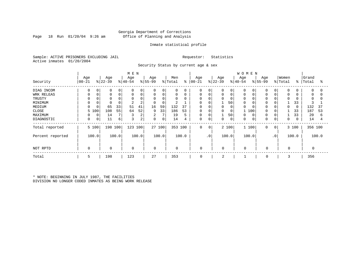#### Georgia Department of Corrections Page 18 Run 01/20/04 9:26 am Office of Planning and Analysis

#### Inmate statistical profile

Sample: ACTIVE PRISONERS EXCLUDING JAIL Requestor: Statistics Active inmates 01/20/2004

Security Status by current age & sex

|                  |             |   |             |       | M E N       |       |             |        |             |       |            |             |           |             | <b>WOMEN</b> |       |             |           |             |          |          |          |
|------------------|-------------|---|-------------|-------|-------------|-------|-------------|--------|-------------|-------|------------|-------------|-----------|-------------|--------------|-------|-------------|-----------|-------------|----------|----------|----------|
|                  | Age         |   | Age         |       | Age         |       | Age         |        | Men         |       | Age        |             | Age       |             | Age          |       | Age         |           | Women       |          | Grand    |          |
| Security         | $ 00-21$    |   | $ 22-39$    |       | $ 40-54 $   |       | $ 55-99$    |        | % Total     | ⊱     | $ 00 - 21$ |             | $ 22-39 $ |             | $8 40-54$    |       | $8 55-99$   |           | % Total     | ႜ        | Total    | ႜ        |
| DIAG INCOM       |             | 0 | 0           |       | $\Omega$    | 0     | 0           | 0      | $\mathbf 0$ | 0     | 0          | 0           | 0         | 0           | 0            |       |             | 0         | 0           |          | $\Omega$ | $\Omega$ |
| WRK RELEAS       |             |   | 0           |       | $\Omega$    | 0     | 0           | 0      | 0           | 0     | 0          | $\mathbf 0$ | 0         | $\mathbf 0$ | 0            |       |             |           | 0           |          | 0        | 0        |
| TRUSTY           |             |   | $\Omega$    |       | $\Omega$    |       | 0           | 0      | $\Omega$    | 0     | 0          |             | 0         | $\Omega$    | $\Omega$     |       |             |           | $\Omega$    |          | $\Omega$ |          |
| MINIMUM          |             |   | $\Omega$    |       |             | 2     | 0           | 0      |             |       | 0          |             |           | 50          | 0            |       |             |           |             | 33       |          |          |
| MEDIUM           | $\Omega$    |   | 65          | 33    | 51          | 41    | 16          | 59     | 132         | 37    | 0          |             | $\Omega$  | $\mathbf 0$ | $\Omega$     |       | $\Omega$    |           | $\Omega$    | $\Omega$ | 132      | 37       |
| CLOSE            | 5 100       |   | 108         | 55    | 64          | 52    | 9           | 33     | 186         | 53    | 0          |             | 0         | 0           |              | 100   | $\mathbf 0$ |           |             | 33       | 187      | 53       |
| MAXIMUM          |             | 0 | 14          |       | 3           | 2     | 2           | 7      | 19          | 5     | 0          |             |           | 50          | 0            |       | $\Omega$    |           |             | 33       | 20       | 6        |
| DIAGNOSTIC       | $\mathbf 0$ | 0 | 11          | 6     | 3           | 2     | 0           | 0      | 14          | 4     | 0          | 0           | 0         | $\mathbf 0$ | 0            |       | $\Omega$    | 0         | $\mathbf 0$ |          | 14       | 4        |
| Total reported   | 5 100       |   | 198 100     |       | 123 100     |       |             | 27 100 | 353 100     |       | 0          | $\mathbf 0$ |           | 2 100       |              | 1 100 | $\mathbf 0$ | 0         |             | 3 100    | 356 100  |          |
| Percent reported | 100.0       |   |             | 100.0 |             | 100.0 |             | 100.0  |             | 100.0 |            | .0'         |           | 100.0       |              | 100.0 |             | $\cdot$ 0 |             | 100.0    |          | 100.0    |
| NOT RPTD         | $\Omega$    |   | $\mathbf 0$ |       | $\mathbf 0$ |       | $\mathbf 0$ |        | $\mathbf 0$ |       | 0          |             | $\Omega$  |             | $\Omega$     |       | $\mathbf 0$ |           | $\mathbf 0$ |          |          |          |
| Total            | 5           |   | 198         |       | 123         |       | 27          |        | 353         |       | 0          |             | 2         |             |              |       | 0           |           | 3           |          | 356      |          |

\* NOTE: BEGINNING IN JULY 1987, THE FACILITIES DIVISION NO LONGER CODED INMATES AS BEING WORK RELEASE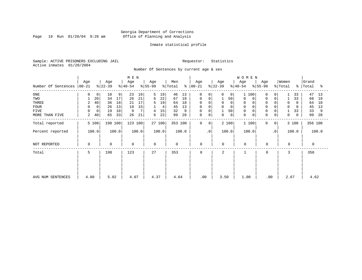Page 19 Run  $01/20/04$  9:26 am

### Inmate statistical profile

Sample: ACTIVE PRISONERS EXCLUDING JAIL Requestor: Statistics Active inmates 01/20/2004

#### Number Of Sentences by current age & sex

|                     |          |             |             |       | M E N     |       |          |        |             |       |             |                 |           |              | W O M E N   |             |                |          |          |           |       |
|---------------------|----------|-------------|-------------|-------|-----------|-------|----------|--------|-------------|-------|-------------|-----------------|-----------|--------------|-------------|-------------|----------------|----------|----------|-----------|-------|
|                     | Age      |             | Age         |       | Age       |       | Age      |        | Men         |       | Age         |                 | Age       |              | Age         | Age         |                | Women    |          | Grand     |       |
| Number Of Sentences | $ 00-21$ |             | $ 22-39 $   |       | $ 40-54 $ |       | $ 55-99$ |        | % Total     | ి     | $ 00 - 21 $ |                 | $ 22-39 $ |              | $ 40-54 $   | $8 55-99$   |                | % Total  |          | %   Total | °≈    |
| ONE                 | 0        | 0           | 18          | 9     | 23        | 19    | 5        | 19     | 46          | 13    | 0           | $\Omega$        | 0         | $\mathbf{0}$ | 100         | 0           | 0              |          | 33       | 47        | 13    |
| TWO                 |          | 20          | 34          | 17    | 26        | 21    | 6        | 22     | 67          | 19    | $\mathbf 0$ | $\Omega$        |           | 50           | 0<br>0      | $\Omega$    | 0              |          | 33       | 68        | 19    |
| THREE               | 2        | 40          | 36          | 18    | 21        | 17    | 5        | 19     | 64          | 18    | 0           |                 | 0         | $\mathbf 0$  | 0<br>0      | $\Omega$    |                | 0        | $\Omega$ | 64        | 18    |
| <b>FOUR</b>         | $\Omega$ | $\mathbf 0$ | 26          | 13    | 18        | 15    |          | 4      | 45          | 13    | $\mathbf 0$ |                 | 0         | $\mathbf 0$  | $\Omega$    |             |                |          |          | 45        | 13    |
| FIVE                | $\Omega$ | $\mathbf 0$ | 19          | 10    | 9         |       | 4        | 15     | 32          | 9     | 0           |                 |           | 50           |             |             |                |          | 33       | 33        | 9     |
| MORE THAN FIVE      | 2        | 40          | 65          | 33    | 26        | 21    | 6        | 22     | 99          | 28    | 0           | 0               | 0         | 0            | 0<br>0      | $\Omega$    | 0              | 0        | 0        | 99        | 28    |
| Total reported      | 5 100    |             | 198 100     |       | 123 100   |       |          | 27 100 | 353 100     |       | $\mathbf 0$ | 0               |           | 2 100        | 1 100       | 0           | 0 <sup>1</sup> |          | 3 100    | 356 100   |       |
| Percent reported    | 100.0    |             |             | 100.0 |           | 100.0 |          | 100.0  |             | 100.0 |             | .0 <sup>1</sup> | 100.0     |              | 100.0       |             | $\cdot$ 0      |          | 100.0    |           | 100.0 |
| NOT REPORTED        | $\Omega$ |             | $\mathbf 0$ |       | 0         |       | 0        |        | $\mathbf 0$ |       | 0           |                 | 0         |              | $\mathbf 0$ | $\mathbf 0$ |                | $\Omega$ |          | $\Omega$  |       |
| Total               | 5        |             | 198         |       | 123       |       | 27       |        | 353         |       | $\Omega$    |                 | 2         |              |             | $\Omega$    |                | 3        |          | 356       |       |
|                     |          |             |             |       |           |       |          |        |             |       |             |                 |           |              |             |             |                |          |          |           |       |
|                     |          |             |             |       |           |       |          |        |             |       |             |                 |           |              |             |             |                |          |          |           |       |
| AVG NUM SENTENCES   | 4.80     |             | 5.02        |       | 4.07      |       | 4.37     |        | 4.64        |       | .00         |                 | 3.50      |              | 1.00        | .00         |                | 2.67     |          | 4.62      |       |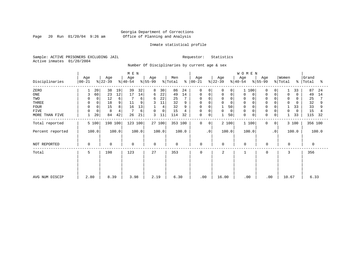Page 20 Run  $01/20/04$  9:26 am

#### Inmate statistical profile

Sample: ACTIVE PRISONERS EXCLUDING JAIL Requestor: Statistics Active inmates 01/20/2004

Number Of Disciplinaries by current age & sex

|                  |           | M E N<br>Age<br>Age<br>Age<br>Age |             |       |             |       |             |             |                |       |                  |           |                  |             | WOMEN            |                  |           |                  |          |                |       |
|------------------|-----------|-----------------------------------|-------------|-------|-------------|-------|-------------|-------------|----------------|-------|------------------|-----------|------------------|-------------|------------------|------------------|-----------|------------------|----------|----------------|-------|
| Disciplinaries   | $00 - 21$ |                                   | $ 22-39 $   |       | $ 40-54 $   |       | $ 55-99 $   |             | Men<br>% Total | ွေ    | Age<br>$ 00-21 $ |           | Age<br>$ 22-39 $ |             | Age<br>$ 40-54$  | Age<br>$8 55-99$ |           | Women<br>% Total | ៖        | Grand<br>Total | ႜ     |
| ZERO             |           | 20                                | 38          | 19    | 39          | 32    | 8           | 30          | 86             | 24    | 0                | 0         | U                | 0           | 100              | $\Omega$         |           |                  | 33       | 87             | 24    |
| ONE              | 3         | 60                                | 23          | 12    | 17          | 14    | 6           | 22          | 49             | 14    | 0                | 0         | 0                | $\mathbf 0$ | 0                | $\Omega$         | 0         | $\mathbf 0$      | $\Omega$ | 49             | 14    |
| TWO              |           | 0                                 | 12          | 6     |             | 6     | 6           | 22          | 25             |       | $\Omega$         |           |                  | $\Omega$    | 0                |                  |           | $\Omega$         |          | 25             |       |
| THREE            |           |                                   | 18          | 9     | 11          |       |             | 11          | 32             |       | 0                |           |                  | $\Omega$    | 0                |                  |           |                  |          | 32             |       |
| <b>FOUR</b>      | $\Omega$  | 0                                 | 15          |       | 16          | 13    |             | 4           | 32             | 9     | 0                |           |                  | 50          | $\Omega$         |                  |           |                  | 33       | 33             | 9     |
| <b>FIVE</b>      |           | 0                                 | 8           |       |             | 6     | $\Omega$    | $\mathbf 0$ | 15             | 4     | 0                | 0         | 0                | 0           | 0                | 0                |           | 0                |          | 15             |       |
| MORE THAN FIVE   |           | 20                                | 84          | 42    | 26          | 21    | 3           | 11          | 114            | 32    | 0                | 0         |                  | 50          | $\mathbf 0$<br>0 | $\Omega$         | 0         |                  | 33       | 115            | 32    |
| Total reported   | 5 100     |                                   | 198 100     |       | 123 100     |       |             | 27 100      | 353 100        |       | 0                | 0         | 2 100            |             | 1 100            | 0                | 0         |                  | 3 100    | 356 100        |       |
| Percent reported | 100.0     |                                   |             | 100.0 |             | 100.0 |             | 100.0       |                | 100.0 |                  | $\cdot$ 0 | 100.0            |             | 100.0            |                  | $\cdot$ 0 |                  | 100.0    |                | 100.0 |
| NOT REPORTED     | $\Omega$  |                                   | $\mathbf 0$ |       | $\mathbf 0$ |       | $\mathbf 0$ |             | $\mathbf 0$    |       | $\mathbf 0$      |           | 0                |             | $\mathbf 0$      | $\mathbf 0$      |           | $\mathbf{0}$     |          | $\Omega$       |       |
| Total            | 5         |                                   | 198         |       | 123         |       | 27          |             | 353            |       | $\mathbf 0$      |           | 2                |             |                  | $\mathbf 0$      |           | 3                |          | 356            |       |
|                  |           |                                   |             |       |             |       |             |             |                |       |                  |           |                  |             |                  |                  |           |                  |          |                |       |
|                  |           |                                   |             |       |             |       |             |             |                |       |                  |           |                  |             |                  |                  |           |                  |          |                |       |
| AVG NUM DISCIP   | 2.80      |                                   | 8.39        |       | 3.98        |       | 2.19        |             | 6.30           |       | .00              |           | 16.00            |             | .00              |                  | .00       | 10.67            |          | 6.33           |       |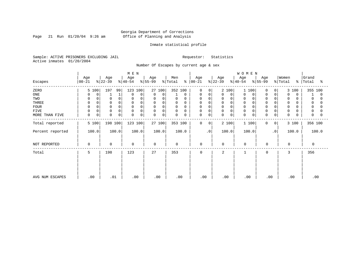Page 21 Run  $01/20/04$  9:26 am

#### Inmate statistical profile

Sample: ACTIVE PRISONERS EXCLUDING JAIL Requestor: Statistics Active inmates 01/20/2004

Number Of Escapes by current age & sex

|                  |                  |                      | M E N                      |                  |                         |                            |                  | WOMEN            |                   |                                   |                     |
|------------------|------------------|----------------------|----------------------------|------------------|-------------------------|----------------------------|------------------|------------------|-------------------|-----------------------------------|---------------------|
| Escapes          | Age<br>$00 - 21$ | Age<br>$ 22-39 $     | Age<br>$ 40-54 $           | Age<br>$ 55-99 $ | Men<br>% Total<br>ະ     | Age<br>$ 00-21 $           | Age<br>$ 22-39 $ | Age<br>$ 40-54 $ | Age<br>$ 55-99 $  | Women<br>% Total<br>$\frac{1}{6}$ | Grand<br>Total<br>ႜ |
| ZERO             | 5 100            | 197<br>99            | 123 100                    | 27 100           | 352 100                 | $\Omega$<br>$\Omega$       | 2 100            | 100              | 0<br>$\Omega$     | 3 100                             | 355 100             |
| ONE              | 0<br>0           |                      | $\mathbf 0$<br>$\Omega$    | 0<br>$\mathbf 0$ | 0                       | 0<br>0                     | 0<br>0           | 0<br>0           | 0<br>0            | $\mathbf 0$<br>$\Omega$           | 0                   |
| TWO              | $\Omega$         | $\Omega$             | $\Omega$                   | 0<br>$\Omega$    | 0<br>$\Omega$           | 0<br>$\Omega$              | 0<br>$\Omega$    | 0                | $\mathbf 0$       | 0                                 | 0                   |
| THREE            | $\mathbf 0$      | $\Omega$             | $\Omega$                   | 0<br>0           | $\mathbf 0$<br>0        | 0<br>$\Omega$              | 0                | $\mathbf 0$      | $\mathbf 0$       | 0                                 | 0                   |
| <b>FOUR</b>      | $\Omega$         |                      | $\Omega$                   | 0<br>$\Omega$    | $\mathbf 0$<br>$\Omega$ | 0                          | 0                | $\Omega$         | $\Omega$          | $\Omega$                          |                     |
| FIVE             | $\mathbf 0$<br>0 | $\Omega$             | 0<br>$\Omega$              | $\mathbf 0$<br>0 | 0<br>0                  | 0<br>$\Omega$              | 0<br>$\Omega$    | 0                | $\Omega$          | 0                                 | 0                   |
| MORE THAN FIVE   | $\mathbf 0$<br>0 | $\Omega$<br>$\Omega$ | $\mathbf 0$<br>$\mathbf 0$ | 0<br>$\Omega$    | $\mathbf 0$<br>0        | $\mathbf 0$<br>$\mathbf 0$ | 0<br>0           | $\mathbf 0$<br>0 | 0<br>0            | $\mathbf 0$                       | $\Omega$            |
| Total reported   | 5 100            | 198 100              | 123 100                    | 27 100           | 353 100                 | 0<br>$\mathbf{0}$          | 2 100            | 1 100            | $\mathbf{0}$<br>0 | 3 100                             | 356 100             |
| Percent reported | 100.0            | 100.0                | 100.0                      | 100.0            | 100.0                   | $\cdot$ 0                  | 100.0            | 100.0            | $\cdot$ 0         | 100.0                             | 100.0               |
| NOT REPORTED     | $\Omega$         | $\mathbf 0$          | $\mathbf 0$                | $\Omega$         | $\mathbf 0$             | 0                          | $\Omega$         | $\mathbf 0$      | $\mathbf 0$       | $\Omega$                          | 0                   |
| Total            | 5                | 198                  | 123                        | 27               | 353                     | $\mathbf 0$                | 2                |                  | 0                 | 3                                 | 356                 |
|                  |                  |                      |                            |                  |                         |                            |                  |                  |                   |                                   |                     |
|                  |                  |                      |                            |                  |                         |                            |                  |                  |                   |                                   |                     |
| AVG NUM ESCAPES  | .00              | .01                  | .00                        | .00              | .00                     | .00                        | .00              | .00              | .00               | .00                               | .00                 |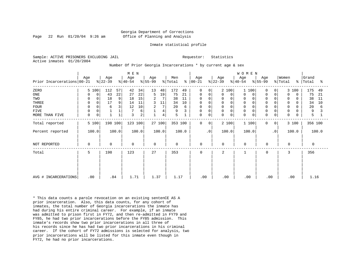#### Georgia Department of Corrections Page 22 Run 01/20/04 9:26 am Office of Planning and Analysis

#### Inmate statistical profile

Sample: ACTIVE PRISONERS EXCLUDING JAIL **Requestor:** Statistics Active inmates 01/20/2004

Number Of Prior Georgia Incarcerations \* by current age & sex

|                                       |                                       |                                             | M E N                                        |                                          |                                               |                                             |                                     | WOMEN                                                                                          |                                                                            |                                               |
|---------------------------------------|---------------------------------------|---------------------------------------------|----------------------------------------------|------------------------------------------|-----------------------------------------------|---------------------------------------------|-------------------------------------|------------------------------------------------------------------------------------------------|----------------------------------------------------------------------------|-----------------------------------------------|
| Prior Incarcerations 00-21            | Age                                   | Age<br>$ 22-39 $                            | Age<br>$ 40-54 $                             | Age<br>$ 55-99 $                         | Men<br>$\frac{1}{2}$ Total<br>$\frac{8}{6}$   | Age<br>$ 00 - 21$                           | Age<br>$ 22-39 $                    | Age<br>Age<br>$ 55-99 $<br>$ 40-54 $                                                           | Women<br>% Total                                                           | Grand<br>%   Total<br>ႜ                       |
| ZERO<br>ONE<br>TWO<br>THREE           | 5 100<br>0<br>0<br>$\Omega$<br>0<br>0 | 112<br>57<br>22<br>43<br>9<br>18<br>17<br>9 | 34<br>42<br>22<br>27<br>15<br>18<br>11<br>14 | 13<br>48<br>19<br>5<br>2<br>7<br>3<br>11 | 172<br>49<br>75<br>21<br>38<br>11<br>10<br>34 | 0<br>$\Omega$<br>0<br>0<br>$\mathbf 0$<br>0 | 2 100<br>0<br>$\mathbf 0$<br>0<br>0 | 1 100<br>$\mathbf 0$<br>0<br>$\Omega$<br>0<br>$\mathbf 0$<br>0<br>$\mathbf 0$<br>$\Omega$<br>0 | 3 100<br>0<br>0<br>$\Omega$<br>0<br>$\Omega$<br>0<br>0<br>$\mathbf 0$<br>0 | 175<br>49<br>75<br>21<br>38<br>11<br>34<br>10 |
| <b>FOUR</b><br>FIVE<br>MORE THAN FIVE | $\mathbf 0$<br>$\mathbf 0$<br>0<br>0  | 3<br>6                                      | 10<br>12<br>6<br>3<br>2                      | 2<br>7<br>4<br>4                         | 20<br>6<br>9<br>5                             | 0<br>0<br>0<br>0                            | 0<br>0<br>0<br>$\mathbf 0$          | $\Omega$<br>$\Omega$<br>0<br>$\Omega$<br>$\Omega$<br>$\mathbf 0$<br>$\mathbf 0$<br>0           | 0<br>0<br>0<br>$\mathbf 0$<br>0<br>0<br>O                                  | 20<br>6<br>9<br>5                             |
| Total reported                        | 5 100                                 | 198 100                                     | 123 100                                      | 27 100                                   | 353 100                                       | $\mathbf 0$<br>0 <sup>1</sup>               | 2 100                               | 1 100<br>0                                                                                     | 3 100<br>0 <sup>1</sup>                                                    | 356 100                                       |
| Percent reported                      | 100.0                                 | 100.0                                       | 100.0                                        | 100.0                                    | 100.0                                         | $\cdot$ 0                                   | 100.0                               | 100.0                                                                                          | $\cdot$ 0<br>100.0                                                         | 100.0                                         |
| NOT REPORTED                          | $\mathbf 0$                           | $\mathbf 0$                                 | $\mathbf 0$                                  | $\Omega$                                 | $\mathbf 0$                                   | $\mathbf 0$                                 | $\mathbf 0$                         | $\mathbf 0$<br>$\Omega$                                                                        | $\Omega$                                                                   | $\Omega$                                      |
| Total                                 | 5                                     | 198                                         | 123                                          | 27                                       | 353                                           | $\mathbf 0$                                 | 2                                   | 0                                                                                              | 3                                                                          | 356                                           |
| AVG # INCARCERATIONS                  | .00                                   | .84                                         | 1.71                                         | 1.37                                     | 1.17                                          | .00                                         | .00                                 | .00                                                                                            | .00<br>.00                                                                 | 1.16                                          |

\* This data counts a parole revocation on an existing sentenCE AS A prior incarceration. Also, this data counts, for any cohort of inmates, the total number of Georgia incarcerations the inmate has had during his entire criminal career. For example, if an inmate was admitted to prison first in FY72, and then re-admitted in FY79 and FY85, he had two prior incarcerations before the FY85 admission. This inmate's records show two prior incarcerations in all three of his records since he has had two prior incarcerations in his criminal career. If the cohort of FY72 admissions is selected for analysis, two prior incarcerations will be listed for this inmate even though in FY72, he had no prior incarcerations.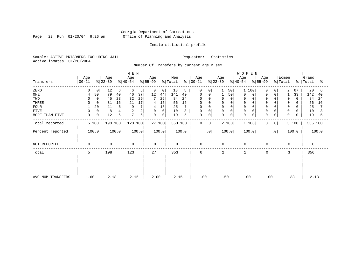Page 23 Run  $01/20/04$  9:26 am

#### Inmate statistical profile

Sample: ACTIVE PRISONERS EXCLUDING JAIL Requestor: Statistics Active inmates 01/20/2004

Number Of Transfers by current age & sex

|                   |                  |                           | M E N            |                               |                                 |                             |                  | <b>WOMEN</b>                              |                              |                         |
|-------------------|------------------|---------------------------|------------------|-------------------------------|---------------------------------|-----------------------------|------------------|-------------------------------------------|------------------------------|-------------------------|
| Transfers         | Age<br>$ 00-21 $ | Age<br>$ 22-39 $          | Age<br>$ 40-54 $ | Age<br>$ 55-99 $              | Men<br>% Total<br>$\frac{8}{6}$ | Age<br>00-21                | Age<br>$8 22-39$ | Age<br>Age<br>$ 55-99 $<br>$ 40-54 $      | Women<br>$\frac{1}{2}$ Total | Grand<br>%   Total<br>ႜ |
| ZERO              | $\overline{0}$   | 12<br>6                   | 6<br>5           | 0<br>0                        | 18<br>5                         | $\mathbf 0$<br>$\circ$      | 50               | $\mathbf{1}$<br>100<br>$\Omega$           | 2<br>67<br>0                 | 20<br>6                 |
| ONE               | 80               | 79<br>40                  | 37<br>46         | 12<br>44                      | 141<br>40                       | 0<br>0                      | 50               | 0<br>0<br>$\Omega$                        | 33<br>0                      | 142<br>40               |
| TWO               | $\Omega$         | 45<br>23                  | 26<br>32         | 7<br>26                       | 84<br>24                        | $\Omega$<br>0               | $\Omega$<br>0    | $\mathbf 0$<br>0                          | 0<br>$\Omega$                | 84<br>24                |
| THREE             |                  | 16<br>31                  | 17<br>21         | 15<br>4                       | 56<br>16                        | $\Omega$<br>0               | 0                | 0                                         | 0                            | 56<br>16                |
| <b>FOUR</b>       | 20               | 6<br>11                   | 9                | 15<br>4                       | 25                              | $\Omega$<br>0               | $\Omega$         |                                           | 0                            | 25                      |
| <b>FIVE</b>       | $\mathbf 0$      | 8<br>4                    | 2                | 0<br>$\mathbf 0$              | 10<br>3                         | 0<br>0                      | 0<br>$\Omega$    | $\mathbf 0$                               | $\mathbf 0$<br>0             | 10                      |
| MORE THAN FIVE    | 0                | 0 <sup>1</sup><br>12<br>6 | 7<br>6           | $\overline{0}$<br>$\mathbf 0$ | 19<br>5                         | 0<br>0                      | 0<br>$\mathbf 0$ | $\mathbf 0$<br>$\mathbf 0$<br>$\mathbf 0$ | 0<br>$\mathbf 0$             | 19<br>5                 |
| Total reported    | 5 100            | 198 100                   | 123 100          | 27 100                        | 353 100                         | $\mathbf 0$<br>$\mathbf{0}$ | 2 100            | 1 100<br>$\mathbf{0}$                     | 3 100<br>0                   | 356 100                 |
| Percent reported  | 100.0            | 100.0                     | 100.0            | 100.0                         | 100.0                           | $\cdot$ 0                   | 100.0            | 100.0                                     | $\cdot$ 0<br>100.0           | 100.0                   |
| NOT REPORTED      | 0                | $\mathbf 0$               | 0                | $\mathbf 0$                   | $\mathbf 0$                     | $\mathbf 0$                 | $\mathbf 0$      | $\mathbf 0$<br>$\mathbf 0$                | $\mathbf 0$                  | $\mathbf 0$             |
| Total             | 5                | 198                       | 123              | 27                            | 353                             | 0                           | 2                | 0<br>1                                    | 3                            | 356                     |
|                   |                  |                           |                  |                               |                                 |                             |                  |                                           |                              |                         |
|                   |                  |                           |                  |                               |                                 |                             |                  |                                           |                              |                         |
| AVG NUM TRANSFERS | 1.60             | 2.18                      | 2.15             | 2.00                          | 2.15                            | .00                         | .50              | .00                                       | .33<br>.00                   | 2.13                    |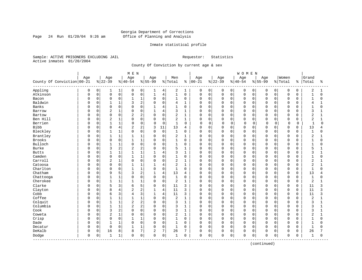Page 24 Run  $01/20/04$  9:26 am

#### Inmate statistical profile

Sample: ACTIVE PRISONERS EXCLUDING JAIL Requestor: Statistics Active inmates 01/20/2004

County Of Conviction by current age & sex

|                            |             |          |                |                | M E N          |                |                |                |                |              |             |             |             |             | <b>WOMEN</b> |             |             |             |             |             |                |              |
|----------------------------|-------------|----------|----------------|----------------|----------------|----------------|----------------|----------------|----------------|--------------|-------------|-------------|-------------|-------------|--------------|-------------|-------------|-------------|-------------|-------------|----------------|--------------|
|                            | Age         |          | Age            |                | Age            |                | Age            |                | Men            |              | Age         |             | Age         |             | Age          |             | Age         |             | Women       |             | Grand          |              |
| County Of Conviction 00-21 |             |          | $8 22-39$      |                | $8 40-54$      |                | $8155 - 99$    |                | % Total        | ႜ            | $00 - 21$   |             | $8 22-39$   |             | $ 40-54$     |             | $8 55-99$   |             | % Total     | ႜ           | Total          | ిక           |
| Appling                    | 0           | 0        | 1              | 1              | 0              | 0              | ı              | 4              | 2              | 1            | 0           | 0           | 0           | 0           | 0            | 0           | 0           | $\mathbf 0$ | 0           | 0           | 2              | 1            |
| Atkinson                   | $\mathbf 0$ | 0        | $\mathbf 0$    | 0              | $\mathbf 0$    | $\mathsf 0$    | $\mathbf{1}$   | $\overline{4}$ | $\mathbf{1}$   | $\mathsf 0$  | $\mathsf 0$ | 0           | $\mathbf 0$ | 0           | $\mathbf 0$  | $\mathbf 0$ | $\mathbf 0$ | $\mathbf 0$ | $\mathbf 0$ | 0           | $\mathbf{1}$   | 0            |
| Bacon                      | $\Omega$    | 0        | $\mathbf 0$    | $\mathbf 0$    | $\mathbf{1}$   | $\mathbf{1}$   | $\Omega$       | $\mathbf 0$    | $\mathbf{1}$   | $\mathbf 0$  | $\Omega$    | $\mathbf 0$ | $\mathbf 0$ | 0           | $\Omega$     | 0           | $\Omega$    | $\Omega$    | $\mathbf 0$ | $\mathbf 0$ | $\mathbf{1}$   | $\Omega$     |
| Baldwin                    | U           | 0        |                | $\mathbf 1$    | 3              | $\overline{2}$ | $\Omega$       | $\Omega$       | 4              | 1            | 0           | $\Omega$    | $\Omega$    | $\Omega$    | $\Omega$     | $\Omega$    | $\cap$      | $\Omega$    | $\mathbf 0$ | 0           | 4              |              |
| Banks                      | U           | $\Omega$ | $\Omega$       | $\mathbf 0$    | $\Omega$       | $\Omega$       | $\mathbf{1}$   | $\overline{4}$ | $\mathbf{1}$   | $\Omega$     | $\Omega$    | $\Omega$    | $\Omega$    | $\Omega$    | $\Omega$     | $\Omega$    | $\cap$      | $\cap$      | $\Omega$    | $\cap$      | $\mathbf{1}$   | $\Omega$     |
| Barrow                     | U           | $\Omega$ | $\overline{2}$ | $1\,$          | $\Omega$       | $\mathbf 0$    | $\mathbf{1}$   | $\overline{4}$ | 3              | $\mathbf{1}$ | 0           | $\Omega$    | $\Omega$    | $\Omega$    | $\Omega$     | $\Omega$    | $\Omega$    | $\Omega$    | $\mathbf 0$ | $\Omega$    | 3              | 1            |
| Bartow                     |             | 0        | $\Omega$       | 0              | $\overline{2}$ | $\overline{c}$ | $\Omega$       | $\mathbf 0$    | $\overline{2}$ | $\mathbf{1}$ | 0           | 0           | $\Omega$    | 0           | $\mathbf 0$  | $\mathbf 0$ | $\Omega$    | $\Omega$    | $\mathbf 0$ | O           | $\overline{2}$ | 1            |
| Ben Hill                   | U           | 0        | $\overline{c}$ | $\mathbf 1$    | $\Omega$       | $\mathbf 0$    | $\mathbf 0$    | $\mathbf 0$    | 2              | $\mathbf{1}$ | 0           | 0           | $\Omega$    | 0           | $\Omega$     | 0           | $\Omega$    | $\mathbf 0$ | $\mathbf 0$ | $\Omega$    | $\overline{2}$ | 1            |
| Berrien                    | O           | 0        |                | 1              | $\Omega$       | $\mathbf 0$    | 0              | $\mathbf 0$    | $\mathbf{1}$   | 0            | $\Omega$    | $\mathbf 0$ | $\mathbf 0$ | $\mathbf 0$ | C            | 0           | $\Omega$    | 0           | 0           | 0           | 1              | $\mathbf 0$  |
| <b>Bibb</b>                | U           | 0        | 8              | $\overline{4}$ | $\overline{2}$ | 2              | 3              | 11             | 13             | 4            | $\mathbf 0$ | $\Omega$    | $\mathbf 0$ | 0           | $\Omega$     | $\Omega$    | $\Omega$    | $\Omega$    | $\mathbf 0$ | 0           | 13             | 4            |
| Bleckley                   | 0           | 0        | $\mathbf{1}$   | $\mathbf{1}$   | $\mathbf 0$    | $\mathbf 0$    | $\Omega$       | $\mathbf 0$    | $\mathbf{1}$   | $\mathbf 0$  | $\mathbf 0$ | 0           | $\mathbf 0$ | 0           | $\mathbf 0$  | $\Omega$    | $\Omega$    | $\Omega$    | $\mathbf 0$ | $\Omega$    | $\mathbf{1}$   | $\Omega$     |
| Brantley                   | U           | $\Omega$ | $\mathbf{1}$   | $\mathbf{1}$   | 1              | $\mathbf{1}$   | $\Omega$       | $\Omega$       | 2              | 1            | 0           | $\Omega$    | $\Omega$    | $\Omega$    | $\Omega$     | $\Omega$    | $\Omega$    | $\Omega$    | $\mathbf 0$ | $\Omega$    | $\overline{2}$ | 1            |
| Brooks                     | 0           | 0        | $\mathbf 0$    | $\mathsf 0$    |                | $\mathbf{1}$   | $\Omega$       | $\mathbf 0$    | $\mathbf 1$    | $\mathbf 0$  | 0           | $\mathbf 0$ | $\mathbf 0$ | $\Omega$    | $\Omega$     | $\Omega$    | $\Omega$    | $\Omega$    | $\mathbf 0$ | O           | $\mathbf{1}$   | 0            |
| Bulloch                    | U           | 0        | $\mathbf{1}$   | $\mathbf 1$    | $\Omega$       | $\mathbf 0$    | $\Omega$       | $\Omega$       | $\mathbf{1}$   | $\mathbf 0$  | O           | $\mathbf 0$ | $\Omega$    | 0           | $\Omega$     | $\Omega$    | $\Omega$    | $\Omega$    | $\mathbf 0$ | $\Omega$    | $\mathbf{1}$   | $\Omega$     |
| <b>Burke</b>               | U           | 0        | 3              | $\overline{c}$ | $\overline{2}$ | 2              | $\Omega$       | $\Omega$       | 5              | 1            | $\mathbf 0$ | 0           | $\mathbf 0$ | 0           | $\Omega$     | 0           | $\cap$      | $\Omega$    | $\mathbf 0$ | 0           | 5              |              |
| <b>Butts</b>               | U           | 0        | $\mathbf{1}$   | $1\,$          |                | $\mathbf{1}$   |                | $\overline{4}$ | 3              | $\mathbf{1}$ | $\Omega$    | $\Omega$    | $\Omega$    | $\Omega$    | $\Omega$     | $\Omega$    | $\cap$      | $\Omega$    | $\mathbf 0$ | 0           | 3              | 1            |
| Camden                     | U           | $\Omega$ | $\Omega$       | $\mathbf 0$    | $\mathbf{1}$   | $\mathbf{1}$   | $\Omega$       | $\Omega$       | $\mathbf{1}$   | $\Omega$     | O           | $\Omega$    | $\Omega$    | $\Omega$    | $\Omega$     | $\Omega$    | $\Omega$    | $\Omega$    | $\Omega$    | $\Omega$    | $\mathbf{1}$   | $\Omega$     |
| Carroll                    | 0           | 0        | $\overline{2}$ | $\mathbf 1$    | 0              | $\mathbf 0$    | $\Omega$       | $\mathbf 0$    | 2              | 1            | 0           | 0           | $\Omega$    | $\Omega$    | $\Omega$     | $\Omega$    | $\Omega$    | $\Omega$    | $\mathbf 0$ | 0           | 2              | 1            |
| Catoosa                    | 0           | 0        | $\Omega$       | 0              | $\mathbf{1}$   | $\mathbf{1}$   | 1              | 4              | $\overline{c}$ | $\mathbf{1}$ | 0           | $\Omega$    | 0           | 0           | $\Omega$     | $\Omega$    | $\Omega$    | $\Omega$    | $\mathbf 0$ | 0           | $\overline{2}$ | 1            |
| Charlton                   | U           | 0        | $\mathbf 0$    | $\mathbf 0$    | $\mathbf{1}$   | $\mathbf{1}$   | $\mathbf 0$    | $\mathbf 0$    | $\mathbf{1}$   | $\mathbf 0$  | $\mathbf 0$ | 0           | $\mathbf 0$ | 0           | $\Omega$     | 0           | $\Omega$    | $\Omega$    | $\mathbf 0$ | $\Omega$    | $\mathbf{1}$   | $\Omega$     |
| Chatham                    | U           | 0        | 9              | 5              | 3              | 2              |                | $\overline{4}$ | 13             | 4            | 0           | 0           | 0           | 0           | $\mathbf 0$  | 0           | O           | $\Omega$    | $\mathbf 0$ | $\Omega$    | 13             | 4            |
| Chattooga                  | 0           | 0        | $\mathbf{1}$   | $\mathbf{1}$   | $\Omega$       | $\mathbf 0$    | $\Omega$       | $\mathbf 0$    | $\mathbf{1}$   | $\mathbf 0$  | $\mathbf 0$ | $\Omega$    | $\mathbf 0$ | 0           | $\Omega$     | $\Omega$    | $\Omega$    | $\Omega$    | $\mathbf 0$ | $\Omega$    | $\mathbf{1}$   | $\Omega$     |
| Cherokee                   | 0           | $\Omega$ | $\mathbf{1}$   | $\mathbf{1}$   | $\mathbf{1}$   | $\mathbf{1}$   | $\Omega$       | $\Omega$       | 2              | $\mathbf{1}$ | $\Omega$    | $\Omega$    | $\Omega$    | $\Omega$    | $\Omega$     | $\Omega$    | $\Omega$    | $\Omega$    | $\mathbf 0$ | $\Omega$    | $\overline{2}$ | 1            |
| Clarke                     | 0           | $\Omega$ | 5              | 3              | 6              | 5              | $\mathbf 0$    | $\mathbf 0$    | 11             | 3            | 0           | $\Omega$    | 0           | $\Omega$    | $\Omega$     | $\Omega$    | $\Omega$    | $\Omega$    | 0           | $\Omega$    | 11             | 3            |
| Clayton                    | 0           | 0        | 8              | $\,4$          | $\overline{2}$ | $\overline{c}$ | 1              | $\overline{4}$ | 11             | 3            | 0           | 0           | $\Omega$    | $\mathbf 0$ | $\Omega$     | $\mathbf 0$ | $\Omega$    | $\Omega$    | $\mathbf 0$ | 0           | 11             | 3            |
| Cobb                       | U           | 0        | 6              | 3              | 4              | 3              | $\mathbf{1}$   | 4              | 11             | 3            | 0           | 0           | $\Omega$    | 0           | $\Omega$     | 0           | $\cap$      | $\Omega$    | 0           | $\Omega$    | 11             | 3            |
| Coffee                     | U           | 0        |                | 1              |                | 1              | 0              | $\mathbf 0$    | 2              | 1            | 0           | $\Omega$    | 0           | 0           | $\Omega$     | 0           | $\Omega$    | $\Omega$    | $\mathbf 0$ | O           | 2              | 1            |
| Colquit                    | U           | 0        | $\mathbf{1}$   | $1\,$          | $\overline{2}$ | 2              | $\Omega$       | $\mathbf 0$    | 3              | 1            | $\mathbf 0$ | $\Omega$    | $\Omega$    | $\Omega$    | $\Omega$     | $\Omega$    | $\Omega$    | $\cap$      | $\mathbf 0$ | $\Omega$    | 3              | 1            |
| Columbia                   | U           | $\Omega$ | $\mathbf{1}$   | $\mathbf{1}$   | $\overline{2}$ | $\overline{2}$ | $\Omega$       | $\mathbf 0$    | 3              | 1            | 0           | $\Omega$    | $\Omega$    | $\Omega$    | $\Omega$     | $\Omega$    | $\Omega$    | $\Omega$    | $\mathbf 0$ | $\Omega$    | 3              | 1            |
| Cook                       | 0           | 0        | 3              | $\overline{c}$ | $\Omega$       | $\mathbf 0$    | $\Omega$       | $\mathbf 0$    | 3              | 1            | 0           | 0           | 0           | 0           | $\Omega$     | $\Omega$    | $\Omega$    | $\Omega$    | $\mathbf 0$ | O           | 3              | 1            |
| Coweta                     | 0           | 0        | $\overline{2}$ | $\mathbf{1}$   | 0              | $\mathbf 0$    | $\Omega$       | $\mathbf 0$    | $\overline{2}$ | $\mathbf{1}$ | 0           | 0           | $\Omega$    | 0           | $\Omega$     | 0           | $\Omega$    | $\Omega$    | $\mathbf 0$ | $\Omega$    | 2              | $\mathbf{1}$ |
| Crisp                      | $\Omega$    | 0        | $\Omega$       | 0              |                | 1              | $\Omega$       | $\Omega$       | 1              | $\Omega$     | $\Omega$    | $\Omega$    | $\mathbf 0$ | $\Omega$    | $\Omega$     | $\Omega$    | $\Omega$    | $\Omega$    | $\mathbf 0$ | $\Omega$    | $\mathbf{1}$   | $\Omega$     |
| Dade                       | 0           | 0        |                | $1\,$          | $\Omega$       | $\mathbf 0$    | $\Omega$       | $\mathbf 0$    | 1              | $\Omega$     | $\Omega$    | $\Omega$    | $\Omega$    | $\Omega$    | $\Omega$     | $\Omega$    | $\Omega$    | $\Omega$    | $\mathbf 0$ | 0           | $\mathbf{1}$   | $\Omega$     |
| Decatur                    | 0           | 0        | $\Omega$       | 0              | $\mathbf{1}$   | 1              | $\Omega$       | $\Omega$       | $\mathbf{1}$   | $\Omega$     | $\Omega$    | $\Omega$    | $\mathbf 0$ | $\Omega$    | $\Omega$     | $\Omega$    | $\Omega$    | $\Omega$    | $\mathbf 0$ | $\Omega$    | $\mathbf{1}$   | $\Omega$     |
| DeKalb                     | 0           | 0        | 16             | 8              | 8              | 7              | $\overline{2}$ | 7              | 26             | 7            | $\mathbf 0$ | $\Omega$    | $\Omega$    | 0           | $\Omega$     | 0           | 0           | $\mathbf 0$ | $\mathbf 0$ | $\Omega$    | 26             |              |
| Dodge<br>-----------       | 0           | 0        | 1              | 1              | $\mathbf 0$    | $\mathsf 0$    | $\Omega$       | $\mathsf 0$    | 1              | 0            | 0           | 0           | $\mathbf 0$ | 0           | $\Omega$     | 0           | $\mathbf 0$ | $\mathsf 0$ | $\mathbf 0$ | 0           | 1              | 0            |
|                            |             |          |                |                |                |                |                |                |                |              |             |             |             |             |              |             |             |             |             |             |                |              |

(continued)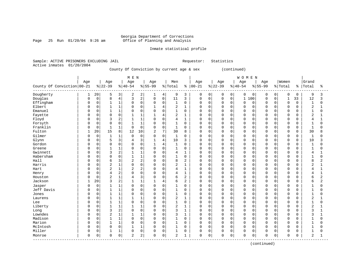Page 25 Run  $01/20/04$  9:26 am

#### Inmate statistical profile

Sample: ACTIVE PRISONERS EXCLUDING JAIL Requestor: Statistics Active inmates 01/20/2004

County Of Conviction by current age & sex (continued)

|                              |              |             |                |                | M E N          |                         |                |                 |                |                |               |             |             |             | <b>WOMEN</b> |             |            |             |             |             |                |                |
|------------------------------|--------------|-------------|----------------|----------------|----------------|-------------------------|----------------|-----------------|----------------|----------------|---------------|-------------|-------------|-------------|--------------|-------------|------------|-------------|-------------|-------------|----------------|----------------|
|                              | Age          |             | Age            |                | Age            |                         | Age            |                 | Men            |                | Age           |             | Age         |             | Age          |             | Age        |             | Women       |             | Grand          |                |
| County Of Conviction   00-21 |              |             | $ 22-39$       |                | $ 40-54$       |                         | $8155 - 99$    |                 | % Total        |                | $8   00 - 21$ |             | $ 22-39$    |             | $ 40-54$     |             | $8 55-99$  |             | % Total     | ႜ           | Total          | ిక             |
| Dougherty                    | 1            | 20          | 5              | 3              | 2              | 2                       | 1              | 4               | 9              | 3              | 0             | 0           | 0           | 0           | $\mathbf 0$  | $\mathbf 0$ | 0          | 0           | 0           | $\mathbf 0$ | 9              | 3              |
| Douglas                      | <sup>0</sup> | $\mathsf 0$ | 8              | $\,4$          | 3              | $\overline{\mathbf{c}}$ | $\mathbf 0$    | 0 <sup>1</sup>  | 11             | 3              | $\mathbf 0$   | 0           | $\Omega$    | $\mathbf 0$ | $\mathbf{1}$ | 100         | 0          | $\mathbf 0$ | $\mathbf 1$ | 33          | 12             | 3              |
| Effingham                    | 0            | $\mathsf 0$ |                | 1              | $\Omega$       | $\mathbf 0$             | 0              | $\mathsf{O}$    | $\mathbf 1$    | $\mathbf 0$    | $\Omega$      | $\mathbf 0$ | $\Omega$    | 0           | $\mathbf 0$  | 0           | $\Omega$   | $\mathbf 0$ | $\mathbf 0$ | $\mathbf 0$ | $\mathbf 1$    | $\mathbf 0$    |
| Elbert                       | <sup>0</sup> | $\mathbf 0$ | 1              | $\mathbf 1$    | $\Omega$       | $\Omega$                | $\mathbf{1}$   | 4               | 2              | $\mathbf{1}$   | $\Omega$      | $\mathbf 0$ | $\Omega$    | $\Omega$    | $\mathbf 0$  | $\Omega$    | $\Omega$   | $\Omega$    | $\Omega$    | $\Omega$    | $\overline{2}$ | $\mathbf{1}$   |
| Emanuel                      | U            | $\mathbf 0$ |                | 1              | $\Omega$       | $\mathbf 0$             | $\Omega$       | $\mathbf 0$     | 1              | $\mathbf 0$    | $\Omega$      | $\mathbf 0$ | $\Omega$    | $\Omega$    | $\mathbf 0$  | 0           | $\cap$     | $\Omega$    | $\Omega$    | 0           | 1              | 0              |
| Fayette                      | U            | $\mathsf 0$ |                | $\mathbf 0$    |                | $\mathbf{1}$            |                | $\overline{4}$  | 2              | $\mathbf{1}$   | $\Omega$      | $\mathbf 0$ | $\Omega$    | $\Omega$    | $\mathbf 0$  | $\mathbf 0$ | $\Omega$   | $\Omega$    | $\Omega$    | $\Omega$    | $\overline{2}$ | 1              |
| Floyd                        | U            | $\mathbf 0$ | κ              | 2              |                | $\mathbf{1}$            | $\Omega$       | $\mathbf 0$     | 4              | $\mathbf{1}$   | $\Omega$      | $\Omega$    | $\Omega$    | $\Omega$    | $\mathbf 0$  | $\Omega$    | $\Omega$   | $\Omega$    | $\Omega$    | $\Omega$    | 4              | 1              |
| Forsyth                      | O            | $\Omega$    | $\Omega$       | $\Omega$       | $\mathbf{1}$   | $\mathbf{1}$            | $\Omega$       | $\Omega$        | 1              | $\Omega$       | $\Omega$      | $\Omega$    | $\Omega$    | $\Omega$    | $\Omega$     | $\Omega$    | $\Omega$   | $\Omega$    | $\Omega$    | $\Omega$    | 1              | O              |
| Franklin                     | O            | $\mathbf 0$ |                | $\mathbf 1$    | $\mathbf 0$    | $\Omega$                | $\Omega$       | $\mathbf 0$     | $\mathbf 1$    | $\Omega$       | $\Omega$      | $\Omega$    | $\Omega$    | $\Omega$    | $\mathbf 0$  | $\Omega$    | $\Omega$   | $\Omega$    | $\mathbf 0$ | $\Omega$    | $\mathbf{1}$   | 0              |
| Fulton                       |              | 20          | 15             | 8              | 12             | 10                      | $\overline{2}$ | $7\overline{ }$ | 30             | 8              | $\Omega$      | $\mathbf 0$ | $\Omega$    | 0           | $\mathbf 0$  | $\mathbf 0$ | $\Omega$   | $\mathbf 0$ | $\mathbf 0$ | 0           | 30             | 8              |
| Gilmer                       |              | $\mathsf 0$ |                | 1              | $\mathbf 0$    | $\mathbf 0$             | 0              | $\mathbf 0$     | $\mathbf 1$    | 0              | 0             | $\mathbf 0$ | $\Omega$    | $\Omega$    | $\mathbf 0$  | $\Omega$    | 0          | $\Omega$    | 0           | $\Omega$    | $\mathbf{1}$   | 0              |
| Glynn                        |              | $\mathbf 0$ | 5              | 3              | 4              | 3                       | $\mathbf{1}$   | $\overline{4}$  | 10             | 3              | $\Omega$      | $\mathbf 0$ | $\Omega$    | $\Omega$    | $\mathbf 0$  | $\Omega$    | $\Omega$   | $\Omega$    | $\Omega$    | $\Omega$    | 10             | 3              |
| Gordon                       | <sup>0</sup> | $\mathbf 0$ | $\Omega$       | $\mathbf 0$    | $\Omega$       | $\mathbf 0$             | $\mathbf{1}$   | $\overline{4}$  | $\mathbf{1}$   | $\mathbf 0$    | $\Omega$      | $\mathbf 0$ | $\Omega$    | $\Omega$    | $\mathbf 0$  | $\mathbf 0$ | $\Omega$   | $\Omega$    | $\mathbf 0$ | 0           | $\mathbf{1}$   | $\Omega$       |
| Greene                       | U            | $\mathsf 0$ |                | 1              | $\Omega$       | $\mathbf 0$             | 0              | $\mathbf 0$     | $\mathbf{1}$   | 0              | $\Omega$      | $\mathbf 0$ | $\Omega$    | $\Omega$    | $\mathbf 0$  | 0           | $\Omega$   | $\Omega$    | 0           | 0           |                | 0              |
| Gwinnett                     | O            | $\mathbf 0$ | 3              | 2              |                | $\mathbf{1}$            | $\Omega$       | $\mathbf 0$     | 4              | $\mathbf{1}$   | $\Omega$      | $\mathbf 0$ | $\Omega$    | $\Omega$    | $\mathbf 0$  | $\Omega$    | $\Omega$   | $\Omega$    | $\mathbf 0$ | $\Omega$    | 4              | 1              |
| Habersham                    | <sup>0</sup> | $\mathbf 0$ | $\Omega$       | $\Omega$       | 1              | $\mathbf{1}$            | O              | $\Omega$        | $\mathbf{1}$   | $\mathbf 0$    | $\Omega$      | 0           | $\Omega$    | $\Omega$    | $\Omega$     | $\Omega$    | $\Omega$   | $\Omega$    | $\Omega$    | $\cap$      | 1              | O              |
| Hall                         | O            | $\Omega$    | 6              | 3              | $\overline{a}$ | $\overline{2}$          | 0              | $\Omega$        | 8              | $\overline{c}$ | $\Omega$      | $\Omega$    | $\Omega$    | $\Omega$    | $\mathbf 0$  | $\Omega$    | $\Omega$   | $\Omega$    | $\Omega$    | $\Omega$    | 8              | $\overline{a}$ |
| Harris                       | O            | $\mathbf 0$ | $\overline{2}$ | $\mathbf{1}$   | $\overline{0}$ | $\overline{0}$          | 0              | $\mathbf 0$     | 2              | $\mathbf{1}$   | $\Omega$      | $\mathbf 0$ | $\mathbf 0$ | $\Omega$    | $\mathbf 0$  | $\mathbf 0$ | $\Omega$   | $\Omega$    | $\mathbf 0$ | $\Omega$    | $\overline{2}$ | $\mathbf{1}$   |
| Hart                         |              | $\mathsf 0$ | $\overline{a}$ | 1              | 2              | $\overline{2}$          | 0              | $\mathsf 0$     | $\overline{4}$ | $\mathbf{1}$   | $\Omega$      | 0           | $\Omega$    | 0           | $\mathbf 0$  | $\mathbf 0$ | $\sqrt{ }$ | 0           | $\mathbf 0$ | 0           | 4              | $\mathbf{1}$   |
| Henry                        |              | $\mathbf 0$ | $\overline{4}$ | 2              | $\Omega$       | $\Omega$                | 0              | $\mathbf 0$     | $\overline{4}$ | $\mathbf{1}$   | $\Omega$      | $\mathbf 0$ | $\Omega$    | $\Omega$    | $\mathbf 0$  | $\Omega$    | $\Omega$   | $\Omega$    | $\Omega$    | $\Omega$    | 4              | $\mathbf{1}$   |
| Houston                      | U            | $\mathbf 0$ | $\overline{2}$ | 1              | 4              | 3                       | 0              | $\mathbf 0$     | 6              | 2              | <sup>0</sup>  | 0           | $\Omega$    | $\Omega$    | $\mathbf 0$  | $\Omega$    | $\Omega$   | $\Omega$    | $\Omega$    | 0           | 6              | $\overline{2}$ |
| Jackson                      |              | 20          | 3              | 2              |                | $\mathbf{1}$            |                | $\overline{4}$  | 6              | 2              | $\Omega$      | 0           | $\Omega$    | $\Omega$    | $\mathbf 0$  | $\Omega$    | $\Omega$   | $\Omega$    | $\Omega$    | 0           | 6              | $\overline{2}$ |
| Jasper                       | O            | $\mathsf 0$ |                | 1              | $\Omega$       | $\mathbf 0$             | 0              | $\mathbf 0$     |                | 0              | $\Omega$      | $\mathbf 0$ | $\Omega$    | $\Omega$    | $\mathbf 0$  | $\Omega$    | $\Omega$   | $\Omega$    | 0           | $\Omega$    |                | 0              |
| Jeff Davis                   | U            | $\mathbf 0$ |                | $\mathbf 1$    | $\Omega$       | $\Omega$                | $\Omega$       | $\mathbf 0$     | $\mathbf{1}$   | $\Omega$       | $\Omega$      | 0           | $\Omega$    | $\Omega$    | $\mathbf 0$  | $\Omega$    | $\Omega$   | $\Omega$    | $\Omega$    | $\Omega$    | 1              | $\Omega$       |
| Jones                        | O            | $\Omega$    | 1              | $\mathbf 1$    | $\Omega$       | $\Omega$                | $\Omega$       | $\Omega$        | $\mathbf{1}$   | $\Omega$       | $\Omega$      | $\Omega$    | $\Omega$    | $\Omega$    | $\Omega$     | $\Omega$    | $\Omega$   | $\Omega$    | $\Omega$    | $\Omega$    | $\mathbf{1}$   | 0              |
| Laurens                      | O            | $\mathbf 0$ |                | $\mathbf 1$    | 1              | $\mathbf{1}$            | 0              | $\mathbf 0$     | 2              | $\mathbf{1}$   | $\Omega$      | $\mathbf 0$ | $\Omega$    | $\Omega$    | $\mathbf 0$  | $\Omega$    | $\Omega$   | $\Omega$    | $\mathbf 0$ | 0           | $\overline{2}$ | 1              |
| Lee                          |              | $\mathsf 0$ |                | 1              | $\Omega$       | $\mathsf 0$             | 0              | $\mathsf 0$     | $\mathbf{1}$   | $\mathbf 0$    | $\Omega$      | $\mathbf 0$ | $\Omega$    | 0           | $\mathbf 0$  | $\mathbf 0$ | $\Omega$   | $\Omega$    | $\Omega$    | $\Omega$    | $\mathbf{1}$   | 0              |
| Liberty                      |              | 0           |                | 1              |                | $\mathbf{1}$            | 0              | $\mathbf 0$     | 2              | $\mathbf{1}$   | $\Omega$      | $\mathbf 0$ | $\Omega$    | $\Omega$    | $\mathbf 0$  | $\mathbf 0$ | $\Omega$   | $\Omega$    | $\mathbf 0$ | $\Omega$    | 2              | $\mathbf{1}$   |
| Long                         | <sup>0</sup> | $\mathbf 0$ | 3              | $\overline{2}$ | $\Omega$       | $\Omega$                | $\Omega$       | $\mathbf 0$     | 3              | $\mathbf{1}$   | $\Omega$      | 0           | $\Omega$    | $\Omega$    | $\mathbf 0$  | $\Omega$    | $\Omega$   | $\Omega$    | 0           | $\Omega$    | ζ              | 1              |
| Lowndes                      | <sup>0</sup> | $\mathbf 0$ | 2              | $\mathbf{1}$   |                | $\mathbf{1}$            | 0              | $\mathbf 0$     | 3              | $\mathbf{1}$   | $\Omega$      | 0           | $\Omega$    | $\Omega$    | $\mathbf 0$  | $\Omega$    | $\Omega$   | $\Omega$    | $\Omega$    | $\Omega$    | 3              | 1              |
| Madison                      | O            | $\mathbf 0$ |                | 1              | $\mathbf 0$    | $\mathbf 0$             | 0              | $\mathbf 0$     | 1              | 0              | $\mathbf 0$   | $\mathbf 0$ | $\Omega$    | 0           | $\mathbf 0$  | 0           | $\Omega$   | 0           | $\mathbf 0$ | 0           | 1              | 0              |
| Marion                       | <sup>0</sup> | $\mathbf 0$ | $\mathbf{1}$   | $\mathbf 1$    | $\mathbf 0$    | $\Omega$                | $\Omega$       | $\mathbf 0$     | $\mathbf{1}$   | $\mathbf 0$    | $\Omega$      | $\mathbf 0$ | $\Omega$    | $\Omega$    | $\mathbf 0$  | $\Omega$    | $\Omega$   | $\Omega$    | $\mathbf 0$ | $\cap$      | $\mathbf{1}$   | O              |
| McIntosh                     | <sup>0</sup> | $\mathbf 0$ | $\mathbf 0$    | $\mathbf 0$    | 1              | $\mathbf{1}$            | 0              | $\mathbf 0$     | $\mathbf 1$    | $\mathbf 0$    | $\Omega$      | $\mathbf 0$ | $\Omega$    | $\Omega$    | $\mathbf 0$  | $\mathbf 0$ | $\Omega$   | 0           | $\mathbf 0$ | 0           | $\mathbf{1}$   | 0              |
| Miller                       | 0            | $\mathsf 0$ |                | 1              | $\Omega$       | $\mathsf 0$             | 0              | $\mathbf 0$     | 1              | $\mathbf 0$    | $\Omega$      | $\mathbf 0$ | $\Omega$    | 0           | $\mathbf 0$  | $\mathbf 0$ | $\Omega$   | 0           | $\Omega$    | $\Omega$    |                | 0              |
| Monroe<br>---------------    | 0            | $\mathsf 0$ | $\Omega$       | $\mathsf{O}$   | 2              | $\overline{2}$          | 0              | $\mathsf{O}$    | 2              | 1              | $\mathbf 0$   | 0           | 0           | 0           | $\mathbf 0$  | 0           | $\Omega$   | 0           | $\Omega$    | 0           | 2              | $\mathbf{1}$   |

(continued)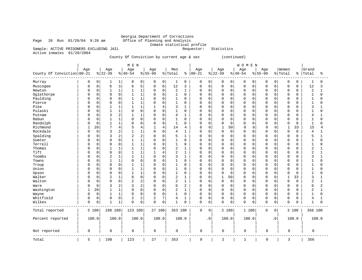### Georgia Department of Corrections<br>Office of Planning and Analysis Inmate statistical profile<br>Requestor: Statistics

Page 26 Run  $01/20/04$  9:26 am

Sample: ACTIVE PRISONERS EXCLUDING JAIL Active inmates 01/20/2004

County Of Conviction by current age & sex (continued)

|                            |              |             |                 |                | M E N            |                |                    |             |                |              |                  |             |                  |             | WOMEN            |                |                    |             |                  |             |                |              |
|----------------------------|--------------|-------------|-----------------|----------------|------------------|----------------|--------------------|-------------|----------------|--------------|------------------|-------------|------------------|-------------|------------------|----------------|--------------------|-------------|------------------|-------------|----------------|--------------|
| County Of Conviction 00-21 | Age          |             | Age<br>$ 22-39$ |                | Age<br>$8 40-54$ |                | Age<br>$8155 - 99$ |             | Men<br>% Total | ి            | Age<br>$00 - 21$ |             | Age<br>$8 22-39$ |             | Age<br>$8 40-54$ |                | Age<br>$8155 - 99$ |             | Women<br>% Total | ి           | Grand<br>Total | နွ           |
| Murray                     | 0            | 0           | 1               | 1              | 0                | 0              | 0                  | 0           | 1              | 0            | 0                | 0           | 0                | 0           | 0                | $\overline{0}$ | 0                  | 0           | 0                | 0           | 1              | $\mathbf 0$  |
| Muscogee                   | 0            | $\mathsf 0$ | 6               | 3              | 6                | 5              | 0                  | $\mathsf 0$ | 12             | 3            | $\mathbf 0$      | 0           | $\mathbf 0$      | $\mathbf 0$ | 0                | $\mathbf 0$    | 0                  | $\mathbf 0$ | 0                | 0           | 12             | 3            |
| Newton                     | 0            | $\mathsf 0$ | 1               | 1              | 1                | $\mathbf{1}$   | 0                  | $\mathbf 0$ | 2              | 1            | $\mathbf 0$      | 0           | $\mathbf 0$      | $\mathbf 0$ | $\mathbf 0$      | $\mathbf 0$    | 0                  | $\mathbf 0$ | 0                | 0           | 2              | $\mathbf{1}$ |
| Oglethorpe                 | 0            | $\mathbf 0$ | $\Omega$        | $\mathbf 0$    | $\mathbf{1}$     | $\mathbf{1}$   | 0                  | $\mathbf 0$ | $\mathbf{1}$   | 0            | $\Omega$         | 0           | $\Omega$         | $\Omega$    | $\Omega$         | 0              | 0                  | $\Omega$    | $\Omega$         | 0           | 1              | $\Omega$     |
| Paulding                   | n            | 0           | $\Omega$        | $\mathbf 0$    | $\mathbf{1}$     | 1              | 0                  | $\mathbf 0$ | 1              | $\Omega$     | 0                | 0           | $\Omega$         | $\mathbf 0$ | $\mathbf 0$      | $\mathbf 0$    | $\Omega$           | 0           | 0                | 0           | 1              | $\Omega$     |
| Pierce                     | <sup>0</sup> | $\mathbf 0$ | $\Omega$        | $\mathbf 0$    | $\mathbf{1}$     | $\mathbf{1}$   | 0                  | $\mathbf 0$ | 1              | $\Omega$     | $\Omega$         | $\Omega$    | $\Omega$         | $\Omega$    | $\mathbf 0$      | $\Omega$       | $\Omega$           | $\Omega$    | $\Omega$         | O           |                | $\Omega$     |
| Pike                       | <sup>0</sup> | 0           | 1               | 1              | 1                | $\mathbf{1}$   | 1                  | 4           | 3              | 1            | 0                | 0           | $\Omega$         | $\mathbf 0$ | $\mathbf 0$      | $\mathbf 0$    | 0                  | $\mathbf 0$ | 0                | 0           | 3              | 1            |
| Pulaski                    |              | 0           | $\mathbf{1}$    | $\mathbf{1}$   | $\Omega$         | $\mathbf 0$    | 0                  | $\mathbf 0$ | 1              | 0            | $\Omega$         | $\Omega$    | $\Omega$         | $\Omega$    | $\mathbf 0$      | 0              | $\Omega$           | $\Omega$    | 0                | 0           | 1              | $\Omega$     |
| Putnam                     | $\Omega$     | $\mathbf 0$ | 3               | $\overline{c}$ | 1                | 1              | 0                  | $\mathbf 0$ | 4              | 1            | $\Omega$         | 0           | $\Omega$         | $\Omega$    | 0                | 0              | $\Omega$           | $\Omega$    | $\Omega$         | 0           | 4              | 1            |
| Rabun                      | <sup>0</sup> | $\mathbf 0$ | 1               | $\mathbf{1}$   | 0                | $\Omega$       | 0                  | $\mathbf 0$ | $\mathbf 1$    | $\Omega$     | $\Omega$         | $\Omega$    | $\Omega$         | $\mathbf 0$ | $\mathbf 0$      | $\mathbf 0$    | $\Omega$           | $\Omega$    | $\Omega$         | 0           | 1              | $\Omega$     |
| Randolph                   | <sup>0</sup> | $\mathbf 0$ |                 | $\mathbf{1}$   | $\Omega$         | $\mathbf 0$    | $\Omega$           | $\mathbf 0$ | $\mathbf{1}$   | 0            | $\Omega$         | $\mathbf 0$ | $\Omega$         | $\mathbf 0$ | $\Omega$         | 0              | O                  | $\mathbf 0$ | $\Omega$         | 0           | $\mathbf{1}$   | $\Omega$     |
| Richmond                   | 1            | 20          | 7               | $\overline{4}$ | 5                | 4              | $\mathbf{1}$       | 4           | 14             | 4            | $\mathbf 0$      | 0           | $\mathbf 1$      | 50          | $\Omega$         | 0              | O                  | 0           | $\mathbf{1}$     | 33          | 15             | 4            |
| Rockdale                   | $\Omega$     | $\mathbf 0$ | 3               | $\overline{c}$ | $\mathbf{1}$     | $\mathbf{1}$   | $\Omega$           | $\mathbf 0$ | 4              | $\mathbf{1}$ | $\Omega$         | 0           | $\mathbf 0$      | $\mathbf 0$ | $\mathbf 0$      | $\mathbf 0$    | O                  | $\Omega$    | $\Omega$         | $\mathbf 0$ | 4              | 1            |
| Spalding                   | <sup>0</sup> | $\Omega$    | 3               | $\overline{2}$ | $\overline{2}$   | $\overline{c}$ | 0                  | $\mathbf 0$ | 5              | $\mathbf{1}$ | $\Omega$         | $\Omega$    | $\Omega$         | $\Omega$    | $\mathbf 0$      | $\Omega$       | 0                  | $\Omega$    | $\Omega$         | 0           | 5              | $\mathbf{1}$ |
| Sumter                     | <sup>0</sup> | $\mathsf 0$ | $\mathbf 0$     | $\mathsf 0$    | $\mathbf{1}$     | $\mathbf{1}$   | 0                  | $\mathbf 0$ | $\mathbf 1$    | 0            | 0                | 0           | $\Omega$         | $\mathbf 0$ | $\mathbf 0$      | 0              | 0                  | $\mathbf 0$ | 0                | 0           |                | $\Omega$     |
| Terrell                    | n            | $\mathbf 0$ | $\Omega$        | $\mathbf 0$    | $\mathbf{1}$     | $\mathbf{1}$   | $\Omega$           | $\mathbf 0$ | $\mathbf{1}$   | $\Omega$     | $\Omega$         | 0           | $\Omega$         | $\mathbf 0$ | $\Omega$         | 0              | O                  | $\mathbf 0$ | $\Omega$         | 0           | 1              | $\Omega$     |
| Thomas                     | <sup>0</sup> | $\mathbf 0$ |                 | $\mathbf{1}$   | $\mathbf 1$      | $\mathbf{1}$   | 0                  | $\mathbf 0$ | 2              | 1            | $\Omega$         | $\Omega$    | $\Omega$         | $\Omega$    | $\mathbf 0$      | $\mathbf 0$    | 0                  | $\Omega$    | $\Omega$         | 0           | 2              | $\mathbf{1}$ |
| Tift                       | <sup>0</sup> | $\mathbf 0$ | $\mathbf 0$     | $\mathbf 0$    | $\mathbf{1}$     | $\mathbf{1}$   | $\mathbf{1}$       | 4           | 2              | 1            | $\Omega$         | 0           | $\mathbf 0$      | $\mathbf 0$ | $\mathbf 0$      | $\mathbf 0$    | O                  | $\mathbf 0$ | 0                | 0           | $\overline{2}$ | $\mathbf{1}$ |
| Toombs                     | <sup>0</sup> | $\mathbf 0$ | $\overline{2}$  | $\mathbf{1}$   | $\mathbf{1}$     | $\mathbf{1}$   | $\Omega$           | $\mathbf 0$ | 3              | $\mathbf{1}$ | $\Omega$         | $\mathbf 0$ | $\Omega$         | $\Omega$    | $\Omega$         | 0              | O                  | $\Omega$    | $\Omega$         | 0           | 3              | 1            |
| Towns                      | <sup>0</sup> | 0           |                 | 1              | $\mathbf 0$      | $\mathbf 0$    | 0                  | $\mathbf 0$ | 1              | 0            | 0                | 0           | $\Omega$         | 0           | $\mathbf 0$      | 0              | $\Omega$           | 0           | $\Omega$         | 0           | 1              | $\Omega$     |
| Troup                      | n            | $\mathbf 0$ | $\Omega$        | $\mathbf 0$    | $\mathbf{1}$     | $\mathbf{1}$   | 0                  | $\mathbf 0$ | 1              | 0            | $\Omega$         | $\Omega$    | $\Omega$         | $\Omega$    | $\mathbf 0$      | $\mathbf 0$    | $\Omega$           | $\Omega$    | $\Omega$         | 0           |                | $\Omega$     |
| Union                      | <sup>0</sup> | $\mathbf 0$ | 0               | $\mathbf 0$    | 1                | $\mathbf{1}$   | 0                  | $\mathbf 0$ | 1              | 0            | 0                | 0           | 0                | $\mathbf 0$ | $\mathbf 0$      | $\mathbf 0$    | 0                  | $\mathbf 0$ | 0                | 0           | 1              | $\Omega$     |
| Upson                      | <sup>0</sup> | 0           | 0               | $\mathbf 0$    | $\mathbf{1}$     | $\mathbf{1}$   | 0                  | $\mathbf 0$ | $\mathbf 1$    | 0            | $\Omega$         | 0           | $\mathbf 0$      | $\mathbf 0$ | $\mathbf 0$      | 0              | $\Omega$           | 0           | $\Omega$         | 0           | 1              | $\Omega$     |
| Walker                     | $\Omega$     | $\mathbf 0$ | $\overline{2}$  | $\mathbf{1}$   | $\Omega$         | $\mathbf 0$    | 0                  | $\mathbf 0$ | 2              | $\mathbf{1}$ | $\Omega$         | $\mathbf 0$ | 1                | 50          | $\mathbf 0$      | 0              | $\Omega$           | $\Omega$    | $\mathbf{1}$     | 33          | 3              | 1            |
| Walton                     | <sup>0</sup> | $\mathbf 0$ | 0               | $\mathbf 0$    | $\overline{2}$   | $\overline{2}$ | 0                  | $\mathbf 0$ | 2              | $\mathbf{1}$ | $\Omega$         | 0           | 0                | $\mathbf 0$ | $\mathbf 0$      | 0              | 0                  | 0           | 0                | 0           | 2              | $\mathbf{1}$ |
| Ware                       | <sup>0</sup> | $\mathsf 0$ | 3               | $\overline{2}$ | 3                | $\overline{2}$ | 0                  | $\mathbf 0$ | 6              | 2            | 0                | 0           | $\Omega$         | $\mathbf 0$ | $\mathbf 0$      | $\mathbf 0$    | 0                  | $\mathbf 0$ | $\Omega$         | 0           | 6              | 2            |
| Washington                 | $\mathbf{1}$ | 20          | $\mathbf{1}$    | 1              | $\Omega$         | $\mathbf 0$    | $\Omega$           | $\mathbf 0$ | 2              | $\mathbf{1}$ | $\Omega$         | $\mathbf 0$ | $\Omega$         | $\Omega$    | $\mathbf 0$      | 0              | $\Omega$           | $\Omega$    | $\Omega$         | 0           | 2              | $\mathbf{1}$ |
| Wayne                      | $\Omega$     | 0           | 1               | $\mathbf{1}$   | 0                | $\mathbf 0$    | 0                  | $\mathbf 0$ | 1              | 0            | 0                | 0           | $\mathbf 0$      | $\mathbf 0$ | $\mathbf 0$      | 0              | $\Omega$           | 0           | 0                | 0           |                | $\Omega$     |
| Whitfield                  | $\Omega$     | 0           | $\Omega$        | $\mathbf 0$    | 2                | $\overline{c}$ | 2                  | 7           | 4              | $\mathbf{1}$ | $\mathbf 0$      | 0           | $\mathbf 0$      | $\mathbf 0$ | $\mathbf 0$      | $\mathbf 0$    | 0                  | 0           | 0                | 0           | 4              | 1            |
| Wilkes                     | $\Omega$     | 0           | 1               | 1              | $\mathbf 0$      | $\mathbf 0$    | 0                  | $\mathbf 0$ | 1              | 0            | $\mathbf 0$      | 0           | $\mathbf 0$      | $\mathbf 0$ | $\mathbf 0$      | 0              | 0                  | $\mathbf 0$ | 0                | 0           |                | $\mathbf 0$  |
| Total reported             |              | 5 100       | 198 100         |                | 123 100          |                | 27 100             |             | 353 100        |              | $\mathbf 0$      | $\mathbf 0$ | 2 100            |             | 1 100            |                | 0                  | 0           | 3 100            |             | 356 100        |              |
| Percent reported           |              | 100.0       | 100.0           |                | 100.0            |                | 100.0              |             | 100.0          |              |                  | $\cdot$ 0   | 100.0            |             | 100.0            |                |                    | $\cdot$ 0   | 100.0            |             |                | 100.0        |
| Not reported               | $\mathbf 0$  |             | $\mathbf 0$     |                | 0                |                | 0                  |             | 0              |              | $\mathbf 0$      |             | 0                |             | 0                |                | 0                  |             | 0                |             | 0              |              |
| Total                      | 5            |             | 198             |                | 123              |                | 27                 |             | 353            |              | $\mathbf 0$      |             | 2                |             | $\mathbf{1}$     |                | $\mathbf 0$        |             | 3                |             | 356            |              |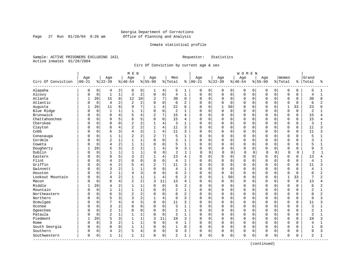Page 27 Run  $01/20/04$  9:26 am

#### Inmate statistical profile

Sample: ACTIVE PRISONERS EXCLUDING JAIL Requestor: Statistics Active inmates 01/20/2004

Circ Of Conviction by current age & sex

|                    |              |             |                |                | M E N          |                |                |                |                |                |              |             |              |             | <b>WOMEN</b> |          |              |             |              |             |                |                |
|--------------------|--------------|-------------|----------------|----------------|----------------|----------------|----------------|----------------|----------------|----------------|--------------|-------------|--------------|-------------|--------------|----------|--------------|-------------|--------------|-------------|----------------|----------------|
|                    | Age          |             | Age            |                | Age            |                | Age            |                | Men            |                | Age          |             | Age          |             | Age          |          | Age          |             | Women        |             | Grand          |                |
| Circ Of Conviction | $00 - 21$    |             | $8 22-39$      |                | $8140 - 54$    |                | $8155 - 99$    |                | % Total        | ႜ              | $ 00 - 21$   |             | $ 22-39$     |             | $8 40-54$    |          | $8 55-99$    | % Total     |              | နွ          | Total          | ႜ              |
| Alapaha            | 0            | 0           | 4              | 2              | 0              | 0              | ı              | 4              | 5              | 1              | 0            | 0           | 0            | 0           | 0            | 0        | 0            | 0           | 0            | 0           | 5              |                |
| Alcovy             | O            | $\mathbf 0$ | $\mathbf{1}$   | $\mathbf{1}$   | 3              | $\overline{c}$ | $\mathbf 0$    | $\mathsf 0$    | $\overline{4}$ | $\mathbf{1}$   | $\Omega$     | $\mathbf 0$ | 0            | $\mathbf 0$ | $\mathsf 0$  | 0        | $\Omega$     | $\mathbf 0$ | $\mathbf 0$  | $\mathbf 0$ | $\overline{4}$ | $\mathbf{1}$   |
| Atlanta            | $\mathbf{1}$ | 20          | 15             | 8              | 12             | 10             | $\overline{2}$ | 7              | 30             | 8              | $\Omega$     | $\mathbf 0$ | 0            | $\mathbf 0$ | $\mathbf 0$  | 0        | $\Omega$     | $\Omega$    | $\mathbf 0$  | $\Omega$    | 30             | 8              |
| Atlantic           | U            | $\mathbf 0$ | 4              | 2              | 2              | $\overline{c}$ | $\Omega$       | $\mathbf 0$    | 6              | 2              | 0            | $\mathbf 0$ | 0            | $\mathbf 0$ | $\mathbf 0$  | $\Omega$ | $\Omega$     | 0           | $\Omega$     | $\Omega$    | 6              |                |
| Augusta            | 1            | 20          | 11             | 6              | q              | 7              | $\mathbf{1}$   | 4              | 22             | 6              | <sup>0</sup> | $\Omega$    | $\mathbf{1}$ | 50          | $\Omega$     | $\cap$   | $\Omega$     | U           | 1            | 33          | 23             |                |
| Blue Ridge         | U            | $\mathbf 0$ | $\overline{1}$ | 1              |                | $\mathbf{1}$   | $\Omega$       | $\mathbf 0$    | $\overline{2}$ | $\mathbf{1}$   | 0            | $\mathbf 0$ | 0            | $\mathbf 0$ | $\Omega$     | $\Omega$ | $\Omega$     | $\Omega$    | $\Omega$     | $\Omega$    | $\overline{2}$ |                |
| Brunswick          |              | $\mathbf 0$ | 8              | $\overline{4}$ |                | $\overline{4}$ | $\overline{2}$ | 7              | 15             | 4              | 0            | $\mathbf 0$ | 0            | $\mathbf 0$ | $\Omega$     | 0        | $\Omega$     | 0           | $\Omega$     | $\mathbf 0$ | 15             |                |
| Chattahoochee      |              | $\mathbf 0$ | 9              | 5              | 6              | 5              | $\Omega$       | $\mathbf 0$    | 15             | 4              | 0            | $\mathbf 0$ | 0            | $\mathbf 0$ | $\Omega$     | 0        | $\Omega$     | O           | $\mathbf 0$  | $\Omega$    | 15             | Δ              |
| Cherokee           | U            | 0           | $\Omega$       | 0              |                | $\overline{2}$ |                | 4              | 3              | $\mathbf{1}$   | 0            | 0           | 0            | 0           | $\mathbf 0$  | 0        | $\Omega$     | 0           | 0            | 0           | 3              |                |
| Clayton            | O            | 0           | 8              | 4              | $\overline{2}$ | 2              |                | $\overline{4}$ | 11             | 3              | 0            | 0           | 0            | $\mathbf 0$ | $\mathbf 0$  | $\Omega$ | <sup>0</sup> | O           | $\Omega$     | $\Omega$    | 11             | 3              |
| Cobb               | U            | 0           | 6              | 3              | 4              | 3              | 1              | 4              | 11             | 3              | 0            | 0           | 0            | 0           | $\mathbf 0$  | $\Omega$ | <sup>0</sup> | O           | $\mathbf 0$  | $\Omega$    | 11             | ς              |
| Conasauga          | Ω            | 0           | $\mathbf{1}$   | $\mathbf 1$    | $\overline{c}$ | 2              | $\overline{a}$ | 7              | 5              | $\mathbf{1}$   | 0            | $\Omega$    | U            | $\Omega$    | $\Omega$     | $\Omega$ | $\Omega$     | $\Omega$    | $\Omega$     | $\Omega$    | 5              |                |
| Cordele            |              | $\mathbf 0$ | $\overline{2}$ | $\mathbf 1$    |                | $1\,$          | $\Omega$       | $\mathbf 0$    | 3              | $\mathbf{1}$   | 0            | $\mathbf 0$ | 0            | $\mathbf 0$ | $\Omega$     | 0        | $\Omega$     | $\Omega$    | $\Omega$     | $\Omega$    | 3              | -1             |
| Coweta             |              | $\mathbf 0$ | 4              | 2              |                | $1\,$          | $\Omega$       | $\Omega$       | 5              | $\mathbf{1}$   | 0            | $\mathbf 0$ | 0            | $\mathbf 0$ | $\Omega$     | 0        | $\Omega$     | O           | $\Omega$     | $\Omega$    | 5              |                |
| Dougherty          | 1            | 20          | 5              | 3              | 2              | $\overline{2}$ | -1             | $\overline{4}$ | 9              | 3              | $\Omega$     | $\mathbf 0$ | 0            | 0           | 0            | 0        | $\Omega$     | 0           | $\mathbf 0$  | 0           | 9              | ς              |
| Dublin             | O            | $\mathbf 0$ |                | $\mathbf 1$    |                | $\mathbf{1}$   | $\Omega$       | $\Omega$       | $\overline{2}$ | 1              | $\Omega$     | 0           | $\Omega$     | 0           | $\mathbf 0$  | $\Omega$ | C            | 0           | $\mathbf 0$  | 0           | $\overline{c}$ | 1              |
| Eastern            |              | 0           | 9              | 5              | κ              | $\overline{2}$ | $\mathbf{1}$   | 4              | 13             | 4              | 0            | $\Omega$    | 0            | $\Omega$    | <sup>0</sup> | $\Omega$ | <sup>0</sup> | U           | $\Omega$     | $\Omega$    | 13             | 4              |
| Flint              |              | 0           | 4              | 2              | $\Omega$       | $\mathbf 0$    | $\mathbf 0$    | $\mathbf 0$    | $\overline{4}$ | $\mathbf{1}$   | 0            | $\mathbf 0$ | 0            | 0           | $\Omega$     | $\Omega$ | $\Omega$     | $\Omega$    | $\mathbf 0$  | $\Omega$    | $\overline{4}$ |                |
| Griffin            |              | 0           | 4              | 2              |                | $\overline{4}$ | 2              | 7              | 11             | 3              | 0            | 0           | 0            | $\mathbf 0$ | 0            | 0        | 0            | 0           | $\mathbf 0$  | $\Omega$    | 11             | 3              |
| Gwinnett           | U            | 0           | 3              | $\overline{a}$ | 1              | $\mathbf{1}$   | $\cap$         | $\mathbf 0$    | 4              | $\mathbf{1}$   | 0            | $\mathbf 0$ | 0            | $\mathbf 0$ | $\Omega$     | 0        | $\Omega$     | O           | $\Omega$     | $\Omega$    | $\overline{4}$ | 1              |
| Houston            |              | 0           | $\overline{2}$ | $\mathbf 1$    | 4              | 3              | $\Omega$       | $\mathbf 0$    | 6              | 2              | 0            | 0           | 0            | 0           | $\Omega$     | $\Omega$ | $\Omega$     | O           | $\Omega$     | $\Omega$    | 6              | $\overline{2}$ |
| Lookout Mountain   | U            | 0           | 4              | $\overline{2}$ |                | $\mathbf{1}$   |                | $\overline{4}$ | 6              | 2              | $\Omega$     | $\mathbf 0$ | 1            | 50          | $\mathbf 0$  | 0        | $\Omega$     | $\Omega$    | $\mathbf{1}$ | 33          | 7              | 2              |
| Macon              | U            | $\Omega$    | 8              | $\overline{4}$ | 2              | $\overline{a}$ | 3              | 11             | 13             | $\overline{4}$ | $\Omega$     | $\Omega$    | $\Omega$     | $\Omega$    | $\Omega$     | $\Omega$ | $\Omega$     | $\Omega$    | $\Omega$     | $\Omega$    | 13             | 4              |
| Middle             | 1            | 20          | 4              | 2              |                | $\mathbf{1}$   | $\Omega$       | 0              | 6              | $\overline{2}$ | $\Omega$     | $\mathbf 0$ | 0            | $\Omega$    | $\Omega$     | $\Omega$ | O            | $\Omega$    | $\Omega$     | $\Omega$    | 6              | 2              |
| Mountain           |              | $\mathbf 0$ | $\mathbf{1}$   | 1              |                | $\mathbf 1$    | $\Omega$       | $\mathbf 0$    | 2              | $\mathbf{1}$   | 0            | $\mathbf 0$ | 0            | $\mathbf 0$ | $\Omega$     | 0        | $\Omega$     | 0           | $\Omega$     | $\Omega$    | $\overline{a}$ |                |
| Northeastern       |              | $\mathbf 0$ | 6              | 3              | $\overline{2}$ | $\overline{c}$ | $\cap$         | $\Omega$       | 8              | $\overline{2}$ | 0            | $\mathbf 0$ | 0            | $\Omega$    | $\Omega$     | 0        | $\Omega$     | O           | $\Omega$     | $\Omega$    | 8              | 2              |
| Northern           | U            | 0           | 5              | 3              |                | $\overline{2}$ |                | $\overline{4}$ | 9              | 3              | 0            | 0           | 0            | 0           | $\Omega$     | 0        | $\Omega$     | O           | $\Omega$     | 0           | 9              |                |
| Ocmulgee           | U            | 0           | 7              | 4              | 4              | 3              | $\Omega$       | $\mathbf 0$    | 11             | 3              | 0            | 0           | 0            | $\Omega$    | $\mathbf 0$  | $\Omega$ | <sup>0</sup> | O           | $\Omega$     | $\Omega$    | 11             |                |
| Oconee             |              | 0           | 3              | $\overline{a}$ | $\Omega$       | $\mathbf 0$    | $\Omega$       | 0              | 3              | $\mathbf{1}$   | 0            | 0           | 0            | $\mathbf 0$ | $\mathbf 0$  | $\Omega$ | $\Omega$     | $\Omega$    | $\Omega$     | $\Omega$    | 3              |                |
| Ogeechee           |              | $\mathbf 0$ | $\overline{2}$ | $\mathbf 1$    | $\Omega$       | $\mathbf 0$    | $\Omega$       | $\mathbf 0$    | $\overline{2}$ | $\mathbf{1}$   | 0            | $\mathbf 0$ | 0            | 0           | $\Omega$     | 0        | $\Omega$     | 0           | $\mathbf 0$  | $\Omega$    | $\overline{2}$ |                |
| Pataula            |              | $\mathbf 0$ | $\overline{2}$ | $\mathbf{1}$   |                | $\mathbf{1}$   | $\Omega$       | $\mathbf 0$    | 3              | $\mathbf{1}$   | 0            | $\mathbf 0$ | 0            | $\mathbf 0$ | $\Omega$     | 0        | $\Omega$     | 0           | $\mathbf 0$  | 0           | 3              | $\mathbf{1}$   |
| Piedmont           | -1           | 20          | 5              | 3              |                | $\mathbf{1}$   | 3              | 11             | 10             | 3              | $\Omega$     | $\Omega$    | $\Omega$     | $\Omega$    | $\mathbf 0$  | $\Omega$ | $\Omega$     | $\Omega$    | $\Omega$     | $\Omega$    | 10             | 3              |
| Rome               |              | $\mathbf 0$ | 3              | 2              |                | 1              | 0              | $\mathbf 0$    | $\overline{4}$ | $\mathbf{1}$   | $\Omega$     | $\mathbf 0$ | 0            | $\Omega$    | $\mathbf 0$  | $\Omega$ | $\Omega$     | $\Omega$    | $\Omega$     | $\Omega$    | $\overline{4}$ |                |
| South Georgia      | O            | $\Omega$    | $\Omega$       | 0              | $\mathbf{1}$   | $1\,$          | $\Omega$       | $\mathbf 0$    | $\mathbf{1}$   | $\Omega$       | $\Omega$     | $\mathbf 0$ | 0            | $\Omega$    | $\Omega$     | 0        | $\Omega$     | $\Omega$    | $\Omega$     | $\Omega$    | $\mathbf{1}$   | $\Omega$       |
| Southern           | 0            | 0           | 4              | 2              | 5              | $\overline{4}$ | $\Omega$       | $\mathbf 0$    | 9              | 3              | 0            | $\Omega$    | 0            | $\mathbf 0$ | $\mathbf 0$  | 0        | $\Omega$     | 0           | $\Omega$     | O           | 9              | 3              |
| Southwestern       | 0            | 0           | $\mathbf{1}$   | $\mathbf{1}$   | 1              | $\mathbf 1$    | $\Omega$       | 0              | 2              | $\mathbf{1}$   | 0            | 0           | 0            | 0           | $\mathbf 0$  | 0        | $\Omega$     | 0           | 0            | 0           | 2              |                |

(continued)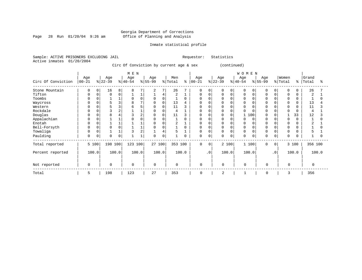Page 28 Run  $01/20/04$  9:26 am

#### Inmate statistical profile

Sample: ACTIVE PRISONERS EXCLUDING JAIL Requestor: Statistics Active inmates 01/20/2004

Circ Of Conviction by current age & sex (continued)

|                    |                  |       |                  |                | M E N            |                |                  |                |                |          |                   |           |                  |             | <b>WOMEN</b>    |             |                 |           |                  |          |                |       |
|--------------------|------------------|-------|------------------|----------------|------------------|----------------|------------------|----------------|----------------|----------|-------------------|-----------|------------------|-------------|-----------------|-------------|-----------------|-----------|------------------|----------|----------------|-------|
| Circ Of Conviction | Age<br>$00 - 21$ |       | Age<br>$ 22-39 $ |                | Age<br>$ 40-54 $ |                | Age<br>$8 55-99$ |                | Men<br>% Total | နွ       | Age<br>$ 00 - 21$ |           | Age<br>$ 22-39 $ |             | Age<br>$ 40-54$ |             | Age<br>$ 55-99$ |           | Women<br>% Total | ⊱        | Grand<br>Total | °     |
| Stone Mountain     | 0                | 0     | 16               | 8              | 8                |                | 2                | 7 <sup>1</sup> | 26             |          | $\mathbf 0$       | 0         | 0                | $\mathbf 0$ | 0               | $\mathbf 0$ | 0               | 0         | 0                | $\Omega$ | 26             |       |
| Tifton             | $\Omega$         | 0     | 0                | 0              |                  |                |                  | 4              | 2              |          | 0                 | $\Omega$  | 0                | $\mathbf 0$ | 0               | 0           | $\Omega$        |           | 0                |          | $\overline{2}$ |       |
| Toombs             | 0                |       |                  |                | O                | $\Omega$       | $\mathbf 0$      | 0              |                | $\Omega$ | 0                 |           |                  | 0           | 0               |             | $\Omega$        |           | 0                | 0        |                |       |
| Waycross           | 0                |       | 5                | 3              | 8                |                | 0                | 0              | 13             |          | <sup>0</sup>      |           | U                |             |                 |             |                 |           | $\Omega$         |          | 13             |       |
| Western            | $\Omega$         |       |                  | 3              |                  |                | 0                | 0              | 11             | 3        | O                 |           |                  |             |                 |             |                 |           | $\Omega$         |          | 11             |       |
| Rockdale           | O                |       |                  | $\overline{2}$ |                  |                | $\Omega$         |                | 4              |          | <sup>0</sup>      |           | <sup>0</sup>     | $\Omega$    |                 |             | $\cap$          |           | $\cap$           |          | $\overline{4}$ |       |
| Douglas            | $\Omega$         |       |                  |                |                  |                | 0                | 0              | 11             | 3        | 0                 |           | U                | 0           |                 | 100         | <sup>0</sup>    |           |                  | 33       | 12             |       |
| Appalachian        | 0                |       |                  |                |                  |                | $\Omega$         |                |                | $\Omega$ | <sup>0</sup>      |           | N                | $\Omega$    |                 | $\Omega$    |                 |           | $\Omega$         | $\Omega$ |                |       |
| Enotah             | $\Omega$         |       |                  |                |                  |                | $\Omega$         |                | 2              |          | <sup>0</sup>      |           | O                | $\Omega$    | O               |             |                 |           | $\Omega$         |          | 2              |       |
| Bell-Forsyth       | 0                |       |                  | $\Omega$       |                  |                | $\Omega$         |                |                | $\Omega$ | 0                 |           | <sup>0</sup>     | $\Omega$    | 0               |             | $\Omega$        |           | $\Omega$         |          |                |       |
| Towaliga           | $\Omega$         |       |                  |                |                  | $\overline{2}$ |                  | 4              | 5              |          | $\Omega$          |           | 0                | $\Omega$    | 0               |             | $\Omega$        |           | $\Omega$         |          | 5              |       |
| Paulding           | $\mathbf 0$      | 0     | $\Omega$         | 0              |                  |                | $\Omega$         | 0              |                | 0        | $\mathbf 0$       | 0         | 0                | $\mathbf 0$ | 0               | $\mathbf 0$ | $\Omega$        | 0         | $\Omega$         | $\Omega$ |                |       |
| Total reported     |                  | 5 100 | 198 100          |                | 123 100          |                | 27 100           |                | 353 100        |          | $\Omega$          | $\Omega$  |                  | 2 100       | 1 100           |             | $\Omega$        | $\Omega$  |                  | 3 100    | 356 100        |       |
| Percent reported   |                  | 100.0 |                  | 100.0          |                  | 100.0          |                  | 100.0          |                | 100.0    |                   | $\cdot$ 0 |                  | 100.0       | 100.0           |             |                 | $\cdot$ 0 |                  | 100.0    |                | 100.0 |
| Not reported       | $\mathbf 0$      |       | $\Omega$         |                | $\mathbf 0$      |                | $\Omega$         |                | $\mathbf 0$    |          | 0                 |           | $\mathbf 0$      |             | $\Omega$        |             | $\mathbf 0$     |           | $\Omega$         |          | $\Omega$       |       |
| Total              | 5                |       | 198              |                | 123              |                | 27               |                | 353            |          | $\mathbf 0$       |           | 2                |             |                 |             | 0               |           | 3                |          | 356            |       |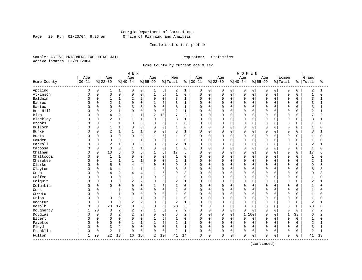Page 29 Run  $01/20/04$  9:26 am

#### Inmate statistical profile

Sample: ACTIVE PRISONERS EXCLUDING JAIL Requestor: Statistics Active inmates 01/20/2004

Home County by current age & sex

|                         |           |              |                         |              | MEN            |                |              |             |                |                |            |             |             |              | <b>WOMEN</b> |             |             |          |                |             |                |                |
|-------------------------|-----------|--------------|-------------------------|--------------|----------------|----------------|--------------|-------------|----------------|----------------|------------|-------------|-------------|--------------|--------------|-------------|-------------|----------|----------------|-------------|----------------|----------------|
|                         | Age       |              | Age                     |              | Age            |                | Age          |             | Men            |                | Age        |             | Age         |              | Age          |             | Age         |          | Women          |             | Grand          |                |
| Home County<br>-------- | $00 - 21$ |              | $ 22-39$                |              | $ 40-54$       |                | $8 55-99$    |             | % Total        | နွ             | $ 00 - 21$ |             | $ 22-39$    |              | $8 40-54$    |             | $8155 - 99$ |          | % Total        | ႜ           | Total          | ႜ              |
| Appling                 | 0         | $\mathsf{O}$ | 1                       | 1            | 0              | 0              | 1            | 5           | 2              | 1              | 0          | $\mathbf 0$ | 0           | $\mathbf 0$  | 0            | $\mathbf 0$ | 0           | 0        | $\mathbf 0$    | $\mathbf 0$ | $\overline{2}$ | 1              |
| Atkinson                | $\Omega$  | $\mathsf 0$  | $\mathsf 0$             | 0            | $\mathbf 0$    | 0              |              | 5           | $\mathbf{1}$   | $\mathsf 0$    | 0          | $\mathbf 0$ | 0           | $\mathsf{O}$ | $\mathbf 0$  | $\mathbf 0$ | $\mathbf 0$ | 0        | $\mathsf 0$    | $\mathbf 0$ | $\mathbf{1}$   | $\mathbf 0$    |
| Baldwin                 | C         | 0            | $\mathbf{1}$            | $1\,$        | $\overline{2}$ | 2              | $\Omega$     | $\mathbf 0$ | 3              | $\mathbf{1}$   | 0          | $\mathbf 0$ | $\Omega$    | $\mathbf 0$  | $\mathbf 0$  | $\mathbf 0$ | $\Omega$    | $\Omega$ | $\mathsf 0$    | $\mathbf 0$ | 3              | $\mathbf{1}$   |
| Barrow                  | C         | $\Omega$     | $\overline{2}$          | $\mathbf 1$  | $\Omega$       | 0              | 1            | 5           | 3              | $\mathbf{1}$   | 0          | $\mathbf 0$ | $\Omega$    | $\Omega$     | $\mathbf 0$  | $\Omega$    | $\Omega$    | $\Omega$ | $\mathbf 0$    | $\Omega$    | 3              | -1             |
| Bartow                  | C         | $\Omega$     | $\mathbf 0$             | 0            |                | 3              | $\Omega$     | $\mathbf 0$ | 3              | 1              | 0          | $\mathbf 0$ | $\Omega$    | $\mathbf 0$  | $\mathbf 0$  | $\Omega$    | $\Omega$    | O        | $\Omega$       | $\Omega$    | 3              |                |
| Ben Hill                | C         | $\Omega$     | $\overline{2}$          | $1\,$        | $\Omega$       | $\Omega$       | $\Omega$     | $\Omega$    | $\overline{2}$ | $\mathbf{1}$   | O          | $\mathbf 0$ | $\Omega$    | $\Omega$     | $\Omega$     | $\Omega$    | $\Omega$    | $\Omega$ | $\Omega$       | $\Omega$    | $\overline{a}$ | $\mathbf{1}$   |
| Bibb                    | 0         | $\Omega$     | $\overline{4}$          | 2            | 1              | 1              | 2            | 10          | 7              | $\overline{2}$ | 0          | $\mathbf 0$ | 0           | $\Omega$     | $\mathbf 0$  | $\Omega$    | $\Omega$    | $\Omega$ | $\mathbf 0$    | $\Omega$    | 7              | 2              |
| Bleckley                | C         | 0            | $\overline{\mathbf{c}}$ | $\mathbf 1$  | $\mathbf{1}$   | 1              | $\Omega$     | 0           | 3              | $\mathbf{1}$   | 0          | $\mathbf 0$ | $\Omega$    | $\mathbf 0$  | $\mathbf 0$  | $\Omega$    | $\Omega$    | $\Omega$ | $\Omega$       | $\Omega$    | 3              | $\mathbf{1}$   |
| Brooks                  | C         | $\Omega$     | $\mathbf{1}$            | $\mathbf 1$  | $\Omega$       | $\Omega$       | $\Omega$     | $\mathbf 0$ | $\mathbf{1}$   | $\mathbf 0$    | 0          | $\mathbf 0$ | 0           | $\mathbf 0$  | $\mathbf 0$  | $\Omega$    | $\Omega$    | $\Omega$ | $\Omega$       | $\Omega$    | $\mathbf{1}$   | $\Omega$       |
| Bulloch                 | C         | 0            | $\mathbf{1}$            | 1            | $\Omega$       | 0              | $\Omega$     | $\mathsf 0$ | $\mathbf{1}$   | 0              | 0          | $\mathbf 0$ | 0           | $\mathbf 0$  | $\mathbf 0$  | $\Omega$    | $\Omega$    | O        | $\Omega$       | $\Omega$    | $\mathbf{1}$   | O              |
| <b>Burke</b>            | C         | $\Omega$     | $\overline{2}$          | $\mathbf{1}$ | 1              | 1              | $\Omega$     | $\mathbf 0$ | 3              | $\mathbf{1}$   | 0          | $\mathbf 0$ | 0           | $\Omega$     | $\Omega$     | $\Omega$    | $\Omega$    | $\cap$   | $\Omega$       | $\cap$      | 3              |                |
| <b>Butts</b>            | C         | $\Omega$     | $\mathbf 0$             | 0            | $\Omega$       | $\Omega$       | $\mathbf{1}$ | 5           | 1              | $\mathbf 0$    | 0          | $\mathbf 0$ | 0           | $\Omega$     | $\mathbf 0$  | $\Omega$    | $\Omega$    | 0        | $\Omega$       | $\cap$      | $\mathbf{1}$   | U              |
| Camden                  | C         | $\Omega$     | $\mathbf 0$             | 0            | 1              | 1              | $\mathbf 0$  | $\mathbf 0$ | 1              | $\mathbf 0$    | 0          | $\mathbf 0$ | 0           | $\mathbf 0$  | $\mathbf 0$  | 0           | $\Omega$    | $\Omega$ | $\Omega$       | $\Omega$    | $\mathbf{1}$   | O              |
| Carroll                 | C         | 0            | $\overline{2}$          | 1            | $\Omega$       | 0              | $\Omega$     | $\mathbf 0$ | $\overline{2}$ | $\mathbf{1}$   | 0          | $\mathbf 0$ | 0           | 0            | $\mathbf 0$  | 0           | $\Omega$    | 0        | $\mathbf 0$    | $\Omega$    | $\overline{a}$ |                |
| Catoosa                 | C         | 0            | $\mathbf 0$             | 0            | $\mathbf{1}$   | 1              | $\Omega$     | $\mathbf 0$ | $\mathbf{1}$   | $\mathbf 0$    | 0          | $\mathbf 0$ | 0           | $\Omega$     | $\mathbf 0$  | $\Omega$    | $\Omega$    | 0        | $\Omega$       | 0           | $\mathbf{1}$   | $\Omega$       |
| Chatham                 | C         | 0            | 10                      | 6            | 6              | 6              |              | 5           | 17             | 6              | 0          | 0           | 0           | 0            | 0            | $\Omega$    | 0           | O        | 0              | 0           | 17             | б              |
| Chattooga               | C         | $\Omega$     | $\mathbf{1}$            | $\mathbf{1}$ | $\Omega$       | $\Omega$       | $\Omega$     | $\mathbf 0$ | $\mathbf{1}$   | $\Omega$       | 0          | $\mathbf 0$ | $\Omega$    | $\Omega$     | $\mathbf 0$  | $\Omega$    | $\Omega$    | U        | $\Omega$       | $\Omega$    | $\mathbf{1}$   |                |
| Cherokee                | 0         | 0            | $\mathbf{1}$            | 1            | 1              | 1              | $\Omega$     | $\mathbf 0$ | $\overline{2}$ | 1              | 0          | $\mathbf 0$ | 0           | $\mathbf 0$  | $\mathbf 0$  | $\Omega$    | $\Omega$    | $\Omega$ | $\Omega$       | $\Omega$    | $\overline{2}$ |                |
| Clarke                  | C         | 0            | 5                       | 3            | 4              | 4              | $\Omega$     | $\mathbf 0$ | 9              | 3              | 0          | $\mathbf 0$ | 0           | $\mathbf 0$  | $\mathbf 0$  | $\Omega$    | $\Omega$    | 0        | $\overline{0}$ | 0           | 9              | 3              |
| Clayton                 | C         | $\Omega$     | 6                       | 4            | $\mathbf{1}$   | 1              | $\mathbf{1}$ | 5           | 8              | 3              | 0          | $\mathbf 0$ | 0           | $\mathbf 0$  | 0            | $\Omega$    | $\Omega$    | O        | $\mathbf 0$    | $\Omega$    | 8              | 3              |
| Cobb                    | C         | 0            | 4                       | 2            | 4              | 4              |              | 5           | 9              | 3              | 0          | $\mathbf 0$ | 0           | 0            | $\mathbf 0$  | $\Omega$    | $\Omega$    | O        | 0              | 0           | 9              | 3              |
| Coffee                  | C         | 0            | $\mathbf 0$             | 0            | 1              | 1              | $\Omega$     | $\mathbf 0$ | $\mathbf{1}$   | 0              | 0          | $\mathbf 0$ | $\Omega$    | $\mathbf 0$  | $\mathbf 0$  | $\Omega$    | $\Omega$    | O        | $\Omega$       | $\Omega$    | $\mathbf{1}$   |                |
| Colquit                 | C         | 0            | $\mathbf 0$             | 0            | $\overline{2}$ | $\overline{a}$ | $\Omega$     | $\mathbf 0$ | $\overline{2}$ | 1              | 0          | $\mathbf 0$ | 0           | $\mathbf 0$  | $\mathbf 0$  | $\Omega$    | $\Omega$    | $\Omega$ | $\mathbf 0$    | $\Omega$    | $\overline{c}$ |                |
| Columbia                | C         | $\Omega$     | $\Omega$                | 0            | $\Omega$       | $\Omega$       | $\mathbf{1}$ | 5           | 1              | $\Omega$       | 0          | $\mathbf 0$ | 0           | $\Omega$     | $\mathbf 0$  | $\Omega$    | $\Omega$    | $\Omega$ | $\Omega$       | O           | $\mathbf{1}$   | O              |
| Cook                    | C         | $\Omega$     | $\mathbf{1}$            | 1            | $\Omega$       | $\Omega$       | $\mathbf 0$  | $\mathsf 0$ | 1              | 0              | 0          | $\mathbf 0$ | $\mathbf 0$ | $\mathbf 0$  | $\mathbf 0$  | $\mathbf 0$ | $\Omega$    | $\Omega$ | $\Omega$       | $\Omega$    | $\mathbf{1}$   | O              |
| Coweta                  | C         | $\Omega$     | $\mathbf{1}$            | $\mathbf{1}$ | $\Omega$       | 0              | $\Omega$     | $\mathbf 0$ | $\mathbf{1}$   | $\Omega$       | O          | $\mathbf 0$ | $\Omega$    | $\Omega$     | $\mathbf 0$  | $\mathbf 0$ | $\Omega$    | 0        | $\Omega$       | $\Omega$    | $\mathbf{1}$   | U              |
| Crisp                   | C         | 0            | $\mathbf 0$             | $\mathbf 0$  | 1              | 1              | $\Omega$     | $\mathbf 0$ | $\mathbf{1}$   | 0              | 0          | $\mathbf 0$ | $\Omega$    | 0            | $\mathbf 0$  | $\Omega$    | $\Omega$    | 0        | $\mathbf 0$    | $\Omega$    | $\mathbf 1$    | O              |
| Decatur                 | C         | 0            | $\Omega$                | $\mathbf 0$  | $\overline{a}$ | 2              | $\Omega$     | $\mathbf 0$ | $\overline{2}$ | $\mathbf{1}$   | 0          | $\mathbf 0$ | $\Omega$    | $\Omega$     | $\Omega$     | $\Omega$    | $\Omega$    | $\Omega$ | $\Omega$       | $\Omega$    | $\overline{2}$ |                |
| DeKalb                  | C         | $\Omega$     | 20                      | 12           | ζ              | 3              | $\Omega$     | $\mathbf 0$ | 23             | 8              | $\Omega$   | $\mathbf 0$ | 0           | $\Omega$     | $\Omega$     | $\Omega$    | $\Omega$    | $\Omega$ | $\Omega$       | $\Omega$    | 23             | 8              |
| Dougherty               | 1         | 20           | 3                       | 2            | $\overline{2}$ | 2              | $\mathbf{1}$ | 5           | 7              | 2              | 0          | $\mathbf 0$ | 0           | $\mathbf 0$  | $\mathbf 0$  | $\Omega$    | $\Omega$    | $\Omega$ | $\mathbf 0$    | $\Omega$    | 7              | 2              |
| Douglas                 | U         | $\mathbf 0$  | 3                       | 2            | $\overline{2}$ | 2              | $\Omega$     | $\mathsf 0$ | 5              | 2              | 0          | $\mathbf 0$ | $\Omega$    | $\mathbf 0$  | $\mathbf{1}$ | 100         | $\Omega$    | $\Omega$ | $\mathbf{1}$   | 33          | 6              | $\overline{a}$ |
| Elbert                  | C         | 0            | $\Omega$                | $\mathbf 0$  | $\Omega$       | 0              | $\mathbf{1}$ | 5           | $\mathbf{1}$   | $\mathbf 0$    | 0          | $\mathbf 0$ | $\Omega$    | $\mathbf 0$  | $\mathbf 0$  | $\Omega$    | $\Omega$    | $\Omega$ | $\mathbf 0$    | $\Omega$    | $\mathbf 1$    | $\Omega$       |
| Fayette                 | C         | 0            | $\Omega$                | $\mathsf 0$  | 1              | $\mathbf{1}$   |              | 5           | $\overline{a}$ | 1              | 0          | $\mathbf 0$ | 0           | $\mathbf 0$  | $\mathbf 0$  | $\Omega$    | $\Omega$    | $\Omega$ | $\Omega$       | $\Omega$    | $\overline{2}$ |                |
| Floyd                   | U         | 0            | 3                       | 2            | $\Omega$       | 0              | $\mathbf 0$  | $\mathbf 0$ | 3              | 1              | 0          | $\mathbf 0$ | 0           | $\Omega$     | $\mathbf 0$  | $\mathbf 0$ | $\Omega$    | $\Omega$ | $\Omega$       | $\Omega$    | 3              |                |
| Franklin                | U         | $\mathsf{O}$ | $\overline{2}$          | $\mathbf{1}$ | $\Omega$       | 0              | $\Omega$     | $\mathsf 0$ | $\overline{2}$ | $\mathbf{1}$   | 0          | $\mathbf 0$ | 0           | 0            | $\mathbf 0$  | $\mathbf 0$ | $\Omega$    | 0        | $\mathbf 0$    | $\Omega$    | $\overline{2}$ | $\mathbf{1}$   |
| Fulton                  | 1         | 20           | 22                      | 13           | 16             | 15             | 2            | 10          | 41             | 14             | 0          | $\mathbf 0$ | 0           | 0            | $\mathbf 0$  | 0           | $\Omega$    | 0        | $\mathbf 0$    | 0           | 41             | 13             |

(continued)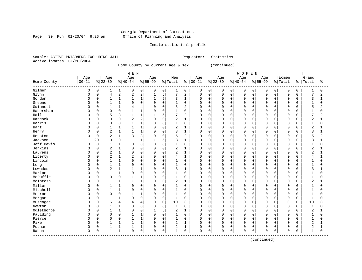#### Georgia Department of Corrections Page 30 Run 01/20/04 9:26 am Office of Planning and Analysis

#### Inmate statistical profile

Sample: ACTIVE PRISONERS EXCLUDING JAIL Requestor: Statistics Active inmates 01/20/2004

Home County by current age & sex (continued)

 | M E N | W O M E N | | Age | Age | Age | Age | Men | Age | Age | Age | Age |Women |Grand Home County |00-21 %|22-39 %|40-54 %|55-99 %|Total % |00-21 %|22-39 %|40-54 %|55-99 %|Total % |Total % ------------------------------------------------------------------------------------------------------------------------------------ Gilmer | 0 0| 1 1| 0 0| 0 0| 1 0 | 0 0| 0 0| 0 0| 0 0| 0 0 | 1 0 Glynn | 0 0| 4 2| 2 2| 1 5| 7 2 | 0 0| 0 0| 0 0| 0 0| 0 0 | 7 2 Gordon | 0 0| 1 1| 1 1| 1 5| 3 1 | 0 0| 0 0| 0 0| 0 0| 0 0 | 3 1 Greene | 0 0| 1 1| 0 0| 0 0| 1 0 | 0 0| 0 0| 0 0| 0 0| 0 0 | 1 0 Gwinnett | 0 0| 1 1| 4 4| 0 0| 5 2 | 0 0| 0 0| 0 0| 0 0| 0 0 | 5 2 Habersham | 0 0| 0 0| 1 1| 0 0| 1 0 | 0 0| 0 0| 0 0| 0 0| 0 0 | 1 0 Hall | 0 0| 5 3| 1 1| 1 5| 7 2 | 0 0| 0 0| 0 0| 0 0| 0 0 | 7 2 Hancock | 0 0| 0 0| 2 2| 0 0| 2 1 | 0 0| 0 0| 0 0| 0 0| 0 0 | 2 1 Harris | 0 0| 0 0| 1 1| 0 0| 1 0 | 0 0| 0 0| 0 0| 0 0| 0 0 | 1 0 Hart | 0 0| 1 1| 1 1| 0 0| 2 1 | 0 0| 0 0| 0 0| 0 0| 0 0 | 2 1 Henry | 0 0| 2 1| 1 1| 0 0| 3 1 | 0 0| 0 0| 0 0| 0 0| 0 0 | 3 1 Houston | 0 0| 2 1| 3 3| 0 0| 5 2 | 0 0| 0 0| 0 0| 0 0| 0 0 | 5 2 Jackson | 1 20| 0 0| 1 1| 1 5| 3 1 | 0 0| 0 0| 0 0| 0 0| 0 0 | 3 1 Jeff Davis | 0 0| 1 1| 0 0| 0 0| 1 0 | 0 0| 0 0| 0 0| 0 0| 0 0 | 1 0 Jenkins | 0 0| 2 1| 0 0| 0 0| 2 1 | 0 0| 0 0| 0 0| 0 0| 0 0 | 2 1 Laurens | 0 0| 2 1| 0 0| 0 0| 2 1 | 0 0| 0 0| 0 0| 0 0| 0 0 | 2 1 Liberty | 0 0| 2 1| 2 2| 0 0| 4 1 | 0 0| 0 0| 0 0| 0 0| 0 0 | 4 1 Lincoln | 0 0| 1 1| 0 0| 0 0| 1 0 | 0 0| 0 0| 0 0| 0 0| 0 0 | 1 0 Long | 0 0| 1 1| 0 0| 0 0| 1 0 | 0 0| 0 0| 0 0| 0 0| 0 0 | 1 0 Lowndes | 0 0| 2 1| 1 1| 0 0| 3 1 | 0 0| 0 0| 0 0| 0 0| 0 0 | 3 1 Marion | 0 0| 1 1| 0 0| 0 0| 1 0 | 0 0| 0 0| 0 0| 0 0| 0 0 | 1 0 McDuffie | 0 0| 0 0| 1 1| 0 0| 1 0 | 0 0| 0 0| 0 0| 0 0| 0 0 | 1 0 McIntosh | 0 0| 1 1| 1 1| 0 0| 2 1 | 0 0| 0 0| 0 0| 0 0| 0 0 | 2 1 Miller | 0 0| 1 1| 0 0| 0 0| 1 0 | 0 0| 0 0| 0 0| 0 0| 0 0 | 1 0 Mitchell | 0 0| 1 1| 0 0| 0 0| 1 0 | 0 0| 0 0| 0 0| 0 0| 0 0 | 1 0 Monroe | 0 0| 0 0| 1 1| 0 0| 1 0 | 0 0| 0 0| 0 0| 0 0| 0 0 | 1 0 Morgan | 0 0| 1 1| 0 0| 0 0| 1 0 | 0 0| 0 0| 0 0| 0 0| 0 0 | 1 0 Muscogee | 0 0| 6 4| 4 4| 0 0| 10 3 | 0 0| 0 0| 0 0| 0 0| 0 0 | 10 3 Newton | 0 0| 1 1| 0 0| 0 0| 1 0 | 0 0| 0 0| 0 0| 0 0| 0 0 | 1 0 Oglethorpe | 0 0| 1 1| 0 0| 1 5| 2 1 | 0 0| 0 0| 0 0| 0 0| 0 0 | 2 1 Paulding | 0 0| 0 0| 1 1| 0 0| 1 0 | 0 0| 0 0| 0 0| 0 0| 0 0 | 1 0 Pierce | 0 0| 0 0| 1 1| 0 0| 1 0 | 0 0| 0 0| 0 0| 0 0| 0 0 | 1 0 Pike | 0 0| 1 1| 1 1| 0 0| 2 1 | 0 0| 0 0| 0 0| 0 0| 0 0 | 2 1 Putnam | 0 0| 1 1| 1 1| 0 0| 2 1 | 0 0| 0 0| 0 0| 0 0| 0 0 | 2 1 Rabun | 0 0| 1 1| 0 0| 0 0| 1 0 | 0 0| 0 0| 0 0| 0 0| 0 0 | 1 0 ------------------------------------------------------------------------------------------------------------------------------------

(continued)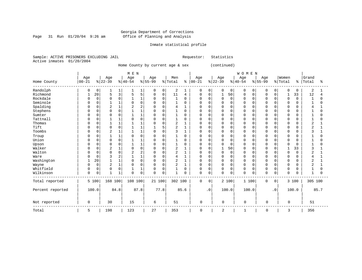Page 31 Run  $01/20/04$  9:26 am

### Inmate statistical profile

Sample: ACTIVE PRISONERS EXCLUDING JAIL Requestor: Statistics Active inmates 01/20/2004

Home County by current age & sex (continued)

|                  |              |             |                |              | M E N    |                |             |             |                |          |             |           |              |          | WOMEN       |          |           |             |              |          |              |          |
|------------------|--------------|-------------|----------------|--------------|----------|----------------|-------------|-------------|----------------|----------|-------------|-----------|--------------|----------|-------------|----------|-----------|-------------|--------------|----------|--------------|----------|
|                  | Age          |             | Age            |              | Age      |                | Age         |             | Men            |          | Age         |           | Age          |          | Age         |          | Age       |             | Women        |          | Grand        |          |
| Home County      | $ 00 - 21$   |             | $ 22-39$       |              | $ 40-54$ |                | $ 55-99$    |             | % Total        | ి        | $ 00-21 $   |           | $ 22-39$     |          | $8 40-54$   |          | $8 55-99$ |             | % Total      | န္       | Total        | ిక       |
| Randolph         | 0            | 0           |                | 1            | 1        | 1              | 0           | 0           | 2              |          | 0           | 0         | 0            | 0        | $\Omega$    | 0        | $\Omega$  | 0           | $\mathbf 0$  | $\Omega$ | 2            |          |
| Richmond         | $\mathbf{1}$ | 20          | 5              | 3            | 5        | 5              | $\mathbf 0$ | 0           | 11             | 4        | 0           | 0         |              | 50       | $\mathbf 0$ | 0        | $\Omega$  | $\mathbf 0$ | $\mathbf{1}$ | 33       | 12           |          |
| Rockdale         |              | $\Omega$    | <sup>0</sup>   | 0            |          | $\mathbf{1}$   | $\Omega$    | $\mathbf 0$ | $\mathbf{1}$   | $\Omega$ | U           | $\Omega$  | $\Omega$     | $\Omega$ | $\Omega$    | $\Omega$ |           | $\Omega$    | $\mathbf 0$  | $\Omega$ | $\mathbf{1}$ | $\Omega$ |
| Seminole         |              | $\Omega$    |                | $\mathbf{1}$ |          | $\Omega$       | $\Omega$    | $\Omega$    | $\mathbf{1}$   | $\Omega$ | U           | $\Omega$  | <sup>0</sup> | $\Omega$ | $\Omega$    | $\cap$   |           | $\Omega$    | $\Omega$     | ∩        | -1           | U        |
| Spalding         | U            | 0           | $\overline{2}$ | 1            |          |                |             | $\Omega$    | 4              |          | U           | O         | <sup>0</sup> | $\Omega$ | $\Omega$    | O        |           |             | $\Omega$     |          |              |          |
| Stephens         |              | U           | $\Omega$       | $\mathbf 0$  |          |                |             | $\Omega$    |                | $\Omega$ | U           | O         | <sup>0</sup> | 0        | $\Omega$    | O        |           |             | $\Omega$     |          |              | N        |
| Sumter           | O            | 0           | <sup>0</sup>   | 0            |          | $\mathbf{1}$   | $\Omega$    | $\mathbf 0$ | 1              | 0        | U           | $\Omega$  | 0            | 0        | $\Omega$    | O        |           | $\Omega$    | $\Omega$     |          |              | O        |
| Tattnall         |              | U           |                | 1            |          | $\Omega$       |             | $\mathbf 0$ |                | O        |             | $\Omega$  | 0            | 0        | $\Omega$    | O        |           | $\Omega$    | $\Omega$     |          |              |          |
| Thomas           |              | U           |                | $\mathbf{1}$ |          |                | O           | $\Omega$    | $\overline{2}$ |          | U           | $\Omega$  | $\Omega$     | $\Omega$ | $\Omega$    | $\cap$   |           | $\Omega$    | $\Omega$     | ∩        | 2            |          |
| Tift             | U            | U           | $\Omega$       | $\mathsf 0$  |          |                |             | 5           | 2              |          | U           | O         | 0            | O        | $\Omega$    | O        |           | $\Omega$    | 0            |          |              |          |
| Toombs           | O            | 0           | $\overline{2}$ | 1            |          | $\mathbf{1}$   | $\Omega$    | $\mathbf 0$ | 3              |          | U           | O         | $\Omega$     | 0        | $\Omega$    | O        |           |             | $\mathbf 0$  |          | 3            |          |
| Troup            |              | 0           |                | 1            |          | $\Omega$       | O           | $\mathbf 0$ |                | $\Omega$ | 0           | $\Omega$  | 0            | 0        | $\Omega$    | $\Omega$ |           | $\Omega$    | 0            |          |              |          |
| Union            |              | $\Omega$    | $\Omega$       | $\mathbf 0$  |          |                | O           | $\Omega$    |                | $\Omega$ | U           | $\Omega$  | <sup>0</sup> | $\Omega$ | $\Omega$    | $\Omega$ |           | $\Omega$    | $\Omega$     | U        |              | N        |
| Upson            | U            | 0           | $\Omega$       | 0            |          | $\mathbf{1}$   | $\Omega$    | $\Omega$    |                | $\Omega$ | U           | O         | <sup>0</sup> | 0        | $\Omega$    | O        |           | $\Omega$    | $\Omega$     |          |              | N        |
| Walker           | U            | 0           | $\overline{2}$ | $\mathbf{1}$ |          | $\Omega$       |             | $\Omega$    | 2              |          | U           | C         | 1            | 50       | $\Omega$    | O        |           |             |              | 33       |              |          |
| Walton           | O            | 0           | <sup>0</sup>   | 0            |          | $\overline{2}$ |             | $\Omega$    | 2              |          | U           | O         | 0            | 0        | $\Omega$    | O        |           |             | 0            | 0        | 2            |          |
| Ware             |              | 0           |                | 2            |          |                | 0           | $\mathbf 0$ | 4              |          | 0           | 0         | 0            | $\Omega$ | $\Omega$    | O        |           | 0           | $\Omega$     | በ        |              |          |
| Washington       |              | 20          |                | $\mathbf{1}$ |          | 0              | 0           | $\Omega$    | 2              |          | 0           | $\Omega$  | $\Omega$     | $\Omega$ | $\Omega$    | $\Omega$ |           | $\Omega$    | 0            |          | 2            |          |
| Wayne            | U            | $\mathbf 0$ | $\overline{2}$ | $\mathbf 1$  |          | $\Omega$       | $\Omega$    | $\mathbf 0$ | 2              |          | U           | $\Omega$  | 0            | $\Omega$ | $\Omega$    | $\Omega$ | $\cap$    | $\Omega$    | 0            | ∩        | 2            |          |
| Whitfield        | 0            | 0           | $\Omega$       | $\mathbf 0$  |          | $\mathbf{1}$   | $\Omega$    | $\Omega$    |                | $\Omega$ | $\mathbf 0$ | $\Omega$  | $\mathbf 0$  | $\Omega$ | $\Omega$    | $\Omega$ | $\cap$    | $\Omega$    | $\mathbf 0$  |          | -1           | O        |
| Wilkinson        | 0            | 0           |                | 1            | $\Omega$ | $\mathsf 0$    | $\Omega$    | $\mathbf 0$ | 1              | $\Omega$ | $\mathbf 0$ | $\Omega$  | $\Omega$     | 0        | $\Omega$    | 0        | $\Omega$  | 0           | $\mathbf 0$  |          | -1           | U        |
| Total reported   |              | 5 100       | 168 100        |              | 108 100  |                | 21 100      |             | 302 100        |          | $\mathsf 0$ | 0         |              | 2 100    |             | 1 100    | 0         | 0           |              | 3 100    | 305 100      |          |
| Percent reported |              | 100.0       |                | 84.8         |          | 87.8           |             | 77.8        |                | 85.6     |             | $\cdot$ 0 |              | 100.0    |             | 100.0    |           | $\cdot$ 0   |              | 100.0    |              | 85.7     |
| Not reported     | 0            |             | 30             |              | 15       |                | 6           |             | 51             |          | 0           |           | 0            |          | $\mathbf 0$ |          | 0         |             | 0            |          | 51           |          |
| Total            | 5            |             | 198            |              | 123      |                | 27          |             | 353            |          | 0           |           | 2            |          |             |          | 0         |             | 3            |          | 356          |          |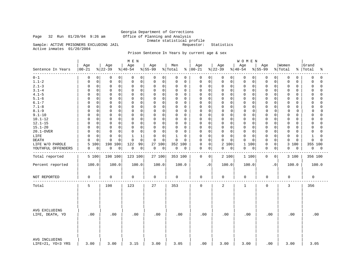Georgia Department of Corrections Page 32 Run 01/20/04 9:26 am Office of Planning and Analysis Inmate statistical profile Sample: ACTIVE PRISONERS EXCLUDING JAIL Requestor: Statistics

Active inmates 01/20/2004

### Prison Sentence In Years by current age & sex

|                                    |                  |                            | M E N                    |                         |                             |                 |                                        | WOMEN                      |                          |                                   |                         |
|------------------------------------|------------------|----------------------------|--------------------------|-------------------------|-----------------------------|-----------------|----------------------------------------|----------------------------|--------------------------|-----------------------------------|-------------------------|
| Sentence In Years<br>- - - - - - - | Age<br>$00 - 21$ | Age<br>$ 22-39$            | Age<br>$8 40-54$         | Age<br>$8155 - 99$      | Men<br>% Total<br>ి         | Age<br>$ 00-21$ | Age<br>$ 22-39 $                       | Age<br>$ 40-54$            | Age<br>$\frac{8}{55-99}$ | Women<br>% Total<br>$\frac{8}{6}$ | Grand<br>Total<br>ႜ     |
| $0 - 1$                            | 0<br>0           | 0<br>0                     | 0<br>0                   | 0<br>0                  | 0<br>0                      | 0               | 0<br>0<br>0                            | 0<br>0                     | 0<br>0                   | 0<br>0                            | 0<br>0                  |
| $1.1 - 2$                          | $\mathsf 0$<br>0 | $\mathbf 0$<br>0           | 0<br>0                   | 0<br>$\mathbf 0$        | 0<br>$\mathbf 0$            | 0               | $\Omega$<br>0<br>$\mathbf 0$           | $\mathbf 0$<br>$\mathbf 0$ | 0<br>0                   | 0<br>0                            | $\mathbf 0$<br>$\Omega$ |
| $2.1 - 3$                          | $\mathsf 0$<br>0 | $\mathsf 0$<br>$\mathbf 0$ | $\mathsf{O}\xspace$<br>0 | 0<br>$\mathbf 0$        | 0<br>0                      | 0               | $\mathbf 0$<br>0<br>$\Omega$           | $\mathbf 0$<br>0           | 0<br>0                   | 0<br>0                            | $\Omega$<br>$\Omega$    |
| $3.1 - 4$                          | $\mathbf 0$<br>0 | $\mathbf 0$<br>$\Omega$    | $\mathbf 0$<br>0         | $\Omega$<br>$\Omega$    | $\mathbf 0$<br>0            | 0               | $\Omega$<br>0<br>$\Omega$              | $\mathbf 0$<br>$\mathbf 0$ | 0<br>$\Omega$            | 0<br>0                            | $\Omega$<br>$\Omega$    |
| $4.1 - 5$                          | $\mathbf 0$<br>U | $\Omega$<br>$\Omega$       | $\mathbf 0$<br>$\Omega$  | $\Omega$<br>$\mathbf 0$ | $\mathbf 0$<br>0            | $\mathbf 0$     | $\mathbf 0$<br>$\Omega$<br>$\Omega$    | $\mathbf 0$<br>$\mathbf 0$ | 0<br>$\Omega$            | 0<br>0                            | $\Omega$<br>$\Omega$    |
| $5.1 - 6$                          | $\mathbf 0$      | $\mathbf 0$<br>$\mathbf 0$ | $\mathbf 0$<br>$\Omega$  | $\Omega$<br>0           | 0<br>0                      | 0               | 0<br>$\mathbf 0$<br>$\Omega$           | $\mathbf 0$<br>0           | 0<br>0                   | 0<br>0                            | $\Omega$<br>$\cap$      |
| $6.1 - 7$                          | 0<br>U           | $\mathbf 0$<br>$\Omega$    | 0<br>0                   | $\Omega$<br>$\Omega$    | 0<br>0                      | 0               | 0<br>$\Omega$<br>O                     | 0<br>$\Omega$              | 0<br>O                   | 0<br>0                            | $\cap$<br>0             |
| $7.1 - 8$                          | $\mathbf 0$<br>U | 0<br>$\mathbf 0$           | 0<br>$\mathbf 0$         | 0<br>$\mathbf 0$        | 0<br>0                      | 0               | 0<br>$\mathbf 0$<br>$\Omega$           | $\mathbf 0$<br>0           | 0<br>0                   | 0<br>0                            | $\mathbf 0$<br>$\Omega$ |
| $8.1 - 9$                          | $\mathbf 0$<br>0 | $\mathbf 0$<br>$\Omega$    | $\Omega$<br>$\mathbf 0$  | $\mathbf 0$<br>$\Omega$ | $\mathbf 0$<br>$\Omega$     | $\mathbf 0$     | $\mathbf 0$<br>$\mathbf 0$<br>$\Omega$ | 0<br>0                     | $\Omega$<br>0            | $\Omega$<br>0                     | $\Omega$<br>$\Omega$    |
| $9.1 - 10$                         | $\mathbf 0$<br>O | $\mathbf 0$<br>$\Omega$    | $\mathbf 0$<br>$\Omega$  | $\Omega$<br>$\Omega$    | 0<br>$\mathbf 0$            | $\mathbf 0$     | 0<br>$\Omega$<br>$\Omega$              | $\Omega$<br>0              | 0<br>$\Omega$            | 0<br>0                            | $\Omega$<br>$\Omega$    |
| $10.1 - 12$                        | $\mathbf 0$<br>U | 0<br>$\mathbf 0$           | $\mathbf 0$<br>0         | 0<br>$\mathbf 0$        | 0<br>0                      | 0               | 0<br>$\mathbf 0$<br>0                  | $\mathbf 0$<br>0           | 0<br>0                   | 0<br>0                            | 0<br>$\Omega$           |
| $12.1 - 15$                        | $\mathbf 0$      | $\mathbf 0$<br>$\Omega$    | $\mathbf 0$<br>0         | 0<br>0                  | $\mathbf 0$<br>0            | 0               | $\mathbf 0$<br>$\Omega$<br>0           | $\Omega$<br>0              | 0<br>O                   | 0<br>0                            | $\Omega$<br>$\cap$      |
| $15.1 - 20$                        | $\mathbf 0$<br>O | $\mathbf 0$<br>$\Omega$    | $\Omega$<br>$\mathbf 0$  | 0<br>$\mathbf 0$        | 0<br>0                      | $\Omega$        | 0<br>$\Omega$<br>$\Omega$              | $\mathbf 0$<br>0           | 0<br>0                   | 0<br>0                            | $\Omega$<br>$\cap$      |
| 20.1-OVER                          | $\mathbf 0$<br>0 | $\Omega$<br>$\Omega$       | 0<br>$\Omega$            | 0<br>$\Omega$           | $\mathbf 0$<br>$\Omega$     | 0               | $\mathbf 0$<br>$\Omega$<br>$\Omega$    | $\mathbf 0$<br>$\mathbf 0$ | 0<br>$\Omega$            | 0<br>0                            | $\Omega$<br>$\Omega$    |
| LIFE                               | $\mathbf 0$      | $\Omega$<br>$\mathbf 0$    | 1<br>$1\,$               | 0<br>$\Omega$           | $\mathbf{1}$<br>$\mathbf 0$ | 0               | $\mathbf 0$<br>$\mathbf 0$<br>$\Omega$ | $\circ$<br>$\mathbf 0$     | 0<br>$\Omega$            | 0<br>0                            | $\mathbf{1}$<br>$\cap$  |
| <b>DEATH</b>                       | $\mathbf 0$      | $\Omega$<br>$\Omega$       | $\Omega$<br>$\mathbf 0$  | $\Omega$<br>$\Omega$    | $\mathbf 0$<br>$\Omega$     | 0               | $\mathbf 0$<br>$\Omega$<br>$\Omega$    | $\Omega$<br>$\Omega$       | $\mathbf 0$<br>$\Omega$  | 0<br>$\Omega$                     | $\Omega$<br>$\Omega$    |
| LIFE W/O PAROLE                    | 100<br>5         | 198<br>100                 | 122<br>99                | 27 100                  | 352<br>100                  | $\mathbf 0$     | 2<br>0<br>100                          | $\mathbf{1}$<br>100        | 0<br>0                   | 100<br>3                          | 355 100                 |
| YOUTHFUL OFFENDERS                 | $\mathbf 0$<br>0 | 0<br>0                     | 0<br>$\overline{0}$      | 0<br>0                  | 0<br>0                      | 0               | 0<br>0<br>0                            | $\mathbf 0$<br>0           | 0<br>0                   | 0<br>0                            | 0<br>0                  |
|                                    |                  |                            |                          |                         |                             |                 |                                        |                            |                          |                                   |                         |
| Total reported                     | 5 100            | 198 100                    | 123 100                  | 27 100                  | 353 100                     | $\mathbf 0$     | 2 100<br>0                             | 1 100                      | 0<br>0                   | 3 100                             | 356 100                 |
| Percent reported                   | 100.0            | 100.0                      | 100.0                    | 100.0                   | 100.0                       | $\cdot$ 0       | 100.0                                  | 100.0                      | $\cdot$ 0                | 100.0                             | 100.0                   |
| NOT REPORTED                       | 0                | 0                          | 0                        | 0                       | 0                           | 0               | 0                                      | 0                          | $\mathbf 0$              | 0                                 | 0                       |
| Total                              | 5                | 198                        | 123                      | 27                      | 353                         | $\mathbf 0$     | $\overline{2}$                         | $\mathbf{1}$               | $\mathbf 0$              | 3                                 | 356                     |
| AVG EXCLUDING<br>LIFE, DEATH, YO   | .00              | .00                        | .00                      | .00                     | .00                         | .00             | .00                                    | .00                        | .00                      | .00                               | .00                     |
| AVG INCLUDING<br>LIFE=21, YO=3 YRS | 3.00             | 3.00                       | 3.15                     | 3.00                    | 3.05                        | .00             | 3.00                                   | 3.00                       | .00                      | 3.00                              | 3.05                    |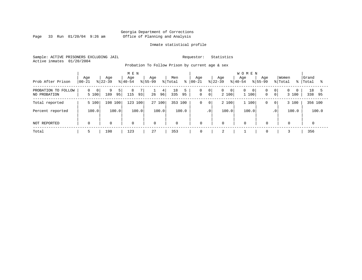Page 33 Run  $01/20/04$  9:26 am

#### Inmate statistical profile

Sample: ACTIVE PRISONERS EXCLUDING JAIL Requestor: Statistics Active inmates 01/20/2004

Probation To Follow Prison by current age & sex

| Prob After Prison                   | Age<br>$00 - 21$ | Age<br>$ 22-39 $ | M E N<br>Age<br>$ 40-54 $ | Age<br>$8155 - 99$ | Men<br>% Total<br>៖ | Aqe<br>$ 00-21 $ | Age<br>$ 22-39 $                                     | <b>WOMEN</b><br>Aqe<br>Age<br>$8155 - 99$<br>$8 40-54$ | Women<br>% Total<br>ႜႜ                                | Grand<br>Total<br>ႜ |
|-------------------------------------|------------------|------------------|---------------------------|--------------------|---------------------|------------------|------------------------------------------------------|--------------------------------------------------------|-------------------------------------------------------|---------------------|
| PROBATION TO FOLLOW<br>NO PROBATION | 0<br>0<br>5 100  | 9<br>189<br>95   | 8<br>115<br>93            | 4<br>96 <br>26     | 18<br>335<br>95     | 0<br>$\mathbf 0$ | 0 <br>$\overline{0}$<br>0<br>0 <sup>1</sup><br>2 100 | $\mathbf{0}$<br>0 <sub>1</sub><br>1 100<br>$\mathbf 0$ | 0 <br>$\Omega$<br>$\Omega$<br>0 <sup>1</sup><br>3 100 | 18<br>338<br>95     |
| Total reported                      | 5 100            | 198 100          | 123 100                   | 27 100             | 353 100             | 0                | 2 100<br>$\overline{0}$                              | 1 100<br>0                                             | 3 100<br>$\mathbf{0}$                                 | 356 100             |
| Percent reported                    | 100.0            | 100.0            | 100.0                     | 100.0              | 100.0               |                  | 100.0<br>$\cdot$ 0                                   | 100.0                                                  | 100.0<br>.0 <sup>1</sup>                              | 100.0               |
| NOT REPORTED                        | $\mathbf 0$      | $\mathbf 0$      | 0                         | $\mathbf 0$        | $\mathbf 0$         | $\mathbf 0$      | $\mathbf 0$                                          | $\mathbf 0$<br>$\mathbf 0$                             | $\mathbf 0$                                           |                     |
| Total                               | כ                | 198              | 123                       | 27                 | 353                 | 0                |                                                      | $\mathbf 0$                                            |                                                       | 356                 |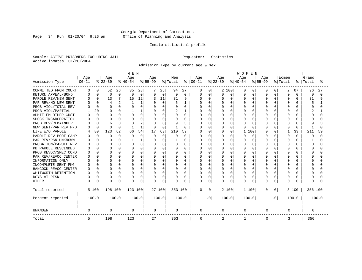Page 34 Run  $01/20/04$  9:26 am

#### Inmate statistical profile

Sample: ACTIVE PRISONERS EXCLUDING JAIL Requestor: Statistics Active inmates 01/20/2004

Admission Type by current age & sex

|                      |              |             |          |                | MEN      |              |           |             |          |          |          |          |           |              | <b>WOMEN</b> |              |           |           |          |          |          |          |  |
|----------------------|--------------|-------------|----------|----------------|----------|--------------|-----------|-------------|----------|----------|----------|----------|-----------|--------------|--------------|--------------|-----------|-----------|----------|----------|----------|----------|--|
|                      | Age          |             | Age      |                | Age      |              | Age       |             | Men      |          | Age      |          | Age       |              | Age          |              | Age       |           | Women    |          | Grand    |          |  |
| Admission Type       | $00 - 21$    |             | $ 22-39$ |                | $ 40-54$ |              | $8 55-99$ |             | % Total  | ႜ        | $ 00-21$ |          | $ 22-39 $ |              | $ 40-54$     |              | $8 55-99$ |           | % Total  | ႜ        | Total    | °        |  |
| COMMITTED FROM COURT | 0            | 0           | 52       | 26             | 35       | 28           |           | 26          | 94       | 27       | 0        | 0        |           | 2 100        | 0            | 0            | O         | 0         | 2        | 67       | 96       | 27       |  |
| RETURN APPEAL/BOND   | 0            | $\mathbf 0$ | $\Omega$ | $\Omega$       | $\Omega$ | $\Omega$     | $\Omega$  | $\Omega$    | $\Omega$ | 0        | 0        | $\Omega$ | 0         | $\Omega$     | $\Omega$     | $\Omega$     | $\cap$    | $\Omega$  | $\Omega$ | U        | $\Omega$ | $\Omega$ |  |
| PAROLE REV/NEW SENT  | 0            | $\Omega$    | 13       | 7              | 15       | 12           |           | 11          | 31       | 9        | O        | $\Omega$ | 0         | $\Omega$     | $\cap$       | $\Omega$     | $\cap$    | $\Omega$  | $\Omega$ | ∩        | 31       | 9        |  |
| PAR REV/NO NEW SENT  |              | $\Omega$    | 4        | $\overline{2}$ |          | $\mathbf{1}$ | O         | $\mathbf 0$ |          |          | U        | $\Omega$ | O         | $\Omega$     | $\Omega$     | O            |           | $\cap$    | $\Omega$ |          | 5        |          |  |
| PROB VIOL/TOTAL REV  |              | $\Omega$    | $\Omega$ | $\Omega$       |          | $\Omega$     | 0         | 0           |          | O        | 0        | 0        |           | $\Omega$     | $\Omega$     | 0            |           |           | $\Omega$ |          |          |          |  |
| PROB VIOL/PARTIAL    |              | 20          |          | $\Omega$       |          | 1            |           | O           | 2        |          | N        | $\Omega$ |           | $\Omega$     | $\Omega$     | O            |           |           | $\Omega$ |          |          |          |  |
| ADMIT FM OTHER CUST  | n            | $\Omega$    | n        | $\Omega$       | U        | $\Omega$     | O         | $\Omega$    |          | 0        | U        | $\Omega$ | U         | O            | $\Omega$     | $\Omega$     |           |           | $\Omega$ |          |          |          |  |
| SHOCK INCARCERATION  |              | $\Omega$    | n        | 0              |          | $\Omega$     | O         | $\Omega$    | O        | 0        | U        | $\Omega$ | O         | $\Omega$     | $\Omega$     | <sup>0</sup> |           | $\Omega$  | $\Omega$ | n        |          |          |  |
| PROB REV/REMAINDER   |              | $\Omega$    | 6        | 3              |          | 2            | O         | $\Omega$    | 9        | κ        | U        | $\Omega$ | U         | $\cap$       | $\cap$       | <sup>0</sup> |           | $\Omega$  | $\Omega$ | U        | q        |          |  |
| NEW SENT/PAR REV PND |              | $\Omega$    | $\Omega$ | $\Omega$       | -1       | $\mathbf{1}$ | $\Omega$  | $\Omega$    |          | $\Omega$ | ი        | $\Omega$ | U         | $\Omega$     | $\cap$       | <sup>0</sup> |           | $\Omega$  | $\Omega$ | $\Omega$ |          | U        |  |
| LIFE W/O PAROLE      |              | 80          | 123      | 62             | 66       | 54           | 17        | 63          | 210      | 59       | N        | $\Omega$ | 0         | $\Omega$     | 1            | 100          |           | $\Omega$  |          | 33       | 211      | 59       |  |
| PAROLE REV BOOT CAMP |              | $\Omega$    | $\Omega$ | $\Omega$       | 0        | $\Omega$     | $\Omega$  | 0           |          | $\Omega$ | 0        | $\Omega$ | 0         | $\Omega$     | $\cap$       | $\Omega$     |           | $\Omega$  | $\Omega$ | $\Omega$ | O        | O        |  |
| PAR REV/RSN UNKNOWN  |              | $\Omega$    | n        | 0              |          | 1            | O         | 0           |          | $\Omega$ | 0        | $\Omega$ | U         | $\Omega$     | $\cap$       | $\Omega$     |           | $\Omega$  | $\Omega$ | n        |          | U        |  |
| PROBATION/PAROLE REV | O            | $\Omega$    | n        | 0              | O        | $\Omega$     | O         | $\Omega$    | O        | 0        | U        | $\Omega$ |           | ∩            | $\Omega$     | $\Omega$     |           | $\Omega$  | $\Omega$ |          | O        | U        |  |
| PB PAROLE RESCINDED  |              | $\Omega$    | n        | $\Omega$       | U        | $\Omega$     | U         | $\Omega$    | U        | 0        | U        | $\Omega$ |           | <sup>n</sup> | $\cap$       | U            |           |           | $\Omega$ |          | U        | ∩        |  |
| PROB REVOC/SPEC COND |              | $\Omega$    | $\Omega$ | $\Omega$       | U        | $\Omega$     | O         | $\Omega$    | O        | $\Omega$ | U        | $\Omega$ |           | $\cap$       | $\Omega$     | O            |           |           | $\Omega$ |          |          | ∩        |  |
| PAR REV/REVOC CENTER |              | $\Omega$    | n        | 0              | O        | $\Omega$     |           | 0           |          | $\Omega$ | U        | $\Omega$ |           | $\Omega$     | $\Omega$     | O            |           | $\cap$    | O        |          |          |          |  |
| INFORMATION ONLY     |              | $\Omega$    | n        | 0              |          | $\Omega$     |           | 0           |          | O        | O        | $\Omega$ |           | $\Omega$     | $\Omega$     | O            |           |           | O        |          |          |          |  |
| INCOMPLETE SENT PKG  |              | $\Omega$    | n        | 0              | O        | $\Omega$     |           | 0           |          | 0        | U        | $\Omega$ |           | $\Omega$     | $\Omega$     | O            |           |           | $\Omega$ |          |          |          |  |
| HANCOCK REVOC CENTER | <sup>0</sup> | $\Omega$    | n        | 0              | O        | $\Omega$     | O         | 0           | O        | 0        | U        | $\Omega$ | U         | O            | $\Omega$     | $\Omega$     |           | $\Omega$  | 0        |          |          |          |  |
| WHITWORTH DETENTION  | <sup>0</sup> | $\Omega$    | n        | O              | O        | $\Omega$     | O         | $\Omega$    | O        | 0        | U        | $\Omega$ | U         | $\Omega$     | $\Omega$     | $\Omega$     | ∩         | $\Omega$  | $\Omega$ | ∩        | U        |          |  |
| DCYS AT RISK         | U            | $\Omega$    | n        | 0              | O        | 0            | O         | $\mathbf 0$ | $\Omega$ | 0        | U        | 0        | U         | $\Omega$     | $\Omega$     | $\Omega$     | U         | $\Omega$  | $\Omega$ | O        | U        |          |  |
| <b>OTHER</b>         | 0            | 0           | n        | 0              | O        | 0            |           | 0           | $\Omega$ | O        | 0        | $\Omega$ | U         | 0            | $\Omega$     | 0            | $\cap$    | 0         | $\Omega$ |          | U        |          |  |
| Total reported       |              | 5 100       | 198 100  |                | 123 100  |              | 27 100    |             | 353 100  |          | 0        | 0        |           | 2 100        | 1 100        |              | $\Omega$  | 0         |          | 3 100    | 356 100  |          |  |
| Percent reported     |              | 100.0       |          | 100.0          |          | 100.0        |           | 100.0       |          | 100.0    |          | . 0      |           | 100.0        | 100.0        |              |           | $\cdot$ 0 |          | 100.0    |          | 100.0    |  |
| <b>UNKNOWN</b>       | 0            |             | 0        |                | 0        |              | 0         |             | 0        |          | 0        |          | 0         |              | 0            |              | 0         |           | 0        |          | 0        |          |  |
| Total                | 5            |             | 198      |                | 123      |              | 27        |             | 353      |          | 0        |          | 2         |              |              |              | 0         |           | 3        |          | 356      |          |  |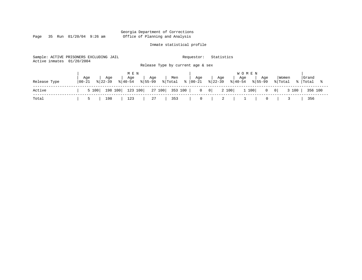Page 35 Run  $01/20/04$  9:26 am

#### Inmate statistical profile

Sample: ACTIVE PRISONERS EXCLUDING JAIL Requestor: Statistics Active inmates 01/20/2004 Release Type by current age & sex

|              |                   |                    | M E N     |                                                    |     |     |     | <b>WOMEN</b>                                                                                   |     |                     |       |
|--------------|-------------------|--------------------|-----------|----------------------------------------------------|-----|-----|-----|------------------------------------------------------------------------------------------------|-----|---------------------|-------|
| Release Type | Age<br>$100 - 21$ | Age<br>$8122 - 39$ | Age       | Age<br>$ \frac{1}{6} $ 40-54 $ \frac{1}{6} $ 55-99 | Men | Age | Age | ' Age<br>$ \text{{\tt Fotal}} \ge  00-21 \ge  22-39 \ge  40-54 \ge  55-99 $                    | Age | Women               | Grand |
| Active       |                   |                    |           |                                                    |     |     |     | 5 100   198 100   123 100   27 100   353 100   0 0   0   2 100   1 100   0 0   3 100   356 100 |     |                     |       |
| Total        |                   | ا 5                | 198   123 | 27   353                                           |     |     |     |                                                                                                |     | $0 \quad   \quad 3$ | 356   |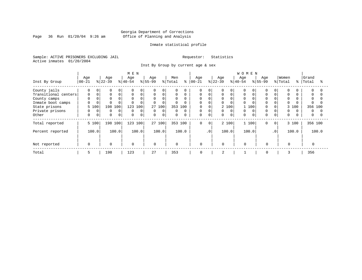Page 36 Run  $01/20/04$  9:26 am

#### Inmate statistical profile

Sample: ACTIVE PRISONERS EXCLUDING JAIL Requestor: Statistics Active inmates 01/20/2004

Inst By Group by current age & sex

|                      |          |           |                          |              |          | <b>WOMEN</b> |          |             |          |             |              |           |             |          |       |           |           |             |       |          |          |
|----------------------|----------|-----------|--------------------------|--------------|----------|--------------|----------|-------------|----------|-------------|--------------|-----------|-------------|----------|-------|-----------|-----------|-------------|-------|----------|----------|
|                      | Age      | Age       |                          | Age          |          | Age          |          | Men         |          | Age         |              | Age       |             | Age      |       | Age       |           | Women       |       | Grand    |          |
| Inst By Group        | $ 00-21$ | $ 22-39 $ |                          | $ 40-54 $    |          | $ 55-99$     |          | % Total     | ွေ       | $ 00-21$    |              | $ 22-39 $ |             | $ 40-54$ |       | $ 55-99 $ |           | % Total     | န္    | Total    | °        |
| County jails         | 0        | 0         | $\Omega$<br><sup>0</sup> | $\mathbf{0}$ | $\Omega$ |              | 0        |             | O        | $\Omega$    | 0            |           | $\Omega$    |          |       |           |           | $\Omega$    |       | 0        |          |
| Transitional centers | 0        |           | $\Omega$<br>$\Omega$     | $\mathbf 0$  | $\Omega$ | $\Omega$     | $\Omega$ | $\Omega$    | $\Omega$ | $\Omega$    | $\Omega$     |           | $\Omega$    | $\Omega$ |       |           |           | $\Omega$    |       | $\Omega$ |          |
| County camps         | 0        |           | $\Omega$                 | $\mathbf 0$  | $\Omega$ | $\Omega$     | 0        | $\Omega$    |          | $\Omega$    |              | 0         |             | $\Omega$ |       |           |           | $\mathbf 0$ |       | 0        |          |
| Inmate boot camps    | 0        |           | $\Omega$                 | $\Omega$     | $\Omega$ | $\Omega$     | 0        |             | $\Omega$ | $\Omega$    |              | 0         |             | $\Omega$ |       |           |           | $\Omega$    |       |          |          |
| State prisons        | 5 100    | 198       | 100                      | 123          | 100      | 27           | 100      | 353 100     |          | 0           |              |           | 2 100       |          | 100   |           |           |             | 3 100 | 356 100  |          |
| Private prisons      | 0        | 0         | 0<br>0                   | 0            | 0        | $\mathbf 0$  | 0        |             | $\Omega$ | 0           | C            | 0         | $\Omega$    | $\Omega$ |       |           |           | $\mathbf 0$ |       | 0        |          |
| Other                | 0        | 0         | $\mathbf 0$<br>$\Omega$  | 0            | $\Omega$ | $\mathbf 0$  | 0        | $\mathbf 0$ | $\Omega$ | 0           | $\mathbf 0$  | 0         | $\mathbf 0$ | $\Omega$ |       |           |           | $\mathbf 0$ |       | 0        | $\Omega$ |
| Total reported       | 5 100    |           | 198 100                  | 123 100      |          |              | 27 100   | 353 100     |          | 0           | $\mathbf{0}$ |           | 2 100       |          | 1 100 | $\Omega$  | $\circ$   |             | 3 100 | 356 100  |          |
| Percent reported     | 100.0    |           | 100.0                    |              | 100.0    |              | 100.0    |             | 100.0    |             | $\cdot$ 0    |           | 100.0       |          | 100.0 |           | $\cdot$ 0 |             | 100.0 |          | 100.0    |
|                      |          |           |                          |              |          |              |          |             |          |             |              |           |             |          |       |           |           |             |       |          |          |
| Not reported         | $\Omega$ |           | $\Omega$                 | $\Omega$     |          | $\Omega$     |          | $\mathbf 0$ |          | 0           |              | $\Omega$  |             | $\Omega$ |       | $\Omega$  |           | $\Omega$    |       |          |          |
| Total                | 5        | 198       |                          | 123          |          | 27           |          | 353         |          | $\mathbf 0$ |              | 2         |             |          |       | 0         |           | 3           |       | 356      |          |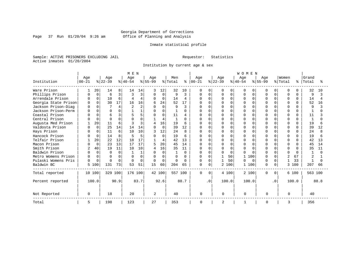Page 37 Run  $01/20/04$  9:26 am

#### Inmate statistical profile

Sample: ACTIVE PRISONERS EXCLUDING JAIL Requestor: Statistics Active inmates 01/20/2004

Institution by current age & sex

|                      |              |          |           |          | M E N     |          |           |          |         |              |               |           |           |          | WOMEN    |          |              |              |                |              |              |      |
|----------------------|--------------|----------|-----------|----------|-----------|----------|-----------|----------|---------|--------------|---------------|-----------|-----------|----------|----------|----------|--------------|--------------|----------------|--------------|--------------|------|
|                      | Age          |          | Age       |          | Age       |          | Age       |          | Men     |              | Age           |           | Age       |          | Age      |          | Age          |              | Women          |              | Grand        |      |
| Institution          | $ 00-21$     |          | $ 22-39 $ |          | $ 40-54 $ |          | $ 55-99 $ |          | % Total |              | $8   00 - 21$ |           | $ 22-39 $ |          | $ 40-54$ |          | $8155 - 99$  |              | % Total        | ႜ            | Total        |      |
| Ware Prison          |              | 20       | 14        | 8        | 14        | 14       | 3         | 12       | 32      | 10           | $\Omega$      | O         | O         | $\Omega$ | O        | O        | U            | 0            | $\Omega$       | 0            | 32           | 10   |
| Phillips Prison      |              | $\Omega$ | 6         | 3        |           | 3        | $\Omega$  | $\Omega$ | 9       | 3            | 0             | $\cap$    |           | $\Omega$ |          | $\Omega$ |              |              | $\Omega$       | $\Omega$     | 9            |      |
| Arrendale Prison     | <sup>0</sup> | $\Omega$ | 10        | 6        | 4         | 4        | $\Omega$  | $\Omega$ | 14      | 4            | $\Omega$      | $\cap$    | O         | $\Omega$ | U        | $\Omega$ | U            | $\cap$       | $\Omega$       | $\Omega$     | 14           |      |
| Georgia State Prison | <sup>0</sup> | $\Omega$ | 30        | 17       | 16        | 16       | 6         | 24       | 52      | 17           |               |           |           | $\Omega$ |          | $\Omega$ | U            |              | $\Omega$       | U            | 52           | 16   |
| Jackson Prison-Diag  |              | $\Omega$ |           | 4        |           | 2        | $\Omega$  | $\Omega$ | 9       | 3            | U             | ∩         |           | $\Omega$ |          | $\cap$   |              | <sup>n</sup> | $\Omega$       | ∩            | 9            |      |
| Jackson Prison-Perm  |              | $\Omega$ | $\cap$    | 0        |           |          | $\Omega$  | $\Omega$ |         | 0            | O             | ∩         | Ω         | $\Omega$ |          | $\Omega$ | $\cap$       |              | $\Omega$       | <sup>n</sup> |              |      |
| Coastal Prison       |              |          | 6         | 3        |           | 5        | U         | $\Omega$ | 11      | 4            | U             |           |           | $\Omega$ |          |          | U            |              | $\Omega$       | <sup>n</sup> | 11           |      |
| Central Prison       |              | $\Omega$ | $\cap$    | $\Omega$ |           |          |           | 4        | -1      | <sup>n</sup> | U             | ∩         |           | $\Omega$ |          | ∩        |              |              | $\Omega$       | <sup>n</sup> | $\mathbf{1}$ |      |
| Augusta Med Prison   |              | 20       | 11        | 6        |           | 3        | 4         | 16       | 19      | 6            |               | $\cap$    |           | $\Omega$ |          | $\cap$   |              |              | $\cap$         | $\Omega$     | 19           |      |
| Valdosta Prison      |              | $\Omega$ | 25        | 14       | 14        | 14       | $\cap$    | $\Omega$ | 39      | 12           | $\cap$        | $\Omega$  | U         | $\Omega$ |          | $\cap$   | $\cap$       |              | $\Omega$       | <sup>n</sup> | 39           | 12   |
| Hays Prison          |              | $\Omega$ | 11        | 6        | 10        | 10       |           | 12       | 2.4     | 8            | $\Omega$      | $\Omega$  | N         | $\Omega$ |          | $\Omega$ | $\cap$       |              | $\Omega$       | 0            | 24           |      |
| Hancock Prison       |              | $\Omega$ | 14        | 8        | 5         | 5        | O         | $\Omega$ | 19      | 6            | <sup>0</sup>  | $\Omega$  | ი         | $\Omega$ |          | $\cap$   | <sup>0</sup> |              | $\Omega$       | $\Omega$     | 19           |      |
| Telfair Prison       |              | 20       | 22        | 12       | 18        | 17       |           | 4        | 42      | 13           | O             | $\Omega$  | U         | $\Omega$ |          | O        | U            |              | $\Omega$       | <sup>n</sup> | 42           | 13   |
| Macon Prison         |              | $\Omega$ | 23        | 13       | 17        | 17       | 5         | 20       | 45      | 14           | U             | $\Omega$  |           | $\Omega$ | ∩        | ∩        |              |              | $\Omega$       | <sup>n</sup> | 45           | 14   |
| Smith Prison         | 2            | 40       | 19        | 11       | 10        | 10       | 4         | 16       | 35      | 11           |               | $\cap$    | N         | $\cap$   |          | $\cap$   |              |              | $\cap$         |              | 35           | 11   |
| Baldwin Prison       |              | $\Omega$ | $\cap$    | $\Omega$ |           |          |           | $\Omega$ |         | 0            | 0             | $\cap$    | O         | $\Omega$ | U        | $\cap$   | $\cap$       | U            | $\cap$         | ∩            |              |      |
| Metro Womens Prison  | $\Omega$     | $\Omega$ | ∩         | $\Omega$ |           | $\Omega$ | $\Omega$  | $\Omega$ | U       | <sup>0</sup> | $\Omega$      |           |           | 50       | 1        | 100      |              |              | $\overline{c}$ | 67           |              |      |
| Pulaski Womens Pris  | $\Omega$     | $\Omega$ | $\cap$    | $\Omega$ |           | $\Omega$ | $\Omega$  | $\Omega$ | U       | U            | 0             | $\Omega$  |           | 50       | U        | $\Omega$ | <sup>0</sup> | O.           |                | 33           |              |      |
| Baldwin BC           | 5            | 100      | 131       | 73       | 53        | 51       | 15        | 60       | 204     | 65           | $\Omega$      | $\Omega$  |           | 2 100    | 1        | 100      | $\cap$       | $\Omega$     | 3              | 100          | 207          | 66   |
| Total reported       |              | 10 100   | 329 100   |          | 176 100   |          |           | 42 100   | 557 100 |              | $\mathbf 0$   | $\Omega$  |           | 4 100    | 2 100    |          | $\Omega$     | $\Omega$     |                | 6 100        | 563 100      |      |
| Percent reported     |              | 100.0    |           | 90.9     |           | 83.7     |           | 92.6     |         | 88.7         |               | $\cdot$ 0 |           | 100.0    | 100.0    |          |              | $\cdot$ 0    |                | 100.0        |              | 88.8 |
| Not Reported         | $\Omega$     |          | 18        |          | 20        |          | 2         |          | 40      |              | 0             |           | $\cap$    |          | $\Omega$ |          | $\cap$       |              | ∩              |              | 40           |      |
| Total                | 5            |          | 198       |          | 123       |          | 27        |          | 353     |              | 0             |           | 2         |          |          |          | 0            |              | 3              |              | 356          |      |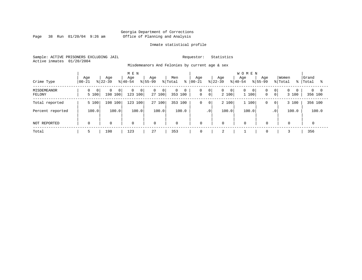Page 38 Run  $01/20/04$  9:26 am

#### Inmate statistical profile

Sample: ACTIVE PRISONERS EXCLUDING JAIL Requestor: Statistics Active inmates 01/20/2004

Misdemeanors And Felonies by current age & sex

| Crime Type            | Age<br>$ 00-21$         | Age<br>$ 22-39 $                      | M E N<br>Age<br>$8 40-54$                 | Age<br>$8155 - 99$                         | Men<br>% Total<br>ႜ | Aqe<br>$ 00 - 21 $                        | Age<br>$8 22-39$                        | <b>WOMEN</b><br>Age<br>Age<br>$8 40-54$<br>$8155 - 99$ | Women<br>% Total<br>- န ၂                                               | Grand<br>Total<br>°≈   |
|-----------------------|-------------------------|---------------------------------------|-------------------------------------------|--------------------------------------------|---------------------|-------------------------------------------|-----------------------------------------|--------------------------------------------------------|-------------------------------------------------------------------------|------------------------|
| MISDEMEANOR<br>FELONY | $\overline{0}$<br>5 100 | $\Omega$<br>0 <sup>1</sup><br>198 100 | $\mathbf{0}$<br>$\overline{0}$<br>123 100 | $\overline{0}$<br>0 <sup>1</sup><br>27 100 | 0<br>0<br>353 100   | 0<br> 0 <br>$\overline{0}$<br>$\mathbf 0$ | $\overline{0}$<br>$\mathbf{0}$<br>2 100 | 0<br>0<br>0 <sup>1</sup><br>1 100<br>$\mathbf 0$       | $\overline{0}$<br>0 <sup>1</sup><br>$\Omega$<br>$\overline{0}$<br>3 100 | $0 \quad 0$<br>356 100 |
| Total reported        | 5 100                   | 198 100                               | 123 100                                   | 27 100                                     | 353 100             | 0<br>$\mathbf 0$                          | 2 100                                   | 1 100<br>0                                             | 3 100<br>$\mathbf{0}$                                                   | 356 100                |
| Percent reported      | 100.0                   | 100.0                                 | 100.0                                     | 100.0                                      | 100.0               | $\cdot$ 0                                 | 100.0                                   | 100.0                                                  | 100.0<br>.0 <sup>1</sup>                                                | 100.0                  |
| NOT REPORTED          | $\mathbf 0$             | $\mathbf 0$                           | $\mathbf 0$                               | $\mathbf 0$                                | $\mathbf{0}$        | $\mathbf 0$                               | $\mathbf 0$                             | $\mathbf 0$<br>$\Omega$                                | $\mathbf 0$                                                             |                        |
| Total                 |                         | 198                                   | 123                                       | 27                                         | 353                 | 0                                         | $\bigcap$<br>∠                          | $\mathbf 0$                                            |                                                                         | 356                    |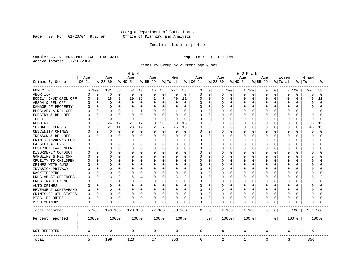Page 39 Run  $01/20/04$  9:26 am

#### Inmate statistical profile

Sample: ACTIVE PRISONERS EXCLUDING JAIL Requestor: Statistics Active inmates 01/20/2004

Crimes By Group by current age & sex

|                      |           |             |              |              | MEN      |              |                |        |          |                | <b>WOMEN</b> |             |          |             |           |          |           |           |          |              |          |          |  |
|----------------------|-----------|-------------|--------------|--------------|----------|--------------|----------------|--------|----------|----------------|--------------|-------------|----------|-------------|-----------|----------|-----------|-----------|----------|--------------|----------|----------|--|
|                      | Age       |             | Age          |              | Age      |              | Age            |        | Men      |                | Age          |             | Age      |             | Age       |          | Age       |           | Women    |              | Grand    |          |  |
| Crimes By Group      | $00 - 21$ |             | $ 22-39$     |              | $ 40-54$ |              | $8 55-99$      |        | % Total  | ႜ              | $ 00 - 21$   |             | $ 22-39$ |             | $8 40-54$ |          | $8 55-99$ |           | % Total  | °            | Total    | °        |  |
| HOMICIDE             |           | 5 100       | 131          | 66           | 53       | 43           | 15             | 56     | 204      | 58             | 0            | 0           |          | 2 100       | 1 100     |          | 0         | 0         | 3        | 100          | 207      | 58       |  |
| ABORTION             | 0         | $\mathbf 0$ | 0            | 0            | 0        | $\mathbf 0$  | 0              | 0      | $\Omega$ | $\mathbf 0$    | 0            | $\mathbf 0$ | 0        | 0           | 0         | 0        | $\Omega$  | 0         | $\Omega$ | 0            | 0        | $\Omega$ |  |
| BODILY INJRY&REL OFF | U         | 0           | 18           | 9            | 20       | 16           | $\overline{2}$ | 7      | 40       | 11             | 0            | $\mathbf 0$ | 0        | $\mathbf 0$ | 0         | 0        | 0         | 0         | $\Omega$ | 0            | 40       | 11       |  |
| ARSON & REL OFF      |           | 0           | 0            | 0            | 0        | $\mathbf 0$  | 0              | 0      | 0        | $\mathbf 0$    | 0            | $\mathbf 0$ | 0        | $\mathbf 0$ | $\Omega$  | 0        | $\Omega$  | O         | $\Omega$ | 0            | 0        | $\cap$   |  |
| DAMAGE OF PROPERTY   |           | $\Omega$    | <sup>0</sup> | 0            |          | $\Omega$     | $\Omega$       | 0      |          | $\Omega$       | O            | $\Omega$    | U        | $\Omega$    | O         | $\Omega$ | $\Omega$  | U         | $\Omega$ | U            | $\Omega$ |          |  |
| BURGLARY & REL OFF   |           | $\Omega$    | 0            | 0            | ı        | $\mathbf{1}$ | 0              | 0      |          | $\Omega$       | 0            | $\mathbf 0$ | 0        | $\Omega$    | 0         | $\Omega$ | $\Omega$  | 0         | $\Omega$ | $\Omega$     | 1        |          |  |
| FORGERY & REL OFF    |           | $\Omega$    | C            | 0            |          | $\mathbf 0$  | 0              | 0      | $\Omega$ | $\Omega$       | 0            | $\mathbf 0$ | C        | $\Omega$    | 0         | $\Omega$ | $\Omega$  | 0         | $\Omega$ | $\Omega$     | $\Omega$ |          |  |
| <b>THEFT</b>         |           | $\Omega$    | $\Omega$     | $\Omega$     | $\Omega$ | $\Omega$     | $\Omega$       | 0      | $\Omega$ | $\Omega$       | U            | $\mathbf 0$ | 0        | $\Omega$    | 0         | $\Omega$ | $\Omega$  | 0         | $\Omega$ | O            | $\Omega$ | $\cap$   |  |
| <b>ROBBERY</b>       |           | $\Omega$    | 24           | 12           | 21       | 17           | 8              | 30     | 53       | 15             | 0            | 0           | Ω        | $\Omega$    | $\Omega$  | $\Omega$ | $\Omega$  | O         | $\Omega$ | $\Omega$     | 53       | 15       |  |
| SEXUAL OFFENSES      |           | $\Omega$    | 21           | 11           | 23       | 19           |                | 7      | 46       | 13             | 0            | $\mathbf 0$ | 0        | $\Omega$    | 0         | $\Omega$ | $\Omega$  | O         | $\Omega$ | $\Omega$     | 46       | 13       |  |
| OBSCENITY CRIMES     |           | $\Omega$    | $\Omega$     | 0            | $\Omega$ | $\mathbf 0$  | $\Omega$       | 0      | O        | $\Omega$       | Ω            | $\mathbf 0$ | U        | $\Omega$    | $\Omega$  | $\Omega$ | $\Omega$  | 0         | $\Omega$ | <sup>0</sup> | $\Omega$ | $\cap$   |  |
| TREASON & REL OFF    |           | $\Omega$    | $\Omega$     | 0            | O        | 0            | 0              | 0      | O        | $\Omega$       | 0            | 0           | 0        | $\Omega$    | O         | 0        | O         | 0         | $\Omega$ | U            | ∩        |          |  |
| CRIMES INVOLVNG GOVT |           | 0           | $\Omega$     | 0            |          | 0            | 0              | 0      |          | 0              | Ω            | $\mathbf 0$ | 0        | 0           | $\Omega$  | 0        | 0         | 0         | $\Omega$ | O            | $\Omega$ |          |  |
| FALSIFICATIONS       |           | $\Omega$    | $\Omega$     | 0            |          | 0            | $\Omega$       | 0      |          | 0              | Ω            | 0           | 0        | 0           | O         | $\Omega$ | $\Omega$  | 0         | $\Omega$ | $\Omega$     | $\Omega$ |          |  |
| OBSTRUCT LAW ENFORCE |           | $\Omega$    | $\Omega$     | 0            | O        | 0            | $\Omega$       | 0      | $\Omega$ | 0              | 0            | 0           | 0        | $\Omega$    | 0         | $\Omega$ | $\Omega$  | O         | $\Omega$ | O            | $\Omega$ |          |  |
| DISORDERLY CONDUCT   |           | $\Omega$    | $\bigcap$    | 0            | O        | 0            | $\Omega$       | 0      |          | $\Omega$       | Ω            | 0           | C        | $\Omega$    | O         | $\Omega$ | $\Omega$  | U         | $\Omega$ | $\Omega$     | C        |          |  |
| GAMBLING & REL OFF   |           | $\Omega$    | $\Omega$     | 0            | O        | 0            | O              | 0      | $\Omega$ | 0              | Ω            | 0           | U        | $\Omega$    | 0         | $\Omega$ | $\Omega$  | 0         | $\Omega$ | U            | ∩        |          |  |
| CRUELTY TO CHILDREN  |           | 0           | $\Omega$     | 0            | O        | 0            | $\Omega$       | 0      | 0        | $\mathbf 0$    | Ω            | $\mathbf 0$ | 0        | 0           | 0         | $\Omega$ | $\Omega$  | 0         | $\Omega$ | $\Omega$     | ∩        |          |  |
| CRIMES WITH GUNS     |           | $\Omega$    | C            | 0            |          | 0            | $\Omega$       | 0      |          | $\Omega$       | Ω            | 0           | 0        | $\Omega$    | 0         | 0        | $\Omega$  | O         | $\Omega$ | $\Omega$     | $\Omega$ |          |  |
| INVASION PRIVACY     |           | 0           | C            | 0            | O        | 0            | $\Omega$       | 0      | $\Omega$ | 0              | Ω            | 0           | 0        | $\Omega$    | 0         | $\Omega$ | $\Omega$  | 0         | $\Omega$ | O            | $\Omega$ |          |  |
| <b>RACKETEERING</b>  |           | 0           | C            | 0            |          | 0            | 0              | 0      | 0        | $\mathbf 0$    | Ω            | $\mathbf 0$ | C        | $\Omega$    | 0         | $\Omega$ | $\Omega$  | O         | $\Omega$ | O            | C        |          |  |
| DRUG ABUSE OFFENSES  |           | $\Omega$    | 3            | 2            | 5        | 4            | $\Omega$       | 0      | 8        | $\overline{2}$ | Ω            | $\mathbf 0$ | 0        | $\Omega$    | 0         | 0        | $\Omega$  | 0         | $\Omega$ | $\cap$       | 8        |          |  |
| DRUG TRAFFICKING     |           | $\Omega$    | $\mathbf{1}$ | $\mathbf{1}$ | O        | $\Omega$     | $\Omega$       | 0      |          | $\Omega$       | 0            | $\mathbf 0$ | 0        | $\Omega$    | 0         | $\Omega$ | $\Omega$  | 0         | $\Omega$ | $\Omega$     | 1        |          |  |
| AUTO CRIMES          |           | $\Omega$    | 0            | 0            | O        | 0            | O              | 0      | 0        | $\Omega$       | 0            | $\mathbf 0$ | 0        | $\Omega$    | 0         | 0        | O         | 0         | 0        | U            | $\Omega$ |          |  |
| REVENUE & CONTRABAND |           | 0           | 0            | 0            | O        | 0            | 0              | 0      | 0        | $\Omega$       | 0            | $\mathbf 0$ | 0        | $\Omega$    | 0         | 0        | $\Omega$  | 0         | $\Omega$ | $\Omega$     | $\Omega$ |          |  |
| CRIMES OF OTH STATES | U         | 0           | 0            | 0            | O        | 0            | 0              | 0      | $\Omega$ | 0              | Ω            | 0           | 0        | 0           | 0         | 0        | O         | 0         | 0        | $\Omega$     | ∩        |          |  |
| MISC. FELONIES       | U         | 0           | 0            | 0            | 0        | 0            | 0              | 0      | 0        | 0              | 0            | 0           | 0        | 0           | 0         | 0        | $\Omega$  | O         | $\Omega$ | 0            | $\Omega$ |          |  |
| MISDEMEANORS         | 0         | 0           | C            | 0            | 0        | 0            | 0              | 0      | 0        | 0              | 0            | 0           | 0        | 0           | 0         | 0        | $\Omega$  | 0         | $\Omega$ | O            | $\Omega$ |          |  |
| Total reported       |           | 5 100       | 198 100      |              | 123 100  |              |                | 27 100 | 353 100  |                | 0            | 0           |          | 2 100       | 1 100     |          | 0         | 0         |          | 3 100        | 356 100  |          |  |
| Percent reported     |           | 100.0       |              | 100.0        |          | 100.0        |                | 100.0  |          | 100.0          |              | $\cdot$ 0   |          | 100.0       | 100.0     |          |           | $\cdot$ 0 |          | 100.0        |          | 100.0    |  |
| NOT REPORTED         | 0         |             | 0            |              | 0        |              | 0              |        | 0        |                | 0            |             | 0        |             | 0         |          | 0         |           | 0        |              | 0        |          |  |
| Total                | 5         |             | 198          |              | 123      |              | 27             |        | 353      |                | $\mathbf 0$  |             | 2        |             | 1         |          | 0         |           | 3        |              | 356      |          |  |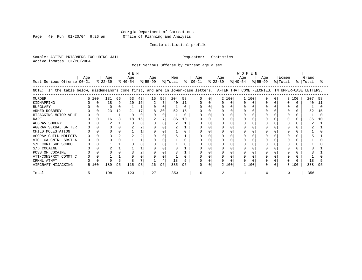Page 40 Run  $01/20/04$  9:26 am

#### Inmate statistical profile

Sample: ACTIVE PRISONERS EXCLUDING JAIL Requestor: Statistics Active inmates 01/20/2004

Most Serious Offense by current age & sex

| Most Serious Offense 00-21                                                                                                                                                                                                                                 | Age |       | Age<br>$ 22-39 $                  |                         | MEN<br>Age<br>$ 40-54 $ |                                  | Age<br>$8 55-99$ |                    | Men<br>% Total        | ွေ                                        | Aqe<br>$ 00-21 $ | Aqe<br>$ 22-39 $ |            | <b>WOMEN</b><br>Aqe<br>$8 40-54$ | $8 55-99$ | Aqe | Women<br>% Total | °     | Grand<br>Total        |                      |
|------------------------------------------------------------------------------------------------------------------------------------------------------------------------------------------------------------------------------------------------------------|-----|-------|-----------------------------------|-------------------------|-------------------------|----------------------------------|------------------|--------------------|-----------------------|-------------------------------------------|------------------|------------------|------------|----------------------------------|-----------|-----|------------------|-------|-----------------------|----------------------|
| In the table below, misdemeanors come first, and are in lower-case letters. AFTER THAT COME FELONIES, IN UPPER-CASE LETTERS.<br>NOTE:                                                                                                                      |     |       |                                   |                         |                         |                                  |                  |                    |                       |                                           |                  |                  |            |                                  |           |     |                  |       |                       |                      |
| <b>MURDER</b><br>KIDNAPPING<br><b>BURGLARY</b><br>ARMED ROBBERY<br>HIJACKING MOTOR VEHI<br><b>RAPE</b><br>AGGRAV SODOMY<br>AGGRAV SEXUAL BATTER<br>CHILD MOLESTATION<br>AGGRAV CHILD MOLESTA<br>VIOL GA CNTRL SBST A<br>S/D CONT SUB SCHOOL<br>S/D COCAINE |     | 5 100 | 131<br>18<br>$\Omega$<br>23<br>16 | 66<br>9<br>12<br>8<br>2 | 53<br>20<br>21<br>18    | 43<br>16<br>17<br>$\Omega$<br>15 | 15<br>8<br>0     | 56<br>0<br>30<br>0 | 204<br>40<br>52<br>36 | 58<br>11<br><sup>0</sup><br>15<br>U<br>10 |                  |                  | 2 100<br>0 | 1 100                            | $\Omega$  |     |                  | 3 100 | 207<br>40<br>52<br>36 | 58<br>11<br>15<br>10 |
| POSS OF COCAINE<br>ATT/CONSPRCY COMMT C<br>CRMNL ATMPT<br>AIRCRAFT HIJACKING                                                                                                                                                                               |     | 5 100 | 189                               | 95                      | 115                     | 93                               | 26               | 96                 | 18<br>335             | 95                                        | 0                |                  | 2 100      | 100                              |           |     | n<br>3           | 100   | 18<br>338             | 95                   |
| Total                                                                                                                                                                                                                                                      |     |       | 198                               |                         | 123                     |                                  | 27               |                    | 353                   |                                           |                  |                  |            |                                  |           |     |                  |       | 356                   |                      |